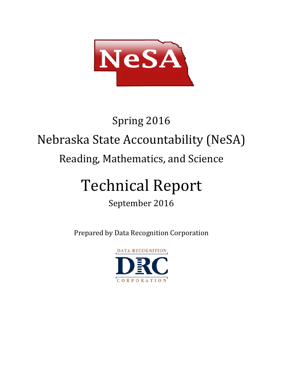

# Spring 2016 Nebraska State Accountability (NeSA) Reading, Mathematics, and Science

# Technical Report

# September 2016

Prepared by Data Recognition Corporation

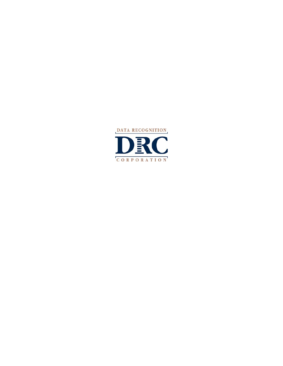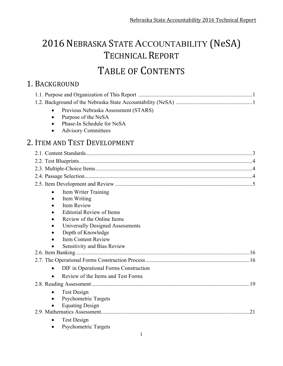# 2016 NEBRASKA STATE ACCOUNTABILITY (NeSA) TECHNICAL REPORT TABLE OF CONTENTS

# 1. BACKGROUND

| Previous Nebraska Assessment (STARS)               |  |
|----------------------------------------------------|--|
| Purpose of the NeSA<br>$\bullet$                   |  |
| Phase-In Schedule for NeSA                         |  |
| <b>Advisory Committees</b><br>$\bullet$            |  |
| 2. ITEM AND TEST DEVELOPMENT                       |  |
|                                                    |  |
|                                                    |  |
|                                                    |  |
|                                                    |  |
|                                                    |  |
| Item Writer Training<br>$\bullet$                  |  |
| Item Writing                                       |  |
| <b>Item Review</b>                                 |  |
| <b>Editorial Review of Items</b>                   |  |
| Review of the Online Items                         |  |
| Universally Designed Assessments                   |  |
| Depth of Knowledge                                 |  |
| <b>Item Content Review</b>                         |  |
| <b>Sensitivity and Bias Review</b>                 |  |
|                                                    |  |
|                                                    |  |
| DIF in Operational Forms Construction<br>$\bullet$ |  |
| Review of the Items and Test Forms                 |  |
| .19                                                |  |
| Test Design<br>$\bullet$                           |  |
| Psychometric Targets                               |  |
| <b>Equating Design</b>                             |  |
| 21                                                 |  |
| <b>Test Design</b>                                 |  |
| <b>Psychometric Targets</b>                        |  |
| i                                                  |  |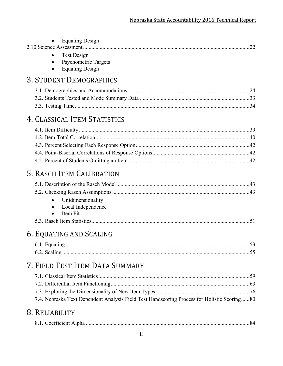| <b>Equating Design</b>                                                                      | .22 |
|---------------------------------------------------------------------------------------------|-----|
| <b>Test Design</b><br><b>Psychometric Targets</b><br><b>Equating Design</b>                 |     |
| <b>3. STUDENT DEMOGRAPHICS</b>                                                              |     |
|                                                                                             |     |
|                                                                                             |     |
|                                                                                             |     |
| 4. CLASSICAL ITEM STATISTICS                                                                |     |
|                                                                                             |     |
|                                                                                             |     |
|                                                                                             |     |
|                                                                                             |     |
|                                                                                             |     |
| 5. RASCH ITEM CALIBRATION                                                                   |     |
|                                                                                             |     |
|                                                                                             |     |
| Unidimensionality                                                                           |     |
| Local Independence<br>Item Fit<br>$\bullet$                                                 |     |
|                                                                                             |     |
| 6. EQUATING AND SCALING                                                                     |     |
|                                                                                             |     |
|                                                                                             |     |
|                                                                                             |     |
| 7. FIELD TEST ITEM DATA SUMMARY                                                             |     |
|                                                                                             |     |
|                                                                                             |     |
|                                                                                             |     |
| 7.4. Nebraska Text Dependent Analysis Field Test Handscoring Process for Holistic Scoring80 |     |
| 8. RELIABILITY                                                                              |     |
|                                                                                             |     |
|                                                                                             |     |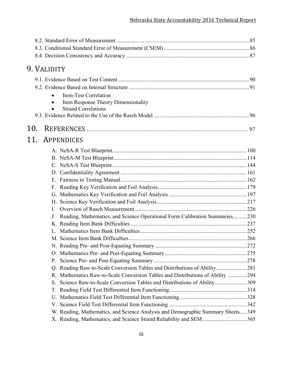|     | 9. VALIDITY |                                                                                   |  |
|-----|-------------|-----------------------------------------------------------------------------------|--|
|     |             |                                                                                   |  |
|     |             |                                                                                   |  |
|     |             | Item-Test Correlation<br>$\bullet$                                                |  |
|     |             | Item Response Theory Dimensionality                                               |  |
|     |             | <b>Strand Correlations</b>                                                        |  |
|     |             |                                                                                   |  |
| 10. |             |                                                                                   |  |
|     |             |                                                                                   |  |
| 11. |             | APPENDICES                                                                        |  |
|     |             |                                                                                   |  |
|     |             |                                                                                   |  |
|     |             |                                                                                   |  |
|     |             |                                                                                   |  |
|     |             |                                                                                   |  |
|     |             |                                                                                   |  |
|     |             |                                                                                   |  |
|     |             |                                                                                   |  |
|     |             | $\mathbf{L}$                                                                      |  |
|     |             | Reading, Mathematics, and Science Operational Form Calibration Summaries230       |  |
|     |             |                                                                                   |  |
|     |             |                                                                                   |  |
|     |             |                                                                                   |  |
|     |             |                                                                                   |  |
|     |             | O <sub>1</sub>                                                                    |  |
|     |             | P.                                                                                |  |
|     |             | Reading Raw-to-Scale Conversion Tables and Distributions of Ability281<br>Q.      |  |
|     |             | Mathematics Raw-to-Scale Conversion Tables and Distributions of Ability 294<br>R. |  |
|     |             | Science Raw-to-Scale Conversion Tables and Distributions of Ability309<br>S.      |  |
|     |             | Τ.                                                                                |  |
|     |             | U.                                                                                |  |
|     |             |                                                                                   |  |
|     |             | W. Reading, Mathematics, and Science Analysis and Demographic Summary Sheets349   |  |
|     |             | X. Reading, Mathematics, and Science Strand Reliability and SEM365                |  |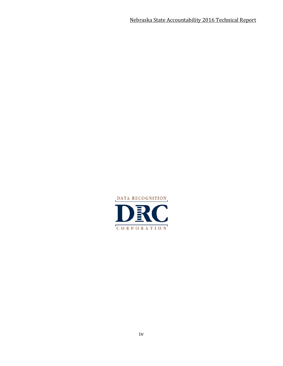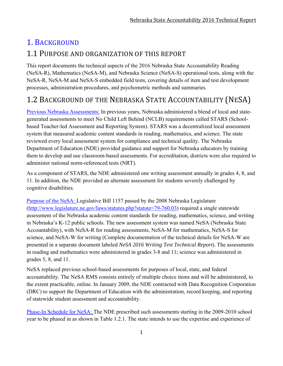# 1. BACKGROUND

### 1.1 PURPOSE AND ORGANIZATION OF THIS REPORT

This report documents the technical aspects of the 2016 Nebraska State Accountability Reading (NeSA-R), Mathematics (NeSA-M), and Nebraska Science (NeSA-S) operational tests, along with the NeSA-R, NeSA-M and NeSA-S embedded field tests, covering details of item and test development processes, administration procedures, and psychometric methods and summaries.

# 1.2 BACKGROUND OF THE NEBRASKA STATE ACCOUNTABILITY (NESA)

Previous Nebraska Assessments: In previous years, Nebraska administered a blend of local and stategenerated assessments to meet No Child Left Behind (NCLB) requirements called STARS (Schoolbased Teacher-led Assessment and Reporting System). STARS was a decentralized local assessment system that measured academic content standards in reading, mathematics, and science. The state reviewed every local assessment system for compliance and technical quality. The Nebraska Department of Education (NDE) provided guidance and support for Nebraska educators by training them to develop and use classroom-based assessments. For accreditation, districts were also required to administer national norm-referenced tests (NRT).

As a component of STARS, the NDE administered one writing assessment annually in grades 4, 8, and 11. In addition, the NDE provided an alternate assessment for students severely challenged by cognitive disabilities.

Purpose of the NeSA: Legislative Bill 1157 passed by the 2008 Nebraska Legislature (http://www.legislature.ne.gov/laws/statutes.php?statute=79-760.03) required a single statewide assessment of the Nebraska academic content standards for reading, mathematics, science, and writing in Nebraska's K-12 public schools. The new assessment system was named NeSA (Nebraska State Accountability), with NeSA-R for reading assessments, NeSA-M for mathematics, NeSA-S for science, and NeSA-W for writing (Complete documentation of the technical details for NeSA-W are presented in a separate document labeled *NeSA 2016 Writing Test Technical Report*). The assessments in reading and mathematics were administered in grades 3-8 and 11; science was administered in grades 5, 8, and 11.

NeSA replaced previous school-based assessments for purposes of local, state, and federal accountability. The NeSA RMS consists entirely of multiple choice items and will be administered, to the extent practicable, online. In January 2009, the NDE contracted with Data Recognition Corporation (DRC) to support the Department of Education with the administration, record keeping, and reporting of statewide student assessment and accountability.

Phase-In Schedule for NeSA: The NDE prescribed such assessments starting in the 2009-2010 school year to be phased in as shown in Table 1.2.1. The state intends to use the expertise and experience of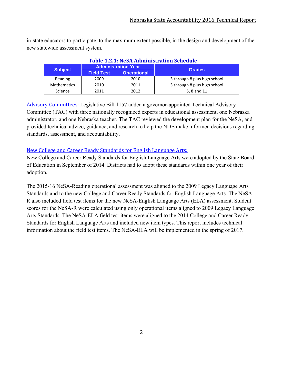in-state educators to participate, to the maximum extent possible, in the design and development of the new statewide assessment system.

| Table 1.2.1: NeSA Administration Schedule |                   |                            |                              |  |  |  |  |  |
|-------------------------------------------|-------------------|----------------------------|------------------------------|--|--|--|--|--|
| <b>Subject</b>                            |                   | <b>Administration Year</b> | <b>Grades</b>                |  |  |  |  |  |
|                                           | <b>Field Test</b> | <b>Operational</b>         |                              |  |  |  |  |  |
| Reading                                   | 2009              | 2010                       | 3 through 8 plus high school |  |  |  |  |  |
| <b>Mathematics</b>                        | 2010              | 2011                       | 3 through 8 plus high school |  |  |  |  |  |
| Science                                   | 2011              | 2012                       | 5, 8 and 11                  |  |  |  |  |  |

#### **Table 1.2.1: NeSA Administration Schedule**

Advisory Committees: Legislative Bill 1157 added a governor-appointed Technical Advisory Committee (TAC) with three nationally recognized experts in educational assessment, one Nebraska administrator, and one Nebraska teacher. The TAC reviewed the development plan for the NeSA, and provided technical advice, guidance, and research to help the NDE make informed decisions regarding standards, assessment, and accountability.

#### New College and Career Ready Standards for English Language Arts:

New College and Career Ready Standards for English Language Arts were adopted by the State Board of Education in September of 2014. Districts had to adopt these standards within one year of their adoption.

The 2015-16 NeSA-Reading operational assessment was aligned to the 2009 Legacy Language Arts Standards and to the new College and Career Ready Standards for English Language Arts. The NeSA-R also included field test items for the new NeSA-English Language Arts (ELA) assessment. Student scores for the NeSA-R were calculated using only operational items aligned to 2009 Legacy Language Arts Standards. The NeSA-ELA field test items were aligned to the 2014 College and Career Ready Standards for English Language Arts and included new item types. This report includes technical information about the field test items. The NeSA-ELA will be implemented in the spring of 2017.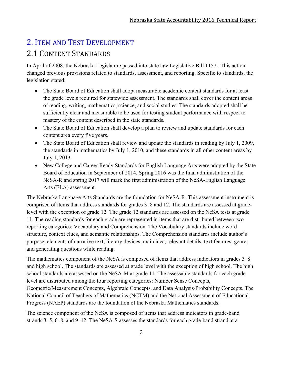# 2. ITEM AND TEST DEVELOPMENT 2.1 CONTENT STANDARDS

In April of 2008, the Nebraska Legislature passed into state law Legislative Bill 1157. This action changed previous provisions related to standards, assessment, and reporting. Specific to standards, the legislation stated:

- The State Board of Education shall adopt measurable academic content standards for at least the grade levels required for statewide assessment. The standards shall cover the content areas of reading, writing, mathematics, science, and social studies. The standards adopted shall be sufficiently clear and measurable to be used for testing student performance with respect to mastery of the content described in the state standards.
- The State Board of Education shall develop a plan to review and update standards for each content area every five years.
- The State Board of Education shall review and update the standards in reading by July 1, 2009, the standards in mathematics by July 1, 2010, and these standards in all other content areas by July 1, 2013.
- New College and Career Ready Standards for English Language Arts were adopted by the State Board of Education in September of 2014. Spring 2016 was the final administration of the NeSA-R and spring 2017 will mark the first administration of the NeSA-English Language Arts (ELA) assessment.

The Nebraska Language Arts Standards are the foundation for NeSA-R. This assessment instrument is comprised of items that address standards for grades 3–8 and 12. The standards are assessed at gradelevel with the exception of grade 12. The grade 12 standards are assessed on the NeSA tests at grade 11. The reading standards for each grade are represented in items that are distributed between two reporting categories: Vocabulary and Comprehension. The Vocabulary standards include word structure, context clues, and semantic relationships. The Comprehension standards include author's purpose, elements of narrative text, literary devices, main idea, relevant details, text features, genre, and generating questions while reading.

The mathematics component of the NeSA is composed of items that address indicators in grades 3–8 and high school. The standards are assessed at grade level with the exception of high school. The high school standards are assessed on the NeSA-M at grade 11. The assessable standards for each grade level are distributed among the four reporting categories: Number Sense Concepts, Geometric/Measurement Concepts, Algebraic Concepts, and Data Analysis/Probability Concepts. The National Council of Teachers of Mathematics (NCTM) and the National Assessment of Educational Progress (NAEP) standards are the foundation of the Nebraska Mathematics standards.

The science component of the NeSA is composed of items that address indicators in grade-band strands 3–5, 6–8, and 9–12. The NeSA-S assesses the standards for each grade-band strand at a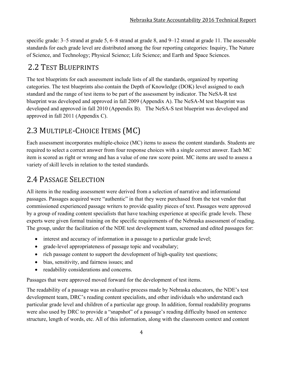specific grade: 3–5 strand at grade 5, 6–8 strand at grade 8, and 9–12 strand at grade 11. The assessable standards for each grade level are distributed among the four reporting categories: Inquiry, The Nature of Science, and Technology; Physical Science; Life Science; and Earth and Space Sciences.

# 2.2 TEST BLUEPRINTS

The test blueprints for each assessment include lists of all the standards, organized by reporting categories. The test blueprints also contain the Depth of Knowledge (DOK) level assigned to each standard and the range of test items to be part of the assessment by indicator. The NeSA-R test blueprint was developed and approved in fall 2009 (Appendix A). The NeSA-M test blueprint was developed and approved in fall 2010 (Appendix B). The NeSA-S test blueprint was developed and approved in fall 2011 (Appendix C).

# 2.3 MULTIPLE-CHOICE ITEMS (MC)

Each assessment incorporates multiple-choice (MC) items to assess the content standards. Students are required to select a correct answer from four response choices with a single correct answer. Each MC item is scored as right or wrong and has a value of one raw score point. MC items are used to assess a variety of skill levels in relation to the tested standards.

# 2.4 PASSAGE SELECTION

All items in the reading assessment were derived from a selection of narrative and informational passages. Passages acquired were "authentic" in that they were purchased from the test vendor that commissioned experienced passage writers to provide quality pieces of text. Passages were approved by a group of reading content specialists that have teaching experience at specific grade levels. These experts were given formal training on the specific requirements of the Nebraska assessment of reading. The group, under the facilitation of the NDE test development team, screened and edited passages for:

- interest and accuracy of information in a passage to a particular grade level;
- grade-level appropriateness of passage topic and vocabulary;
- rich passage content to support the development of high-quality test questions;
- bias, sensitivity, and fairness issues; and
- readability considerations and concerns.

Passages that were approved moved forward for the development of test items.

The readability of a passage was an evaluative process made by Nebraska educators, the NDE's test development team, DRC's reading content specialists, and other individuals who understand each particular grade level and children of a particular age group. In addition, formal readability programs were also used by DRC to provide a "snapshot" of a passage's reading difficulty based on sentence structure, length of words, etc. All of this information, along with the classroom context and content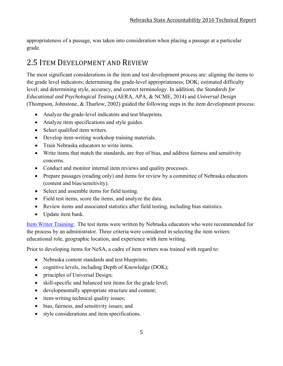appropriateness of a passage, was taken into consideration when placing a passage at a particular grade.

# 2.5 ITEM DEVELOPMENT AND REVIEW

The most significant considerations in the item and test development process are: aligning the items to the grade level indicators; determining the grade-level appropriateness; DOK; estimated difficulty level; and determining style, accuracy, and correct terminology. In addition, the *Standards for Educational and Psychological Testing* (AERA, APA, & NCME, 2014) and *Universal Design* (Thompson, Johnstone, & Thurlow, 2002) guided the following steps in the item development process:

- Analyze the grade-level indicators and test blueprints.
- Analyze item specifications and style guides.
- Select qualified item writers.
- Develop item-writing workshop training materials.
- Train Nebraska educators to write items.
- Write items that match the standards, are free of bias, and address fairness and sensitivity concerns.
- Conduct and monitor internal item reviews and quality processes.
- Prepare passages (reading only) and items for review by a committee of Nebraska educators (content and bias/sensitivity).
- Select and assemble items for field testing.
- Field test items, score the items, and analyze the data.
- Review items and associated statistics after field testing, including bias statistics.
- Update item bank.

Item Writer Training: The test items were written by Nebraska educators who were recommended for the process by an administrator. Three criteria were considered in selecting the item writers: educational role, geographic location, and experience with item writing.

Prior to developing items for NeSA, a cadre of item writers was trained with regard to:

- Nebraska content standards and test blueprints;
- cognitive levels, including Depth of Knowledge (DOK);
- principles of Universal Design;
- skill-specific and balanced test items for the grade level;
- developmentally appropriate structure and content;
- item-writing technical quality issues;
- bias, fairness, and sensitivity issues; and
- style considerations and item specifications.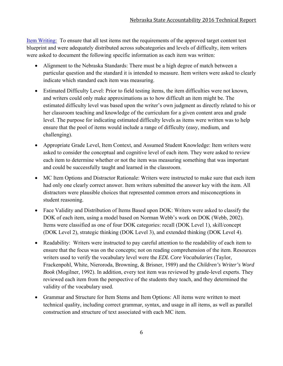Item Writing: To ensure that all test items met the requirements of the approved target content test blueprint and were adequately distributed across subcategories and levels of difficulty, item writers were asked to document the following specific information as each item was written:

- Alignment to the Nebraska Standards: There must be a high degree of match between a particular question and the standard it is intended to measure. Item writers were asked to clearly indicate which standard each item was measuring.
- Estimated Difficulty Level: Prior to field testing items, the item difficulties were not known, and writers could only make approximations as to how difficult an item might be. The estimated difficulty level was based upon the writer's own judgment as directly related to his or her classroom teaching and knowledge of the curriculum for a given content area and grade level. The purpose for indicating estimated difficulty levels as items were written was to help ensure that the pool of items would include a range of difficulty (easy, medium, and challenging).
- Appropriate Grade Level, Item Context, and Assumed Student Knowledge: Item writers were asked to consider the conceptual and cognitive level of each item. They were asked to review each item to determine whether or not the item was measuring something that was important and could be successfully taught and learned in the classroom.
- MC Item Options and Distractor Rationale: Writers were instructed to make sure that each item had only one clearly correct answer. Item writers submitted the answer key with the item. All distractors were plausible choices that represented common errors and misconceptions in student reasoning.
- Face Validity and Distribution of Items Based upon DOK: Writers were asked to classify the DOK of each item, using a model based on Norman Webb's work on DOK (Webb, 2002). Items were classified as one of four DOK categories: recall (DOK Level 1), skill/concept (DOK Level 2), strategic thinking (DOK Level 3), and extended thinking (DOK Level 4).
- Readability: Writers were instructed to pay careful attention to the readability of each item to ensure that the focus was on the concepts; not on reading comprehension of the item. Resources writers used to verify the vocabulary level were the *EDL Core Vocabularies* (Taylor, Frackenpohl, White, Nieroroda, Browning, & Brisner, 1989) and the *Children's Writer's Word Book* (Mogilner, 1992). In addition, every test item was reviewed by grade-level experts. They reviewed each item from the perspective of the students they teach, and they determined the validity of the vocabulary used.
- Grammar and Structure for Item Stems and Item Options: All items were written to meet technical quality, including correct grammar, syntax, and usage in all items, as well as parallel construction and structure of text associated with each MC item.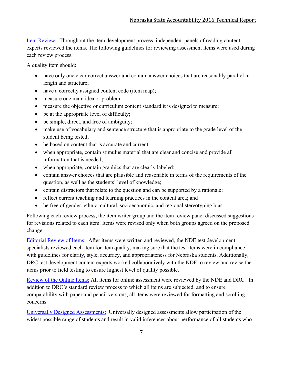Item Review: Throughout the item development process, independent panels of reading content experts reviewed the items. The following guidelines for reviewing assessment items were used during each review process.

A quality item should:

- have only one clear correct answer and contain answer choices that are reasonably parallel in length and structure;
- have a correctly assigned content code (item map);
- measure one main idea or problem;
- measure the objective or curriculum content standard it is designed to measure;
- be at the appropriate level of difficulty;
- be simple, direct, and free of ambiguity;
- make use of vocabulary and sentence structure that is appropriate to the grade level of the student being tested;
- be based on content that is accurate and current;
- when appropriate, contain stimulus material that are clear and concise and provide all information that is needed;
- when appropriate, contain graphics that are clearly labeled;
- contain answer choices that are plausible and reasonable in terms of the requirements of the question, as well as the students' level of knowledge;
- contain distractors that relate to the question and can be supported by a rationale;
- reflect current teaching and learning practices in the content area; and
- be free of gender, ethnic, cultural, socioeconomic, and regional stereotyping bias.

Following each review process, the item writer group and the item review panel discussed suggestions for revisions related to each item. Items were revised only when both groups agreed on the proposed change.

Editorial Review of Items: After items were written and reviewed, the NDE test development specialists reviewed each item for item quality, making sure that the test items were in compliance with guidelines for clarity, style, accuracy, and appropriateness for Nebraska students. Additionally, DRC test development content experts worked collaboratively with the NDE to review and revise the items prior to field testing to ensure highest level of quality possible.

Review of the Online Items: All items for online assessment were reviewed by the NDE and DRC. In addition to DRC's standard review process to which all items are subjected, and to ensure comparability with paper and pencil versions, all items were reviewed for formatting and scrolling concerns.

Universally Designed Assessments: Universally designed assessments allow participation of the widest possible range of students and result in valid inferences about performance of all students who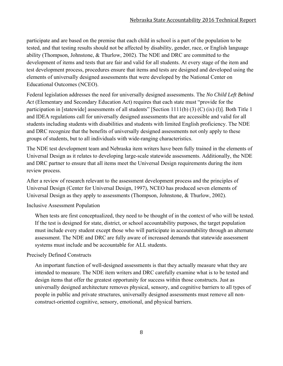participate and are based on the premise that each child in school is a part of the population to be tested, and that testing results should not be affected by disability, gender, race, or English language ability (Thompson, Johnstone, & Thurlow, 2002). The NDE and DRC are committed to the development of items and tests that are fair and valid for all students. At every stage of the item and test development process, procedures ensure that items and tests are designed and developed using the elements of universally designed assessments that were developed by the National Center on Educational Outcomes (NCEO).

Federal legislation addresses the need for universally designed assessments. The *No Child Left Behind Act* (Elementary and Secondary Education Act) requires that each state must "provide for the participation in [statewide] assessments of all students" [Section 1111(b) (3) (C) (ix) (l)]. Both Title 1 and IDEA regulations call for universally designed assessments that are accessible and valid for all students including students with disabilities and students with limited English proficiency. The NDE and DRC recognize that the benefits of universally designed assessments not only apply to these groups of students, but to all individuals with wide-ranging characteristics.

The NDE test development team and Nebraska item writers have been fully trained in the elements of Universal Design as it relates to developing large-scale statewide assessments. Additionally, the NDE and DRC partner to ensure that all items meet the Universal Design requirements during the item review process.

After a review of research relevant to the assessment development process and the principles of Universal Design (Center for Universal Design, 1997), NCEO has produced seven elements of Universal Design as they apply to assessments (Thompson, Johnstone, & Thurlow, 2002).

Inclusive Assessment Population

When tests are first conceptualized, they need to be thought of in the context of who will be tested. If the test is designed for state, district, or school accountability purposes, the target population must include every student except those who will participate in accountability through an alternate assessment. The NDE and DRC are fully aware of increased demands that statewide assessment systems must include and be accountable for ALL students.

#### Precisely Defined Constructs

An important function of well-designed assessments is that they actually measure what they are intended to measure. The NDE item writers and DRC carefully examine what is to be tested and design items that offer the greatest opportunity for success within those constructs. Just as universally designed architecture removes physical, sensory, and cognitive barriers to all types of people in public and private structures, universally designed assessments must remove all nonconstruct-oriented cognitive, sensory, emotional, and physical barriers.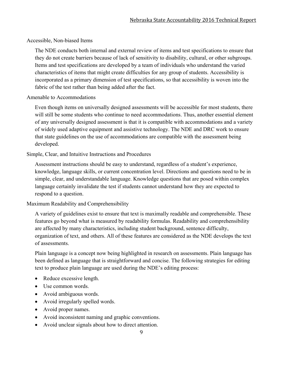#### Accessible, Non-biased Items

The NDE conducts both internal and external review of items and test specifications to ensure that they do not create barriers because of lack of sensitivity to disability, cultural, or other subgroups. Items and test specifications are developed by a team of individuals who understand the varied characteristics of items that might create difficulties for any group of students. Accessibility is incorporated as a primary dimension of test specifications, so that accessibility is woven into the fabric of the test rather than being added after the fact.

#### Amenable to Accommodations

Even though items on universally designed assessments will be accessible for most students, there will still be some students who continue to need accommodations. Thus, another essential element of any universally designed assessment is that it is compatible with accommodations and a variety of widely used adaptive equipment and assistive technology. The NDE and DRC work to ensure that state guidelines on the use of accommodations are compatible with the assessment being developed.

#### Simple, Clear, and Intuitive Instructions and Procedures

Assessment instructions should be easy to understand, regardless of a student's experience, knowledge, language skills, or current concentration level. Directions and questions need to be in simple, clear, and understandable language. Knowledge questions that are posed within complex language certainly invalidate the test if students cannot understand how they are expected to respond to a question.

#### Maximum Readability and Comprehensibility

A variety of guidelines exist to ensure that text is maximally readable and comprehensible. These features go beyond what is measured by readability formulas. Readability and comprehensibility are affected by many characteristics, including student background, sentence difficulty, organization of text, and others. All of these features are considered as the NDE develops the text of assessments.

Plain language is a concept now being highlighted in research on assessments. Plain language has been defined as language that is straightforward and concise. The following strategies for editing text to produce plain language are used during the NDE's editing process:

- Reduce excessive length.
- Use common words.
- Avoid ambiguous words.
- Avoid irregularly spelled words.
- Avoid proper names.
- Avoid inconsistent naming and graphic conventions.
- Avoid unclear signals about how to direct attention.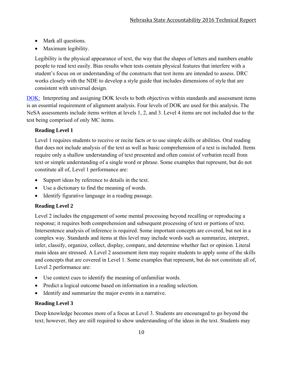- Mark all questions.
- Maximum legibility.

Legibility is the physical appearance of text, the way that the shapes of letters and numbers enable people to read text easily. Bias results when tests contain physical features that interfere with a student's focus on or understanding of the constructs that test items are intended to assess. DRC works closely with the NDE to develop a style guide that includes dimensions of style that are consistent with universal design.

DOK: Interpreting and assigning DOK levels to both objectives within standards and assessment items is an essential requirement of alignment analysis. Four levels of DOK are used for this analysis. The NeSA assessments include items written at levels 1, 2, and 3. Level 4 items are not included due to the test being comprised of only MC items.

#### **Reading Level 1**

Level 1 requires students to receive or recite facts or to use simple skills or abilities. Oral reading that does not include analysis of the text as well as basic comprehension of a text is included. Items require only a shallow understanding of text presented and often consist of verbatim recall from text or simple understanding of a single word or phrase. Some examples that represent, but do not constitute all of, Level 1 performance are:

- Support ideas by reference to details in the text.
- Use a dictionary to find the meaning of words.
- Identify figurative language in a reading passage.

#### **Reading Level 2**

Level 2 includes the engagement of some mental processing beyond recalling or reproducing a response; it requires both comprehension and subsequent processing of text or portions of text. Intersentence analysis of inference is required. Some important concepts are covered, but not in a complex way. Standards and items at this level may include words such as summarize, interpret, infer, classify, organize, collect, display, compare, and determine whether fact or opinion. Literal main ideas are stressed. A Level 2 assessment item may require students to apply some of the skills and concepts that are covered in Level 1. Some examples that represent, but do not constitute all of, Level 2 performance are:

- Use context cues to identify the meaning of unfamiliar words.
- Predict a logical outcome based on information in a reading selection.
- Identify and summarize the major events in a narrative.

#### **Reading Level 3**

Deep knowledge becomes more of a focus at Level 3. Students are encouraged to go beyond the text; however, they are still required to show understanding of the ideas in the text. Students may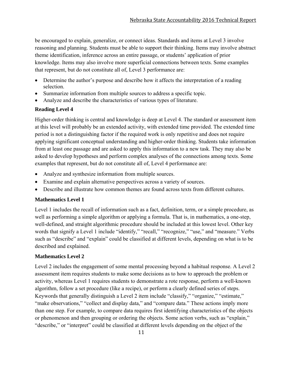be encouraged to explain, generalize, or connect ideas. Standards and items at Level 3 involve reasoning and planning. Students must be able to support their thinking. Items may involve abstract theme identification, inference across an entire passage, or students' application of prior knowledge. Items may also involve more superficial connections between texts. Some examples that represent, but do not constitute all of, Level 3 performance are:

- Determine the author's purpose and describe how it affects the interpretation of a reading selection.
- Summarize information from multiple sources to address a specific topic.
- Analyze and describe the characteristics of various types of literature.

#### **Reading Level 4**

Higher-order thinking is central and knowledge is deep at Level 4. The standard or assessment item at this level will probably be an extended activity, with extended time provided. The extended time period is not a distinguishing factor if the required work is only repetitive and does not require applying significant conceptual understanding and higher-order thinking. Students take information from at least one passage and are asked to apply this information to a new task. They may also be asked to develop hypotheses and perform complex analyses of the connections among texts. Some examples that represent, but do not constitute all of, Level 4 performance are:

- Analyze and synthesize information from multiple sources.
- Examine and explain alternative perspectives across a variety of sources.
- Describe and illustrate how common themes are found across texts from different cultures.

#### **Mathematics Level 1**

Level 1 includes the recall of information such as a fact, definition, term, or a simple procedure, as well as performing a simple algorithm or applying a formula. That is, in mathematics, a one-step, well-defined, and straight algorithmic procedure should be included at this lowest level. Other key words that signify a Level 1 include "identify," "recall," "recognize," "use," and "measure." Verbs such as "describe" and "explain" could be classified at different levels, depending on what is to be described and explained.

#### **Mathematics Level 2**

Level 2 includes the engagement of some mental processing beyond a habitual response. A Level 2 assessment item requires students to make some decisions as to how to approach the problem or activity, whereas Level 1 requires students to demonstrate a rote response, perform a well-known algorithm, follow a set procedure (like a recipe), or perform a clearly defined series of steps. Keywords that generally distinguish a Level 2 item include "classify," "organize," "estimate," "make observations," "collect and display data," and "compare data." These actions imply more than one step. For example, to compare data requires first identifying characteristics of the objects or phenomenon and then grouping or ordering the objects. Some action verbs, such as "explain," "describe," or "interpret" could be classified at different levels depending on the object of the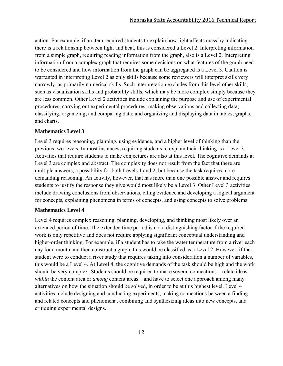action. For example, if an item required students to explain how light affects mass by indicating there is a relationship between light and heat, this is considered a Level 2. Interpreting information from a simple graph, requiring reading information from the graph, also is a Level 2. Interpreting information from a complex graph that requires some decisions on what features of the graph need to be considered and how information from the graph can be aggregated is a Level 3. Caution is warranted in interpreting Level 2 as only skills because some reviewers will interpret skills very narrowly, as primarily numerical skills. Such interpretation excludes from this level other skills, such as visualization skills and probability skills, which may be more complex simply because they are less common. Other Level 2 activities include explaining the purpose and use of experimental procedures; carrying out experimental procedures; making observations and collecting data; classifying, organizing, and comparing data; and organizing and displaying data in tables, graphs, and charts.

#### **Mathematics Level 3**

Level 3 requires reasoning, planning, using evidence, and a higher level of thinking than the previous two levels. In most instances, requiring students to explain their thinking is a Level 3. Activities that require students to make conjectures are also at this level. The cognitive demands at Level 3 are complex and abstract. The complexity does not result from the fact that there are multiple answers, a possibility for both Levels 1 and 2, but because the task requires more demanding reasoning. An activity, however, that has more than one possible answer and requires students to justify the response they give would most likely be a Level 3. Other Level 3 activities include drawing conclusions from observations, citing evidence and developing a logical argument for concepts, explaining phenomena in terms of concepts, and using concepts to solve problems.

#### **Mathematics Level 4**

Level 4 requires complex reasoning, planning, developing, and thinking most likely over an extended period of time. The extended time period is not a distinguishing factor if the required work is only repetitive and does not require applying significant conceptual understanding and higher-order thinking. For example, if a student has to take the water temperature from a river each day for a month and then construct a graph, this would be classified as a Level 2. However, if the student were to conduct a river study that requires taking into consideration a number of variables, this would be a Level 4. At Level 4, the cognitive demands of the task should be high and the work should be very complex. Students should be required to make several connections—relate ideas *within* the content area or *among* content areas—and have to select one approach among many alternatives on how the situation should be solved, in order to be at this highest level. Level 4 activities include designing and conducting experiments, making connections between a finding and related concepts and phenomena, combining and synthesizing ideas into new concepts, and critiquing experimental designs.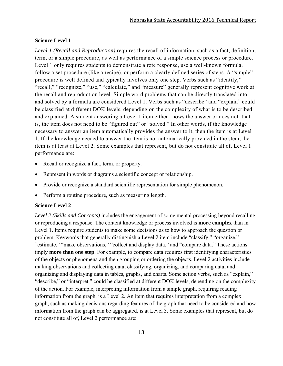#### **Science Level 1**

*Level 1 (Recall and Reproduction)* requires the recall of information, such as a fact, definition, term, or a simple procedure, as well as performance of a simple science process or procedure. Level 1 only requires students to demonstrate a rote response, use a well-known formula, follow a set procedure (like a recipe), or perform a clearly defined series of steps. A "simple" procedure is well defined and typically involves only one step. Verbs such as "identify," "recall," "recognize," "use," "calculate," and "measure" generally represent cognitive work at the recall and reproduction level. Simple word problems that can be directly translated into and solved by a formula are considered Level 1. Verbs such as "describe" and "explain" could be classified at different DOK levels, depending on the complexity of what is to be described and explained. A student answering a Level 1 item either knows the answer or does not: that is, the item does not need to be "figured out" or "solved." In other words, if the knowledge necessary to answer an item automatically provides the answer to it, then the item is at Level 1. If the knowledge needed to answer the item is not automatically provided in the stem, the item is at least at Level 2. Some examples that represent, but do not constitute all of, Level 1 performance are:

- Recall or recognize a fact, term, or property.
- Represent in words or diagrams a scientific concept or relationship.
- Provide or recognize a standard scientific representation for simple phenomenon.
- Perform a routine procedure, such as measuring length.

#### **Science Level 2**

*Level 2 (Skills and Concepts)* includes the engagement of some mental processing beyond recalling or reproducing a response. The content knowledge or process involved is **more complex** than in Level 1. Items require students to make some decisions as to how to approach the question or problem. Keywords that generally distinguish a Level 2 item include "classify," "organize," "estimate," "make observations," "collect and display data," and "compare data." These actions imply **more than one step**. For example, to compare data requires first identifying characteristics of the objects or phenomena and then grouping or ordering the objects. Level 2 activities include making observations and collecting data; classifying, organizing, and comparing data; and organizing and displaying data in tables, graphs, and charts. Some action verbs, such as "explain," "describe," or "interpret," could be classified at different DOK levels, depending on the complexity of the action. For example, interpreting information from a simple graph, requiring reading information from the graph, is a Level 2. An item that requires interpretation from a complex graph, such as making decisions regarding features of the graph that need to be considered and how information from the graph can be aggregated, is at Level 3. Some examples that represent, but do not constitute all of, Level 2 performance are: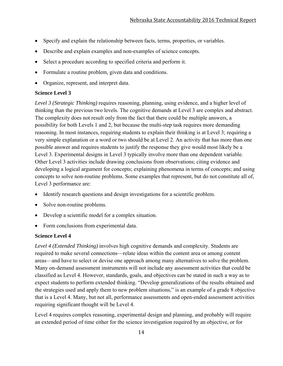- Specify and explain the relationship between facts, terms, properties, or variables.
- Describe and explain examples and non-examples of science concepts.
- Select a procedure according to specified criteria and perform it.
- Formulate a routine problem, given data and conditions.
- Organize, represent, and interpret data.

#### **Science Level 3**

*Level 3 (Strategic Thinking)* requires reasoning, planning, using evidence, and a higher level of thinking than the previous two levels. The cognitive demands at Level 3 are complex and abstract. The complexity does not result only from the fact that there could be multiple answers, a possibility for both Levels 1 and 2, but because the multi-step task requires more demanding reasoning. In most instances, requiring students to explain their thinking is at Level 3; requiring a very simple explanation or a word or two should be at Level 2. An activity that has more than one possible answer and requires students to justify the response they give would most likely be a Level 3. Experimental designs in Level 3 typically involve more than one dependent variable. Other Level 3 activities include drawing conclusions from observations; citing evidence and developing a logical argument for concepts; explaining phenomena in terms of concepts; and using concepts to solve non-routine problems. Some examples that represent, but do not constitute all of, Level 3 performance are:

- Identify research questions and design investigations for a scientific problem.
- Solve non-routine problems.
- Develop a scientific model for a complex situation.
- Form conclusions from experimental data.

#### **Science Level 4**

*Level 4 (Extended Thinking)* involves high cognitive demands and complexity. Students are required to make several connections—relate ideas within the content area or among content areas—and have to select or devise one approach among many alternatives to solve the problem. Many on-demand assessment instruments will not include any assessment activities that could be classified as Level 4. However, standards, goals, and objectives can be stated in such a way as to expect students to perform extended thinking. "Develop generalizations of the results obtained and the strategies used and apply them to new problem situations," is an example of a grade 8 objective that is a Level 4. Many, but not all, performance assessments and open-ended assessment activities requiring significant thought will be Level 4.

Level 4 requires complex reasoning, experimental design and planning, and probably will require an extended period of time either for the science investigation required by an objective, or for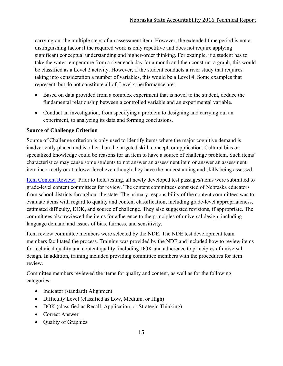carrying out the multiple steps of an assessment item. However, the extended time period is not a distinguishing factor if the required work is only repetitive and does not require applying significant conceptual understanding and higher-order thinking. For example, if a student has to take the water temperature from a river each day for a month and then construct a graph, this would be classified as a Level 2 activity. However, if the student conducts a river study that requires taking into consideration a number of variables, this would be a Level 4. Some examples that represent, but do not constitute all of, Level 4 performance are:

- Based on data provided from a complex experiment that is novel to the student, deduce the fundamental relationship between a controlled variable and an experimental variable.
- Conduct an investigation, from specifying a problem to designing and carrying out an experiment, to analyzing its data and forming conclusions.

#### **Source of Challenge Criterion**

Source of Challenge criterion is only used to identify items where the major cognitive demand is inadvertently placed and is other than the targeted skill, concept, or application. Cultural bias or specialized knowledge could be reasons for an item to have a source of challenge problem. Such items' characteristics may cause some students to not answer an assessment item or answer an assessment item incorrectly or at a lower level even though they have the understanding and skills being assessed.

Item Content Review: Prior to field testing, all newly developed test passages/items were submitted to grade-level content committees for review. The content committees consisted of Nebraska educators from school districts throughout the state. The primary responsibility of the content committees was to evaluate items with regard to quality and content classification, including grade-level appropriateness, estimated difficulty, DOK, and source of challenge. They also suggested revisions, if appropriate. The committees also reviewed the items for adherence to the principles of universal design, including language demand and issues of bias, fairness, and sensitivity.

Item review committee members were selected by the NDE. The NDE test development team members facilitated the process. Training was provided by the NDE and included how to review items for technical quality and content quality, including DOK and adherence to principles of universal design. In addition, training included providing committee members with the procedures for item review.

Committee members reviewed the items for quality and content, as well as for the following categories:

- Indicator (standard) Alignment
- Difficulty Level (classified as Low, Medium, or High)
- DOK (classified as Recall, Application, or Strategic Thinking)
- Correct Answer
- Ouality of Graphics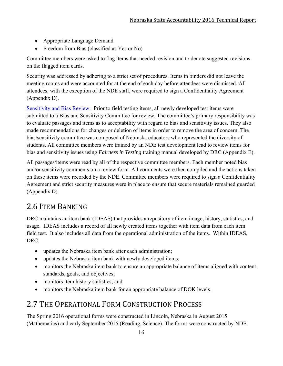- Appropriate Language Demand
- Freedom from Bias (classified as Yes or No)

Committee members were asked to flag items that needed revision and to denote suggested revisions on the flagged item cards.

Security was addressed by adhering to a strict set of procedures. Items in binders did not leave the meeting rooms and were accounted for at the end of each day before attendees were dismissed. All attendees, with the exception of the NDE staff, were required to sign a Confidentiality Agreement (Appendix D).

Sensitivity and Bias Review: Prior to field testing items, all newly developed test items were submitted to a Bias and Sensitivity Committee for review. The committee's primary responsibility was to evaluate passages and items as to acceptability with regard to bias and sensitivity issues. They also made recommendations for changes or deletion of items in order to remove the area of concern. The bias/sensitivity committee was composed of Nebraska educators who represented the diversity of students. All committee members were trained by an NDE test development lead to review items for bias and sensitivity issues using *Fairness in Testing* training manual developed by DRC (Appendix E).

All passages/items were read by all of the respective committee members. Each member noted bias and/or sensitivity comments on a review form. All comments were then compiled and the actions taken on these items were recorded by the NDE. Committee members were required to sign a Confidentiality Agreement and strict security measures were in place to ensure that secure materials remained guarded (Appendix D).

# 2.6 ITEM BANKING

DRC maintains an item bank (IDEAS) that provides a repository of item image, history, statistics, and usage. IDEAS includes a record of all newly created items together with item data from each item field test. It also includes all data from the operational administration of the items. Within IDEAS, DRC:

- updates the Nebraska item bank after each administration;
- updates the Nebraska item bank with newly developed items;
- monitors the Nebraska item bank to ensure an appropriate balance of items aligned with content standards, goals, and objectives;
- monitors item history statistics; and
- monitors the Nebraska item bank for an appropriate balance of DOK levels.

# 2.7 THE OPERATIONAL FORM CONSTRUCTION PROCESS

The Spring 2016 operational forms were constructed in Lincoln, Nebraska in August 2015 (Mathematics) and early September 2015 (Reading, Science). The forms were constructed by NDE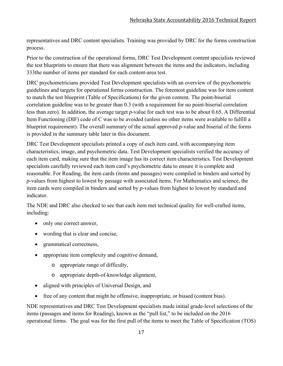representatives and DRC content specialists. Training was provided by DRC for the forms construction process.

Prior to the construction of the operational forms, DRC Test Development content specialists reviewed the test blueprints to ensure that there was alignment between the items and the indicators, including 333the number of items per standard for each content-area test.

DRC psychometricians provided Test Development specialists with an overview of the psychometric guidelines and targets for operational forms construction. The foremost guideline was for item content to match the test blueprint (Table of Specifications) for the given content. The point-biserial correlation guideline was to be greater than 0.3 (with a requirement for no point-biserial correlation less than zero). In addition, the average target *p*-value for each test was to be about 0.65. A Differential Item Functioning (DIF) code of C was to be avoided (unless no other items were available to fulfill a blueprint requirement). The overall summary of the actual approved *p*-value and biserial of the forms is provided in the summary table later in this document.

DRC Test Development specialists printed a copy of each item card, with accompanying item characteristics, image, and psychometric data. Test Development specialists verified the accuracy of each item card, making sure that the item image has its correct item characteristics. Test Development specialists carefully reviewed each item card's psychometric data to ensure it is complete and reasonable. For Reading, the item cards (items and passages) were compiled in binders and sorted by *p*-values from highest to lowest by passage with associated items. For Mathematics and science, the item cards were compiled in binders and sorted by *p*-values from highest to lowest by standard and indicator.

The NDE and DRC also checked to see that each item met technical quality for well-crafted items, including:

- only one correct answer,
- wording that is clear and concise,
- grammatical correctness,
- appropriate item complexity and cognitive demand,
	- o appropriate range of difficulty,
	- o appropriate depth-of-knowledge alignment,
- aligned with principles of Universal Design, and
- free of any content that might be offensive, inappropriate, or biased (content bias).

NDE representatives and DRC Test Development specialists made initial grade-level selections of the items (passages and items for Reading), known as the "pull list," to be included on the 2016 operational forms. The goal was for the first pull of the items to meet the Table of Specification (TOS)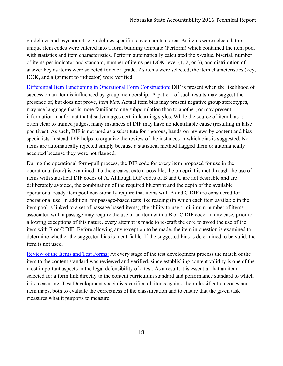guidelines and psychometric guidelines specific to each content area. As items were selected, the unique item codes were entered into a form building template (Perform) which contained the item pool with statistics and item characteristics. Perform automatically calculated the *p*-value, biserial, number of items per indicator and standard, number of items per DOK level (1, 2, or 3), and distribution of answer key as items were selected for each grade. As items were selected, the item characteristics (key, DOK, and alignment to indicator) were verified.

Differential Item Functioning in Operational Form Construction: DIF is present when the likelihood of success on an item is influenced by group membership. A pattern of such results may suggest the presence of, but does not prove, *item bias*. Actual item bias may present negative group stereotypes, may use language that is more familiar to one subpopulation than to another, or may present information in a format that disadvantages certain learning styles. While the source of item bias is often clear to trained judges, many instances of DIF may have no identifiable cause (resulting in false positives). As such, DIF is not used as a substitute for rigorous, hands-on reviews by content and bias specialists. Instead, DIF helps to organize the review of the instances in which bias is suggested. No items are automatically rejected simply because a statistical method flagged them or automatically accepted because they were not flagged.

During the operational form-pull process, the DIF code for every item proposed for use in the operational (core) is examined. To the greatest extent possible, the blueprint is met through the use of items with statistical DIF codes of A. Although DIF codes of B and C are not desirable and are deliberately avoided, the combination of the required blueprint and the depth of the available operational-ready item pool occasionally require that items with B and C DIF are considered for operational use. In addition, for passage-based tests like reading (in which each item available in the item pool is linked to a set of passage-based items), the ability to use a minimum number of items associated with a passage may require the use of an item with a B or C DIF code. In any case, prior to allowing exceptions of this nature, every attempt is made to re-craft the core to avoid the use of the item with B or C DIF. Before allowing any exception to be made, the item in question is examined to determine whether the suggested bias is identifiable. If the suggested bias is determined to be valid, the item is not used.

Review of the Items and Test Forms: At every stage of the test development process the match of the item to the content standard was reviewed and verified, since establishing content validity is one of the most important aspects in the legal defensibility of a test. As a result, it is essential that an item selected for a form link directly to the content curriculum standard and performance standard to which it is measuring. Test Development specialists verified all items against their classification codes and item maps, both to evaluate the correctness of the classification and to ensure that the given task measures what it purports to measure.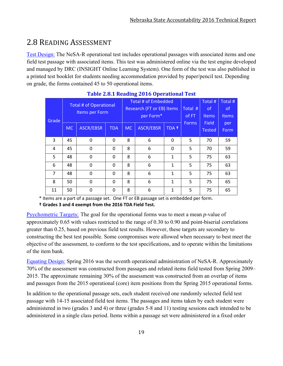# 2.8 READING ASSESSMENT

Test Design: The NeSA-R operational test includes operational passages with associated items and one field test passage with associated items. This test was administered online via the test engine developed and managed by DRC (INSIGHT Online Learning System). One form of the test was also published in a printed test booklet for students needing accommodation provided by paper/pencil test. Depending on grade, the forms contained 45 to 50 operational items.

| Grade          | <b>Total # of Operational</b><br>Items per Form |                  |            | Total # of Embedded<br>Research (FT or EB) Items<br>per Form* |                  |              | Total #<br>of FT | Total #<br>0f<br><b>Items</b> | Total #<br>0f<br>Items |
|----------------|-------------------------------------------------|------------------|------------|---------------------------------------------------------------|------------------|--------------|------------------|-------------------------------|------------------------|
|                | <b>MC</b>                                       | <b>ASCR/EBSR</b> | <b>TDA</b> | MC.                                                           | <b>ASCR/EBSR</b> | TDA +        | <b>Forms</b>     | Field<br><b>Tested</b>        | per<br>Form            |
| 3              | 45                                              | $\Omega$         | $\Omega$   | 8                                                             | 6                | $\Omega$     | 5                | 70                            | 59                     |
| 4              | 45                                              | $\Omega$         | $\Omega$   | 8                                                             | 6                | $\Omega$     | 5                | 70                            | 59                     |
| 5              | 48                                              | 0                | 0          | 8                                                             | 6                | $\mathbf{1}$ | 5                | 75                            | 63                     |
| 6              | 48                                              | $\Omega$         | $\Omega$   | 8                                                             | 6                | $\mathbf{1}$ | 5                | 75                            | 63                     |
| $\overline{7}$ | 48                                              | $\Omega$         | $\Omega$   | 8                                                             | 6                | 1            | 5                | 75                            | 63                     |
| 8              | 50                                              | $\Omega$         | $\Omega$   | 8                                                             | 6                | 1            | 5                | 75                            | 65                     |
| 11             | 50                                              | $\Omega$         | $\Omega$   | 8                                                             | 6                | 1            | 5                | 75                            | 65                     |

#### **Table 2.8.1 Reading 2016 Operational Test**

\* Items are a part of a passage set. One FT or EB passage set is embedded per form.

**† Grades 3 and 4 exempt from the 2016 TDA Field Test.**

Psychometric Targets: The goal for the operational forms was to meet a mean *p*-value of approximately 0.65 with values restricted to the range of 0.30 to 0.90 and point-biserial correlations greater than 0.25, based on previous field test results. However, these targets are secondary to constructing the best test possible. Some compromises were allowed when necessary to best meet the objective of the assessment, to conform to the test specifications, and to operate within the limitations of the item bank.

Equating Design: Spring 2016 was the seventh operational administration of NeSA-R. Approximately 70% of the assessment was constructed from passages and related items field tested from Spring 2009– 2015. The approximate remaining 30% of the assessment was constructed from an overlap of items and passages from the 2015 operational (core) item positions from the Spring 2015 operational forms.

In addition to the operational passage sets, each student received one randomly selected field test passage with 14-15 associated field test items. The passages and items taken by each student were administered in two (grades 3 and 4) or three (grades 5-8 and 11) testing sessions each intended to be administered in a single class period. Items within a passage set were administered in a fixed order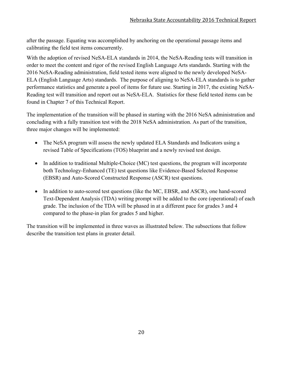after the passage. Equating was accomplished by anchoring on the operational passage items and calibrating the field test items concurrently.

With the adoption of revised NeSA-ELA standards in 2014, the NeSA-Reading tests will transition in order to meet the content and rigor of the revised English Language Arts standards. Starting with the 2016 NeSA-Reading administration, field tested items were aligned to the newly developed NeSA-ELA (English Language Arts) standards. The purpose of aligning to NeSA-ELA standards is to gather performance statistics and generate a pool of items for future use. Starting in 2017, the existing NeSA-Reading test will transition and report out as NeSA-ELA. Statistics for these field tested items can be found in Chapter 7 of this Technical Report.

The implementation of the transition will be phased in starting with the 2016 NeSA administration and concluding with a fully transition test with the 2018 NeSA administration. As part of the transition, three major changes will be implemented:

- The NeSA program will assess the newly updated ELA Standards and Indicators using a revised Table of Specifications (TOS) blueprint and a newly revised test design.
- In addition to traditional Multiple-Choice (MC) test questions, the program will incorporate both Technology-Enhanced (TE) test questions like Evidence-Based Selected Response (EBSR) and Auto-Scored Constructed Response (ASCR) test questions.
- In addition to auto-scored test questions (like the MC, EBSR, and ASCR), one hand-scored Text-Dependent Analysis (TDA) writing prompt will be added to the core (operational) of each grade. The inclusion of the TDA will be phased in at a different pace for grades 3 and 4 compared to the phase-in plan for grades 5 and higher.

The transition will be implemented in three waves as illustrated below. The subsections that follow describe the transition test plans in greater detail.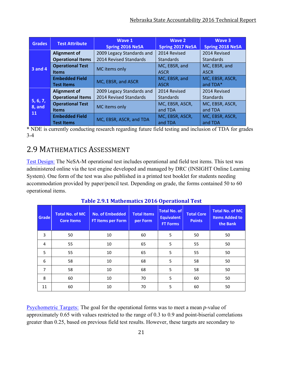| <b>Grades</b>  | <b>Test Attribute</b>    | Wave 1<br><b>Spring 2016 NeSA</b> | <b>Wave 2</b><br><b>Spring 2017 NeSA</b> | Wave 3<br><b>Spring 2018 NeSA</b> |
|----------------|--------------------------|-----------------------------------|------------------------------------------|-----------------------------------|
|                | <b>Alignment of</b>      | 2009 Legacy Standards and         | 2014 Revised                             | 2014 Revised                      |
|                | <b>Operational Items</b> | 2014 Revised Standards            | <b>Standards</b>                         | <b>Standards</b>                  |
| <b>3 and 4</b> | <b>Operational Test</b>  | MC items only                     | MC, EBSR, and                            | MC, EBSR, and                     |
|                | <b>Items</b>             |                                   | <b>ASCR</b>                              | <b>ASCR</b>                       |
|                | <b>Embedded Field</b>    | MC, EBSR, and ASCR                | MC, EBSR, and                            | MC, EBSR, ASCR,                   |
|                | <b>Test Items</b>        |                                   | <b>ASCR</b>                              | and TDA*                          |
|                | <b>Alignment of</b>      | 2009 Legacy Standards and         | 2014 Revised                             | 2014 Revised                      |
|                | <b>Operational Items</b> | 2014 Revised Standards            | <b>Standards</b>                         | <b>Standards</b>                  |
| 5, 6, 7,       | <b>Operational Test</b>  | MC items only                     | MC, EBSR, ASCR,                          | MC, EBSR, ASCR,                   |
| 8, and<br>11   | <b>Items</b>             |                                   | and TDA                                  | and TDA                           |
|                | <b>Embedded Field</b>    | MC, EBSR, ASCR, and TDA           | MC, EBSR, ASCR,                          | MC, EBSR, ASCR,                   |
|                | <b>Test Items</b>        |                                   | and TDA                                  | and TDA                           |

\* NDE is currently conducting research regarding future field testing and inclusion of TDA for grades 3-4

# 2.9 MATHEMATICS ASSESSMENT

Test Design: The NeSA-M operational test includes operational and field test items. This test was administered online via the test engine developed and managed by DRC (INSIGHT Online Learning System). One form of the test was also published in a printed test booklet for students needing accommodation provided by paper/pencil test. Depending on grade, the forms contained 50 to 60 operational items.

| Grade          | <b>Total No. of MC</b><br><b>Core Items</b> | <b>No. of Embedded</b><br><b>FT Items per Form</b> | <b>Total Items</b><br>per Form | <b>Total No. of</b><br><b>Equivalent</b><br><b>FT Forms</b> | <b>Total Core</b><br><b>Points</b> | <b>Total No. of MC</b><br><b>Items Added to</b><br>the Bank |
|----------------|---------------------------------------------|----------------------------------------------------|--------------------------------|-------------------------------------------------------------|------------------------------------|-------------------------------------------------------------|
| 3              | 50                                          | 10                                                 | 60                             | 5                                                           | 50                                 | 50                                                          |
| $\overline{4}$ | 55                                          | 10                                                 | 65                             | 5                                                           | 55                                 | 50                                                          |
| 5              | 55                                          | 10                                                 | 65                             | 5                                                           | 55                                 | 50                                                          |
| 6              | 58                                          | 10                                                 | 68                             | 5                                                           | 58                                 | 50                                                          |
| $\overline{7}$ | 58                                          | 10                                                 | 68                             | 5                                                           | 58                                 | 50                                                          |
| 8              | 60                                          | 10                                                 | 70                             | 5                                                           | 60                                 | 50                                                          |
| 11             | 60                                          | 10                                                 | 70                             | 5                                                           | 60                                 | 50                                                          |

**Table 2.9.1 Mathematics 2016 Operational Test**

Psychometric Targets: The goal for the operational forms was to meet a mean *p*-value of approximately 0.65 with values restricted to the range of 0.3 to 0.9 and point-biserial correlations greater than 0.25, based on previous field test results. However, these targets are secondary to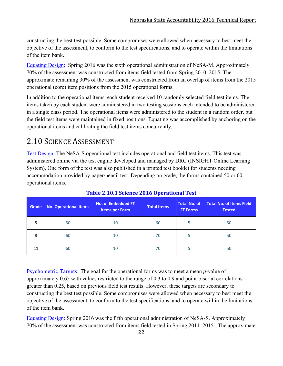constructing the best test possible. Some compromises were allowed when necessary to best meet the objective of the assessment, to conform to the test specifications, and to operate within the limitations of the item bank.

Equating Design: Spring 2016 was the sixth operational administration of NeSA-M. Approximately 70% of the assessment was constructed from items field tested from Spring 2010–2015. The approximate remaining 30% of the assessment was constructed from an overlap of items from the 2015 operational (core) item positions from the 2015 operational forms.

In addition to the operational items, each student received 10 randomly selected field test items. The items taken by each student were administered in two testing sessions each intended to be administered in a single class period. The operational items were administered to the student in a random order, but the field test items were maintained in fixed positions. Equating was accomplished by anchoring on the operational items and calibrating the field test items concurrently.

# 2.10 SCIENCE ASSESSMENT

Test Design: The NeSA-S operational test includes operational and field test items. This test was administered online via the test engine developed and managed by DRC (INSIGHT Online Learning System). One form of the test was also published in a printed test booklet for students needing accommodation provided by paper/pencil test. Depending on grade, the forms contained 50 or 60 operational items.

| Grade | No. Operational Items | <b>No. of Embedded FT</b><br><b>Items per Form</b> | <b>Total Items</b> | Total No. of<br><b>FT Forms</b> | <b>Total No. of Items Field</b><br><b>Tested</b> |
|-------|-----------------------|----------------------------------------------------|--------------------|---------------------------------|--------------------------------------------------|
|       | 50                    | 10                                                 | 60                 |                                 | 50                                               |
| 8     | 60                    | 10                                                 | 70                 |                                 | 50                                               |
| 11    | 60                    | 10                                                 | 70                 |                                 | 50                                               |

#### **Table 2.10.1 Science 2016 Operational Test**

Psychometric Targets: The goal for the operational forms was to meet a mean *p*-value of approximately 0.65 with values restricted to the range of 0.3 to 0.9 and point-biserial correlations greater than 0.25, based on previous field test results. However, these targets are secondary to constructing the best test possible. Some compromises were allowed when necessary to best meet the objective of the assessment, to conform to the test specifications, and to operate within the limitations of the item bank.

Equating Design: Spring 2016 was the fifth operational administration of NeSA-S. Approximately 70% of the assessment was constructed from items field tested in Spring 2011–2015. The approximate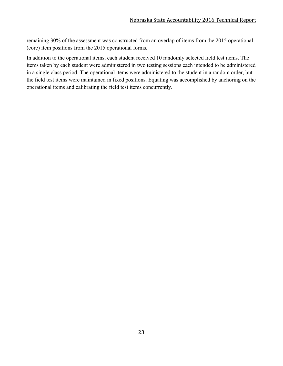remaining 30% of the assessment was constructed from an overlap of items from the 2015 operational (core) item positions from the 2015 operational forms.

In addition to the operational items, each student received 10 randomly selected field test items. The items taken by each student were administered in two testing sessions each intended to be administered in a single class period. The operational items were administered to the student in a random order, but the field test items were maintained in fixed positions. Equating was accomplished by anchoring on the operational items and calibrating the field test items concurrently.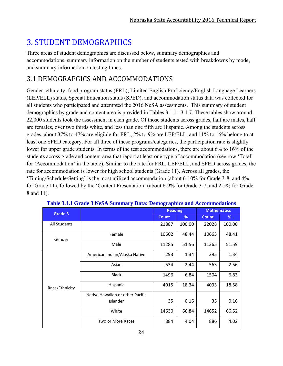# **3. STUDENT DEMOGRAPHICS**

Three areas of student demographics are discussed below, summary demographics and accommodations, summary information on the number of students tested with breakdowns by mode, and summary information on testing times.

### 3.1 DEMOGRAPGICS AND ACCOMMODATIONS

Gender, ethnicity, food program status (FRL), Limited English Proficiency/English Language Learners (LEP/ELL) status, Special Education status (SPED), and accommodation status data was collected for all students who participated and attempted the 2016 NeSA assessments. This summary of student demographics by grade and content area is provided in Tables 3.1.1– 3.1.7. These tables show around 22,000 students took the assessment in each grade. Of those students across grades, half are males, half are females, over two thirds white, and less than one fifth are Hispanic. Among the students across grades, about 37% to 47% are eligible for FRL, 2% to 9% are LEP/ELL, and 11% to 16% belong to at least one SPED category. For all three of these programs/categories, the participation rate is slightly lower for upper grade students. In terms of the test accommodations, there are about 6% to 16% of the students across grade and content area that report at least one type of accommodation (see row 'Total' for 'Accommodation' in the table). Similar to the rate for FRL, LEP/ELL, and SPED across grades, the rate for accommodation is lower for high school students (Grade 11). Across all grades, the 'Timing/Schedule/Setting' is the most utilized accommodation (about 6-10% for Grade 3-8, and 4% for Grade 11), followed by the 'Content Presentation' (about 6-9% for Grade 3-7, and 2-5% for Grade 8 and 11).

| Grade 3             |                                  | <b>Reading</b> |        | <b>Mathematics</b> |        |  |
|---------------------|----------------------------------|----------------|--------|--------------------|--------|--|
|                     |                                  | <b>Count</b>   | %      | <b>Count</b>       | %      |  |
| <b>All Students</b> |                                  | 21887          | 100.00 | 22028              | 100.00 |  |
| Gender              | Female                           | 10602          | 48.44  | 10663              | 48.41  |  |
|                     | Male                             | 11285          | 51.56  | 11365              | 51.59  |  |
|                     | American Indian/Alaska Native    | 293            | 1.34   | 295                | 1.34   |  |
|                     | Asian                            | 534            | 2.44   | 563                | 2.56   |  |
|                     | <b>Black</b>                     | 1496           | 6.84   | 1504               | 6.83   |  |
| Race/Ethnicity      | Hispanic                         | 4015           | 18.34  | 4093               | 18.58  |  |
|                     | Native Hawaiian or other Pacific |                |        |                    |        |  |
|                     | Islander                         | 35             | 0.16   | 35                 | 0.16   |  |
|                     | White                            | 14630          | 66.84  | 14652              | 66.52  |  |
|                     | Two or More Races                | 884            | 4.04   | 886                | 4.02   |  |

|  |  |  | Table 3.1.1 Grade 3 NeSA Summary Data: Demographics and Accommodations |
|--|--|--|------------------------------------------------------------------------|
|  |  |  |                                                                        |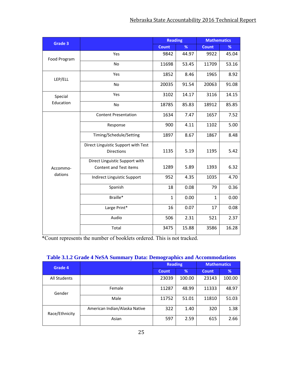| Grade 3             |                                     | <b>Reading</b> |       | <b>Mathematics</b> |       |
|---------------------|-------------------------------------|----------------|-------|--------------------|-------|
|                     |                                     | <b>Count</b>   | %     | <b>Count</b>       | %     |
| Food Program        | Yes                                 | 9842           | 44.97 | 9922               | 45.04 |
|                     | No                                  | 11698          | 53.45 | 11709              | 53.16 |
| LEP/ELL             | Yes                                 | 1852           | 8.46  | 1965               | 8.92  |
|                     | No                                  | 20035          | 91.54 | 20063              | 91.08 |
| Special             | Yes                                 | 3102           | 14.17 | 3116               | 14.15 |
| Education           | No                                  | 18785          | 85.83 | 18912              | 85.85 |
|                     | <b>Content Presentation</b>         | 1634           | 7.47  | 1657               | 7.52  |
|                     | Response                            | 900            | 4.11  | 1102               | 5.00  |
|                     | Timing/Schedule/Setting             | 1897           | 8.67  | 1867               | 8.48  |
|                     | Direct Linguistic Support with Test |                |       |                    |       |
|                     | <b>Directions</b>                   | 1135           | 5.19  | 1195               | 5.42  |
|                     | Direct Linguistic Support with      |                |       |                    |       |
| Accommo-<br>dations | Content and Test items              | 1289           | 5.89  | 1393               | 6.32  |
|                     | <b>Indirect Linguistic Support</b>  | 952            | 4.35  | 1035               | 4.70  |
|                     | Spanish                             | 18             | 0.08  | 79                 | 0.36  |
|                     | Braille*                            | $\mathbf{1}$   | 0.00  | $\mathbf{1}$       | 0.00  |
|                     | Large Print*                        | 16             | 0.07  | 17                 | 0.08  |
|                     | Audio                               | 506            | 2.31  | 521                | 2.37  |
|                     | Total                               | 3475           | 15.88 | 3586               | 16.28 |

\*Count represents the number of booklets ordered. This is not tracked.

| Table 3.1.2 Grade 4 NeSA Summary Data: Demographics and Accommodations |  |  |
|------------------------------------------------------------------------|--|--|
|                                                                        |  |  |

| Grade 4        |                               | <b>Reading</b> |        | <b>Mathematics</b> |        |  |
|----------------|-------------------------------|----------------|--------|--------------------|--------|--|
|                |                               | <b>Count</b>   | %      | <b>Count</b>       | %      |  |
| All Students   |                               | 23039          | 100.00 | 23143              | 100.00 |  |
| Gender         | Female                        | 11287          | 48.99  | 11333              | 48.97  |  |
|                | Male                          | 11752          | 51.01  | 11810              | 51.03  |  |
| Race/Ethnicity | American Indian/Alaska Native | 322            | 1.40   | 320                | 1.38   |  |
|                | Asian                         | 597            | 2.59   | 615                | 2.66   |  |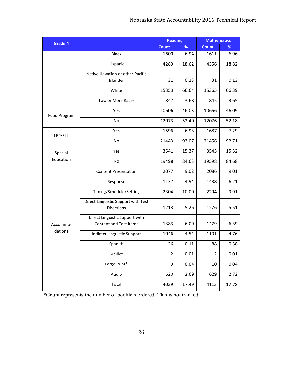| Grade 4      |                                     | <b>Reading</b> |       | <b>Mathematics</b> |       |  |
|--------------|-------------------------------------|----------------|-------|--------------------|-------|--|
|              |                                     | <b>Count</b>   | $\%$  | <b>Count</b>       | %     |  |
|              | <b>Black</b>                        | 1600           | 6.94  | 1611               | 6.96  |  |
|              | Hispanic                            | 4289           | 18.62 | 4356               | 18.82 |  |
|              | Native Hawaiian or other Pacific    |                |       |                    |       |  |
|              | Islander                            | 31             | 0.13  | 31                 | 0.13  |  |
|              | White                               | 15353          | 66.64 | 15365              | 66.39 |  |
|              | Two or More Races                   | 847            | 3.68  | 845                | 3.65  |  |
| Food Program | Yes                                 | 10606          | 46.03 | 10666              | 46.09 |  |
|              | No                                  | 12073          | 52.40 | 12076              | 52.18 |  |
| LEP/ELL      | Yes                                 | 1596           | 6.93  | 1687               | 7.29  |  |
|              | No                                  | 21443          | 93.07 | 21456              | 92.71 |  |
| Special      | Yes                                 | 3541           | 15.37 | 3545               | 15.32 |  |
| Education    | No                                  | 19498          | 84.63 | 19598              | 84.68 |  |
|              | <b>Content Presentation</b>         | 2077           | 9.02  | 2086               | 9.01  |  |
|              | Response                            | 1137           | 4.94  | 1438               | 6.21  |  |
|              | Timing/Schedule/Setting             | 2304           | 10.00 | 2294               | 9.91  |  |
|              | Direct Linguistic Support with Test |                |       |                    |       |  |
|              | <b>Directions</b>                   | 1213           | 5.26  | 1276               | 5.51  |  |
|              | Direct Linguistic Support with      |                |       |                    |       |  |
| Accommo-     | Content and Test items              | 1383           | 6.00  | 1479               | 6.39  |  |
| dations      | Indirect Linguistic Support         | 1046           | 4.54  | 1101               | 4.76  |  |
|              | Spanish                             | 26             | 0.11  | 88                 | 0.38  |  |
|              | Braille*                            | $\overline{2}$ | 0.01  | $\overline{2}$     | 0.01  |  |
|              | Large Print*                        | 9              | 0.04  | 10                 | 0.04  |  |
|              | Audio                               | 620            | 2.69  | 629                | 2.72  |  |
|              | Total                               | 4029           | 17.49 | 4115               | 17.78 |  |

\*Count represents the number of booklets ordered. This is not tracked.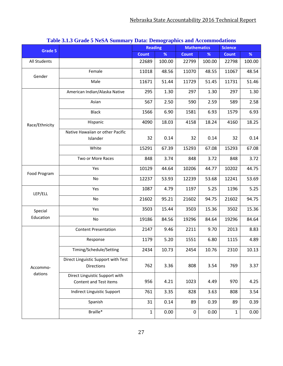| ruore että Staat e Fleori banniait, Dalai Deniographies ana riccommodations |                                                          | <b>Reading</b> |        | <b>Mathematics</b> |        | <b>Science</b> |        |
|-----------------------------------------------------------------------------|----------------------------------------------------------|----------------|--------|--------------------|--------|----------------|--------|
| <b>Grade 5</b>                                                              |                                                          | <b>Count</b>   | %      | <b>Count</b>       | $\%$   | <b>Count</b>   | %      |
| All Students                                                                |                                                          | 22689          | 100.00 | 22799              | 100.00 | 22798          | 100.00 |
| Gender                                                                      | Female                                                   | 11018          | 48.56  | 11070              | 48.55  | 11067          | 48.54  |
|                                                                             | Male                                                     | 11671          | 51.44  | 11729              | 51.45  | 11731          | 51.46  |
|                                                                             | American Indian/Alaska Native                            | 295            | 1.30   | 297                | 1.30   | 297            | 1.30   |
|                                                                             | Asian                                                    | 567            | 2.50   | 590                | 2.59   | 589            | 2.58   |
|                                                                             | <b>Black</b>                                             | 1566           | 6.90   | 1581               | 6.93   | 1579           | 6.93   |
| Race/Ethnicity                                                              | Hispanic                                                 | 4090           | 18.03  | 4158               | 18.24  | 4160           | 18.25  |
|                                                                             | Native Hawaiian or other Pacific                         |                |        |                    |        |                |        |
|                                                                             | Islander                                                 | 32             | 0.14   | 32                 | 0.14   | 32             | 0.14   |
|                                                                             | White                                                    | 15291          | 67.39  | 15293              | 67.08  | 15293          | 67.08  |
|                                                                             | Two or More Races                                        | 848            | 3.74   | 848                | 3.72   | 848            | 3.72   |
| Food Program                                                                | Yes                                                      | 10129          | 44.64  | 10206              | 44.77  | 10202          | 44.75  |
|                                                                             | No                                                       | 12237          | 53.93  | 12239              | 53.68  | 12241          | 53.69  |
| LEP/ELL                                                                     | Yes                                                      | 1087           | 4.79   | 1197               | 5.25   | 1196           | 5.25   |
|                                                                             | No                                                       | 21602          | 95.21  | 21602              | 94.75  | 21602          | 94.75  |
| Special                                                                     | Yes                                                      | 3503           | 15.44  | 3503               | 15.36  | 3502           | 15.36  |
| Education                                                                   | No                                                       | 19186          | 84.56  | 19296              | 84.64  | 19296          | 84.64  |
|                                                                             | <b>Content Presentation</b>                              | 2147           | 9.46   | 2211               | 9.70   | 2013           | 8.83   |
|                                                                             | Response                                                 | 1179           | 5.20   | 1551               | 6.80   | 1115           | 4.89   |
|                                                                             | Timing/Schedule/Setting                                  | 2434           | 10.73  | 2454               | 10.76  | 2310           | 10.13  |
|                                                                             | Direct Linguistic Support with Test                      |                |        |                    |        |                |        |
| Accommo-                                                                    | Directions                                               | 762            | 3.36   | 808                | 3.54   | 769            | 3.37   |
| dations                                                                     | Direct Linguistic Support with<br>Content and Test items | 956            | 4.21   | 1023               | 4.49   | 970            | 4.25   |
|                                                                             |                                                          |                |        |                    |        |                |        |
|                                                                             | <b>Indirect Linguistic Support</b>                       | 761            | 3.35   | 828                | 3.63   | 808            | 3.54   |
|                                                                             | Spanish                                                  | 31             | 0.14   | 89                 | 0.39   | 89             | 0.39   |
|                                                                             | Braille*                                                 | $\mathbf 1$    | 0.00   | $\pmb{0}$          | 0.00   | $\mathbf{1}$   | 0.00   |

#### **Table 3.1.3 Grade 5 NeSA Summary Data: Demographics and Accommodations**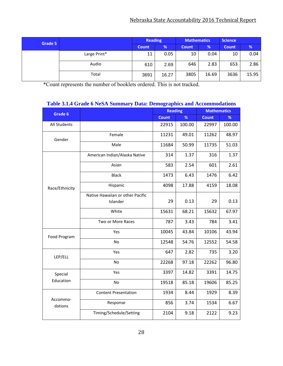#### Nebraska State Accountability 2016 Technical Report

| Grade 5 |              | <b>Reading</b> |       | <b>Mathematics</b> |       | <b>Science</b> |       |
|---------|--------------|----------------|-------|--------------------|-------|----------------|-------|
|         |              | <b>Count</b>   | %     | <b>Count</b>       | %     | <b>Count</b>   | %     |
|         | Large Print* | 11             | 0.05  | 10                 | 0.04  | 10             | 0.04  |
|         | Audio        | 610            | 2.69  | 646                | 2.83  | 653            | 2.86  |
|         | Total        | 3691           | 16.27 | 3805               | 16.69 | 3636           | 15.95 |

\*Count represents the number of booklets ordered. This is not tracked.

|                     | Table 5.1.4 Grade 6 NeSA Summary Data: Demographics and Accommodations |                |        |                    |        |  |  |  |  |
|---------------------|------------------------------------------------------------------------|----------------|--------|--------------------|--------|--|--|--|--|
| Grade 6             |                                                                        | <b>Reading</b> |        | <b>Mathematics</b> |        |  |  |  |  |
|                     |                                                                        | <b>Count</b>   | %      | <b>Count</b>       | %      |  |  |  |  |
| <b>All Students</b> |                                                                        | 22915          | 100.00 | 22997              | 100.00 |  |  |  |  |
| Gender              | Female                                                                 | 11231          | 49.01  | 11262              | 48.97  |  |  |  |  |
|                     | Male                                                                   | 11684          | 50.99  | 11735              | 51.03  |  |  |  |  |
| Race/Ethnicity      | American Indian/Alaska Native                                          | 314            | 1.37   | 316                | 1.37   |  |  |  |  |
|                     | Asian                                                                  | 583            | 2.54   | 601                | 2.61   |  |  |  |  |
|                     | <b>Black</b>                                                           | 1473           | 6.43   | 1476               | 6.42   |  |  |  |  |
|                     | Hispanic                                                               | 4098           | 17.88  | 4159               | 18.08  |  |  |  |  |
|                     | Native Hawaiian or other Pacific                                       |                |        |                    |        |  |  |  |  |
|                     | Islander                                                               | 29             | 0.13   | 29                 | 0.13   |  |  |  |  |
|                     | White                                                                  | 15631          | 68.21  | 15632              | 67.97  |  |  |  |  |
|                     | Two or More Races                                                      | 787            | 3.43   | 784                | 3.41   |  |  |  |  |
| Food Program        | Yes                                                                    | 10045          | 43.84  | 10106              | 43.94  |  |  |  |  |
|                     | <b>No</b>                                                              | 12548          | 54.76  | 12552              | 54.58  |  |  |  |  |
| LEP/ELL             | Yes                                                                    | 647            | 2.82   | 735                | 3.20   |  |  |  |  |
|                     | No                                                                     | 22268          | 97.18  | 22262              | 96.80  |  |  |  |  |
| Special             | Yes                                                                    | 3397           | 14.82  | 3391               | 14.75  |  |  |  |  |
| Education           | No                                                                     | 19518          | 85.18  | 19606              | 85.25  |  |  |  |  |
|                     | <b>Content Presentation</b>                                            | 1934           | 8.44   | 1929               | 8.39   |  |  |  |  |
| Accommo-<br>dations | Response                                                               | 856            | 3.74   | 1534               | 6.67   |  |  |  |  |
|                     | Timing/Schedule/Setting                                                | 2104           | 9.18   | 2122               | 9.23   |  |  |  |  |

#### **Table 3.1.4 Grade 6 NeSA Summary Data: Demographics and Accommodations**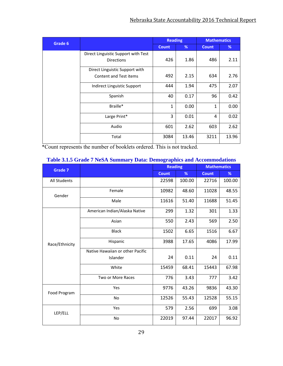| Grade 6 |                                     | <b>Reading</b> |       | <b>Mathematics</b> |       |  |
|---------|-------------------------------------|----------------|-------|--------------------|-------|--|
|         |                                     | <b>Count</b>   | %     | <b>Count</b>       | %     |  |
|         | Direct Linguistic Support with Test |                |       |                    |       |  |
|         | <b>Directions</b>                   | 426            | 1.86  | 486                | 2.11  |  |
|         | Direct Linguistic Support with      |                |       |                    |       |  |
|         | <b>Content and Test items</b>       | 492            | 2.15  | 634                | 2.76  |  |
|         | Indirect Linguistic Support         | 444            | 1.94  | 475                | 2.07  |  |
|         | Spanish                             | 40             | 0.17  | 96                 | 0.42  |  |
|         | Braille*                            | $\mathbf{1}$   | 0.00  | 1                  | 0.00  |  |
|         | Large Print*                        | 3              | 0.01  | 4                  | 0.02  |  |
|         | Audio                               | 601            | 2.62  | 603                | 2.62  |  |
|         | Total                               | 3084           | 13.46 | 3211               | 13.96 |  |

\*Count represents the number of booklets ordered. This is not tracked.

| Grade 7        |                                  | <b>Reading</b> |        | <b>Mathematics</b> |        |  |
|----------------|----------------------------------|----------------|--------|--------------------|--------|--|
|                |                                  | <b>Count</b>   | %      | <b>Count</b>       | %      |  |
| All Students   |                                  | 22598          | 100.00 | 22716              | 100.00 |  |
| Gender         | Female                           | 10982          | 48.60  | 11028              | 48.55  |  |
|                | Male                             | 11616          | 51.40  | 11688              | 51.45  |  |
|                | American Indian/Alaska Native    | 299            | 1.32   | 301                | 1.33   |  |
|                | Asian                            | 550            | 2.43   | 569                | 2.50   |  |
|                | <b>Black</b>                     | 1502           | 6.65   | 1516               | 6.67   |  |
| Race/Ethnicity | Hispanic                         | 3988           | 17.65  | 4086               | 17.99  |  |
|                | Native Hawaiian or other Pacific |                |        |                    |        |  |
|                | Islander                         | 24             | 0.11   | 24                 | 0.11   |  |
|                | White                            | 15459          | 68.41  | 15443              | 67.98  |  |
|                | Two or More Races                | 776            | 3.43   | 777                | 3.42   |  |
| Food Program   | Yes                              | 9776           | 43.26  | 9836               | 43.30  |  |
|                | <b>No</b>                        | 12526          | 55.43  | 12528              | 55.15  |  |
| LEP/ELL        | Yes                              | 579            | 2.56   | 699                | 3.08   |  |
|                | <b>No</b>                        | 22019          | 97.44  | 22017              | 96.92  |  |

#### **Table 3.1.5 Grade 7 NeSA Summary Data: Demographics and Accommodations**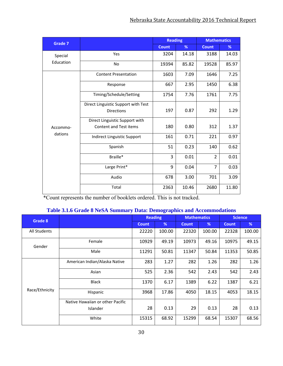| Grade 7   |                                                                 | <b>Reading</b> |       | <b>Mathematics</b> |       |  |
|-----------|-----------------------------------------------------------------|----------------|-------|--------------------|-------|--|
|           |                                                                 | <b>Count</b>   | %     | <b>Count</b>       | %     |  |
| Special   | Yes                                                             | 3204           | 14.18 | 3188               | 14.03 |  |
| Education | <b>No</b>                                                       | 19394          | 85.82 | 19528              | 85.97 |  |
|           | <b>Content Presentation</b>                                     | 1603           | 7.09  | 1646               | 7.25  |  |
|           | Response                                                        | 667            | 2.95  | 1450               | 6.38  |  |
|           | Timing/Schedule/Setting                                         | 1754           | 7.76  | 1761               | 7.75  |  |
|           | Direct Linguistic Support with Test<br><b>Directions</b>        | 197            | 0.87  | 292                | 1.29  |  |
|           | Direct Linguistic Support with<br><b>Content and Test items</b> | 180            | 0.80  | 312                | 1.37  |  |
| Accommo-  |                                                                 |                |       |                    |       |  |
| dations   | Indirect Linguistic Support                                     | 161            | 0.71  | 221                | 0.97  |  |
|           | Spanish                                                         | 51             | 0.23  | 140                | 0.62  |  |
|           | Braille*                                                        | 3              | 0.01  | $\overline{2}$     | 0.01  |  |
|           | Large Print*                                                    | 9              | 0.04  | $\overline{7}$     | 0.03  |  |
|           | Audio                                                           | 678            | 3.00  | 701                | 3.09  |  |
|           | Total                                                           | 2363           | 10.46 | 2680               | 11.80 |  |

\*Count represents the number of booklets ordered. This is not tracked.

#### **Table 3.1.6 Grade 8 NeSA Summary Data: Demographics and Accommodations**

| Grade 8        |                                  | <b>Reading</b> |        | <b>Mathematics</b> |        | <b>Science</b> |        |
|----------------|----------------------------------|----------------|--------|--------------------|--------|----------------|--------|
|                |                                  | <b>Count</b>   | %      | <b>Count</b>       | %      | <b>Count</b>   | %      |
| All Students   |                                  | 22220          | 100.00 | 22320              | 100.00 | 22328          | 100.00 |
| Gender         | Female                           | 10929          | 49.19  | 10973              | 49.16  | 10975          | 49.15  |
|                | Male                             | 11291          | 50.81  | 11347              | 50.84  | 11353          | 50.85  |
|                | American Indian/Alaska Native    | 283            | 1.27   | 282                | 1.26   | 282            | 1.26   |
|                | Asian                            | 525            | 2.36   | 542                | 2.43   | 542            | 2.43   |
|                | <b>Black</b>                     | 1370           | 6.17   | 1389               | 6.22   | 1387           | 6.21   |
| Race/Ethnicity | Hispanic                         | 3968           | 17.86  | 4050               | 18.15  | 4053           | 18.15  |
|                | Native Hawaiian or other Pacific |                |        |                    |        |                |        |
|                | <b>Islander</b>                  | 28             | 0.13   | 29                 | 0.13   | 28             | 0.13   |
|                | White                            | 15315          | 68.92  | 15299              | 68.54  | 15307          | 68.56  |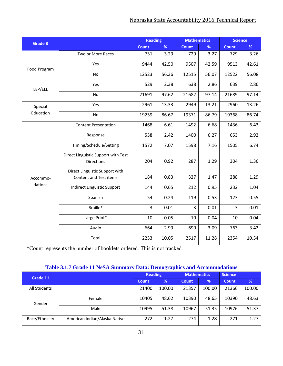### Nebraska State Accountability 2016 Technical Report

| Grade 8      |                                                          | <b>Reading</b> |       | <b>Mathematics</b> |       | <b>Science</b> |       |  |
|--------------|----------------------------------------------------------|----------------|-------|--------------------|-------|----------------|-------|--|
|              |                                                          | <b>Count</b>   | %     | <b>Count</b>       | %     | <b>Count</b>   | %     |  |
|              | Two or More Races                                        | 731            | 3.29  | 729                | 3.27  | 729            | 3.26  |  |
| Food Program | Yes                                                      | 9444           | 42.50 | 9507               | 42.59 | 9513           | 42.61 |  |
|              | <b>No</b>                                                | 12523          | 56.36 | 12515              | 56.07 | 12522          | 56.08 |  |
| LEP/ELL      | Yes                                                      | 529            | 2.38  | 638                | 2.86  | 639            | 2.86  |  |
|              | No                                                       | 21691          | 97.62 | 21682              | 97.14 | 21689          | 97.14 |  |
| Special      | Yes                                                      | 2961           | 13.33 | 2949               | 13.21 | 2960           | 13.26 |  |
| Education    | No                                                       | 19259          | 86.67 | 19371              | 86.79 | 19368          | 86.74 |  |
|              | <b>Content Presentation</b>                              | 1468           | 6.61  | 1492               | 6.68  | 1436           | 6.43  |  |
|              | Response                                                 | 538            | 2.42  | 1400               | 6.27  | 653            | 2.92  |  |
|              | Timing/Schedule/Setting                                  | 1572           | 7.07  | 1598               | 7.16  | 1505           | 6.74  |  |
|              | Direct Linguistic Support with Test<br><b>Directions</b> | 204            | 0.92  | 287                | 1.29  | 304            | 1.36  |  |
| Accommo-     | Direct Linguistic Support with<br>Content and Test items | 184            | 0.83  | 327                | 1.47  | 288            | 1.29  |  |
| dations      | Indirect Linguistic Support                              | 144            | 0.65  | 212                | 0.95  | 232            | 1.04  |  |
|              | Spanish                                                  | 54             | 0.24  | 119                | 0.53  | 123            | 0.55  |  |
|              | Braille*                                                 | 3              | 0.01  | $\overline{3}$     | 0.01  | $\overline{3}$ | 0.01  |  |
|              | Large Print*                                             | 10             | 0.05  | 10                 | 0.04  | 10             | 0.04  |  |
|              | Audio                                                    | 664            | 2.99  | 690                | 3.09  | 763            | 3.42  |  |
|              | Total                                                    | 2233           | 10.05 | 2517               | 11.28 | 2354           | 10.54 |  |

\*Count represents the number of booklets ordered. This is not tracked.

### **Table 3.1.7 Grade 11 NeSA Summary Data: Demographics and Accommodations**

| Grade 11       |                               | <b>Reading</b> |        | <b>Mathematics</b> |        | <b>Science</b> |        |  |
|----------------|-------------------------------|----------------|--------|--------------------|--------|----------------|--------|--|
|                |                               | <b>Count</b>   | %      | <b>Count</b>       | %      | <b>Count</b>   | %      |  |
| All Students   |                               | 21400          | 100.00 | 21357              | 100.00 | 21366          | 100.00 |  |
| Gender         | Female                        | 10405          | 48.62  | 10390              | 48.65  | 10390          | 48.63  |  |
|                | Male                          | 10995          | 51.38  | 10967              | 51.35  | 10976          | 51.37  |  |
| Race/Ethnicity | American Indian/Alaska Native | 272            | 1.27   | 274                | 1.28   | 271            | 1.27   |  |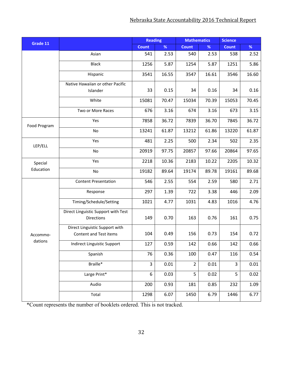| Grade 11     |                                                          | <b>Reading</b> |       | <b>Mathematics</b> |       | <b>Science</b> |       |
|--------------|----------------------------------------------------------|----------------|-------|--------------------|-------|----------------|-------|
|              |                                                          | <b>Count</b>   | $\%$  | <b>Count</b>       | $\%$  | <b>Count</b>   | %     |
|              | Asian                                                    | 541            | 2.53  | 540                | 2.53  | 538            | 2.52  |
|              | <b>Black</b>                                             | 1256           | 5.87  | 1254               | 5.87  | 1251           | 5.86  |
|              | Hispanic                                                 | 3541           | 16.55 | 3547               | 16.61 | 3546           | 16.60 |
|              | Native Hawaiian or other Pacific                         |                |       |                    |       |                |       |
|              | Islander                                                 | 33             | 0.15  | 34                 | 0.16  | 34             | 0.16  |
|              | White                                                    | 15081          | 70.47 | 15034              | 70.39 | 15053          | 70.45 |
|              | Two or More Races                                        | 676            | 3.16  | 674                | 3.16  | 673            | 3.15  |
| Food Program | Yes                                                      | 7858           | 36.72 | 7839               | 36.70 | 7845           | 36.72 |
|              | No                                                       | 13241          | 61.87 | 13212              | 61.86 | 13220          | 61.87 |
| LEP/ELL      | Yes                                                      | 481            | 2.25  | 500                | 2.34  | 502            | 2.35  |
|              | No                                                       | 20919          | 97.75 | 20857              | 97.66 | 20864          | 97.65 |
| Special      | Yes                                                      | 2218           | 10.36 | 2183               | 10.22 | 2205           | 10.32 |
| Education    | No                                                       | 19182          | 89.64 | 19174              | 89.78 | 19161          | 89.68 |
|              | <b>Content Presentation</b>                              | 546            | 2.55  | 554                | 2.59  | 580            | 2.71  |
|              | Response                                                 | 297            | 1.39  | 722                | 3.38  | 446            | 2.09  |
|              | Timing/Schedule/Setting                                  | 1021           | 4.77  | 1031               | 4.83  | 1016           | 4.76  |
|              | Direct Linguistic Support with Test<br><b>Directions</b> | 149            | 0.70  | 163                | 0.76  | 161            | 0.75  |
| Accommo-     | Direct Linguistic Support with<br>Content and Test items | 104            | 0.49  | 156                | 0.73  | 154            | 0.72  |
| dations      | Indirect Linguistic Support                              | 127            | 0.59  | 142                | 0.66  | 142            | 0.66  |
|              | Spanish                                                  | 76             | 0.36  | 100                | 0.47  | 116            | 0.54  |
|              | Braille*                                                 | 3              | 0.01  | $\overline{2}$     | 0.01  | 3              | 0.01  |
|              | Large Print*                                             | 6              | 0.03  | 5                  | 0.02  | 5              | 0.02  |
|              | Audio                                                    | 200            | 0.93  | 181                | 0.85  | 232            | 1.09  |
|              | Total                                                    | 1298           | 6.07  | 1450               | 6.79  | 1446           | 6.77  |

\*Count represents the number of booklets ordered. This is not tracked.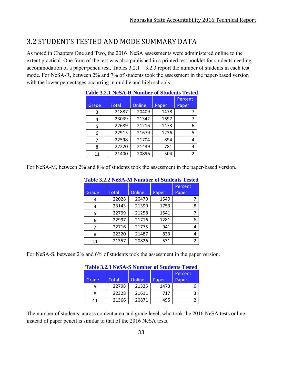# 3.2 STUDENTS TESTED AND MODE SUMMARY DATA

As noted in Chapters One and Two, the 2016 NeSA assessments were administered online to the extent practical. One form of the test was also published in a printed test booklet for students needing accommodation of a paper/pencil test. Tables  $3.2.1 - 3.2.3$  report the number of students in each test mode. For NeSA-R, between 2% and 7% of students took the assessment in the paper-based version with the lower percentages occurring in middle and high schools.

|       |              |        |       | Table 3.2.1 NeSA-R Number of Students Tested |
|-------|--------------|--------|-------|----------------------------------------------|
|       |              |        |       | Percent                                      |
| Grade | <b>Total</b> | Online | Paper | Paper                                        |
| 3     | 21887        | 20409  | 1478  | 7                                            |
| 4     | 23039        | 21342  | 1697  | 7                                            |
| 5     | 22689        | 21216  | 1473  | 6                                            |
| 6     | 22915        | 21679  | 1236  | 5                                            |
| 7     | 22598        | 21704  | 894   | 4                                            |
| 8     | 22220        | 21439  | 781   | 4                                            |
| 11    | 21400        | 20896  | 504   | 2                                            |

# **Table 3.2.1 NeSA-R Number of Students Tested**

For NeSA-M, between 2% and 8% of students took the assessment in the paper-based version.

|       |       |        |       | Percent       |
|-------|-------|--------|-------|---------------|
| Grade | Total | Online | Paper | Paper         |
| 3     | 22028 | 20479  | 1549  |               |
| 4     | 23143 | 21390  | 1753  | 8             |
| 5     | 22799 | 21258  | 1541  |               |
| 6     | 22997 | 21716  | 1281  | 6             |
| 7     | 22716 | 21775  | 941   | 4             |
| 8     | 22320 | 21487  | 833   | 4             |
| 11    | 21357 | 20826  | 531   | $\mathcal{P}$ |

### **Table 3.2.2 NeSA-M Number of Students Tested**

For NeSA-S, between 2% and 6% of students took the assessment in the paper version.

| Table 5.2.5 NeSA-S Number of Students' rested |       |        |       |         |  |  |  |  |  |  |  |
|-----------------------------------------------|-------|--------|-------|---------|--|--|--|--|--|--|--|
|                                               |       |        |       | Percent |  |  |  |  |  |  |  |
| Grade                                         | Total | Online | Paper | Paper   |  |  |  |  |  |  |  |
|                                               | 22798 | 21325  | 1473  | 6       |  |  |  |  |  |  |  |
| 8                                             | 22328 | 21611  | 717   | 3       |  |  |  |  |  |  |  |
| 11                                            | 21366 | 20871  | 495   |         |  |  |  |  |  |  |  |

### **Table 3.2.3 NeSA-S Number of Students Tested**

The number of students, across content area and grade level, who took the 2016 NeSA tests online instead of paper pencil is similar to that of the 2016 NeSA tests.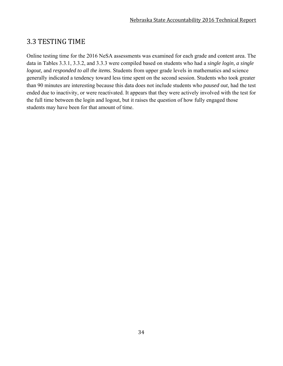### 3.3 TESTING TIME

Online testing time for the 2016 NeSA assessments was examined for each grade and content area. The data in Tables 3.3.1, 3.3.2, and 3.3.3 were compiled based on students who had a *single login, a single logout,* and *responded to all the items.* Students from upper grade levels in mathematics and science generally indicated a tendency toward less time spent on the second session. Students who took greater than 90 minutes are interesting because this data does not include students who *paused out*, had the test ended due to inactivity, or were reactivated. It appears that they were actively involved with the test for the full time between the login and logout, but it raises the question of how fully engaged those students may have been for that amount of time.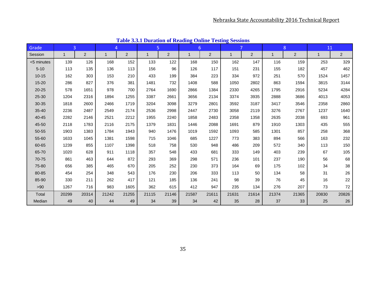| Grade      | 3           |       | 4     |                | 5           |                | 6            |                | $\overline{7}$ |                | 8     |       | 11    |                |
|------------|-------------|-------|-------|----------------|-------------|----------------|--------------|----------------|----------------|----------------|-------|-------|-------|----------------|
| Session    | $\mathbf 1$ | 2     |       | $\overline{2}$ | $\mathbf 1$ | $\overline{2}$ | $\mathbf{1}$ | $\overline{2}$ | $\mathbf{1}$   | $\overline{2}$ | 1     | 2     | 1     | $\overline{2}$ |
| <5 minutes | 139         | 126   | 168   | 152            | 133         | 122            | 168          | 150            | 162            | 147            | 116   | 159   | 253   | 329            |
| $5 - 10$   | 113         | 135   | 136   | 113            | 156         | 96             | 126          | 117            | 151            | 231            | 155   | 182   | 457   | 462            |
| $10 - 15$  | 162         | 303   | 153   | 210            | 433         | 199            | 384          | 223            | 334            | 972            | 251   | 570   | 1524  | 1457           |
| $15 - 20$  | 286         | 827   | 376   | 381            | 1481        | 732            | 1408         | 588            | 1050           | 2802           | 863   | 1594  | 3815  | 3144           |
| $20 - 25$  | 578         | 1651  | 978   | 700            | 2764        | 1690           | 2866         | 1384           | 2330           | 4265           | 1795  | 2916  | 5234  | 4284           |
| 25-30      | 1204        | 2316  | 1894  | 1255           | 3387        | 2661           | 3656         | 2134           | 3374           | 3935           | 2888  | 3686  | 4013  | 4053           |
| 30-35      | 1818        | 2600  | 2466  | 1719           | 3204        | 3098           | 3279         | 2801           | 3592           | 3187           | 3417  | 3546  | 2358  | 2860           |
| 35-40      | 2236        | 2487  | 2549  | 2174           | 2536        | 2998           | 2447         | 2730           | 3058           | 2119           | 3276  | 2767  | 1237  | 1640           |
| 40-45      | 2282        | 2146  | 2521  | 2212           | 1955        | 2240           | 1858         | 2483           | 2358           | 1358           | 2635  | 2038  | 693   | 961            |
| 45-50      | 2118        | 1783  | 2116  | 2175           | 1379        | 1831           | 1446         | 2088           | 1691           | 879            | 1910  | 1303  | 435   | 555            |
| 50-55      | 1903        | 1383  | 1784  | 1943           | 940         | 1476           | 1019         | 1592           | 1093           | 585            | 1301  | 857   | 258   | 368            |
| 55-60      | 1633        | 1045  | 1381  | 1598           | 715         | 1046           | 685          | 1227           | 773            | 383            | 894   | 566   | 163   | 232            |
| 60-65      | 1239        | 855   | 1107  | 1398           | 518         | 758            | 530          | 948            | 486            | 209            | 572   | 340   | 113   | 150            |
| 65-70      | 1020        | 628   | 911   | 1118           | 357         | 548            | 433          | 681            | 333            | 149            | 403   | 239   | 67    | 105            |
| 70-75      | 861         | 463   | 644   | 872            | 293         | 369            | 298          | 571            | 236            | 101            | 237   | 190   | 56    | 68             |
| 75-80      | 656         | 385   | 465   | 670            | 205         | 252            | 230          | 373            | 164            | 69             | 175   | 102   | 34    | 38             |
| 80-85      | 454         | 254   | 348   | 543            | 176         | 230            | 206          | 333            | 113            | 50             | 134   | 58    | 31    | 26             |
| 85-90      | 330         | 211   | 262   | 417            | 121         | 185            | 136          | 241            | 98             | 39             | 76    | 45    | 16    | 22             |
| >90        | 1267        | 716   | 983   | 1605           | 362         | 615            | 412          | 947            | 235            | 134            | 276   | 207   | 73    | 72             |
| Total      | 20299       | 20314 | 21242 | 21255          | 21115       | 21146          | 21587        | 21611          | 21631          | 21614          | 21374 | 21365 | 20830 | 20826          |
| Median     | 49          | 40    | 44    | 49             | 34          | 39             | 34           | 42             | 35             | 28             | 37    | 33    | 25    | 26             |

**Table 3.3.1 Duration of Reading Online Testing Sessions**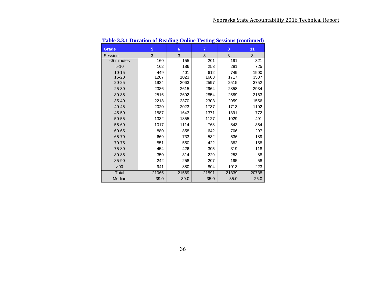|              |       | o              |                |       |       |
|--------------|-------|----------------|----------------|-------|-------|
| <b>Grade</b> | 5     | $6\phantom{1}$ | $\overline{7}$ | 8     | 11    |
| Session      | 3     | 3              | 3              | 3     | 3     |
| <5 minutes   | 160   | 155            | 201            | 191   | 321   |
| $5 - 10$     | 162   | 186            | 253            | 281   | 725   |
| $10 - 15$    | 449   | 401            | 612            | 749   | 1900  |
| $15 - 20$    | 1207  | 1023           | 1663           | 1717  | 3537  |
| $20 - 25$    | 1924  | 2063           | 2597           | 2515  | 3752  |
| 25-30        | 2386  | 2615           | 2964           | 2858  | 2934  |
| 30-35        | 2516  | 2602           | 2854           | 2589  | 2163  |
| $35 - 40$    | 2218  | 2370           | 2303           | 2059  | 1556  |
| 40-45        | 2020  | 2023           | 1737           | 1713  | 1102  |
| 45-50        | 1587  | 1643           | 1371           | 1391  | 772   |
| 50-55        | 1332  | 1355           | 1127           | 1029  | 491   |
| 55-60        | 1017  | 1114           | 768            | 843   | 354   |
| 60-65        | 880   | 858            | 642            | 706   | 297   |
| 65-70        | 669   | 733            | 532            | 536   | 189   |
| 70-75        | 551   | 550            | 422            | 382   | 158   |
| 75-80        | 454   | 426            | 305            | 319   | 118   |
| 80-85        | 350   | 314            | 229            | 253   | 88    |
| 85-90        | 242   | 258            | 207            | 195   | 58    |
| >90          | 941   | 880            | 804            | 1013  | 223   |
| Total        | 21065 | 21569          | 21591          | 21339 | 20738 |
| Median       | 39.0  | 39.0           | 35.0           | 35.0  | 26.0  |

**Table 3.3.1 Duration of Reading Online Testing Sessions (continued)**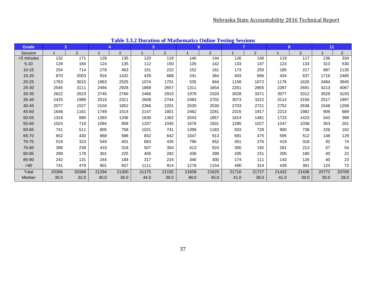| <b>Grade</b> | 3     |       | 4     |       |       | 5 <sup>5</sup> | 6     |                | $\overline{z}$ |                | 8     |                | 11    |                 |
|--------------|-------|-------|-------|-------|-------|----------------|-------|----------------|----------------|----------------|-------|----------------|-------|-----------------|
| Session      |       | 2     |       | 2     |       | 2              |       | $\overline{2}$ |                | $\overline{2}$ |       | $\overline{2}$ |       | $\overline{a}$  |
| <5 minutes   | 132   | 171   | 128   | 130   | 120   | 119            | 146   | 144            | 126            | 146            | 119   | 117            | 236   | $\frac{1}{334}$ |
| $5 - 10$     | 128   | 184   | 124   | 135   | 112   | 150            | 135   | 142            | 133            | 147            | 123   | 133            | 313   | 530             |
| $10 - 15$    | 254   | 714   | 278   | 463   | 151   | 222            | 152   | 161            | 173            | 255            | 185   | 217            | 687   | 1135            |
| $15 - 20$    | 870   | 2003  | 916   | 1432  | 429   | 688            | 241   | 364            | 403            | 666            | 434   | 637            | 1716  | 2485            |
| $20 - 25$    | 1763  | 3015  | 1863  | 2525  | 1074  | 1701           | 535   | 844            | 1158           | 1672           | 1176  | 1626           | 3484  | 3945            |
| 25-30        | 2545  | 3111  | 2494  | 2928  | 1869  | 2657           | 1311  | 1654           | 2261           | 2855           | 2287  | 2691           | 4213  | 4067            |
| 30-35        | 2622  | 2623  | 2745  | 2766  | 2466  | 2910           | 1978  | 2320           | 3028           | 3371           | 3077  | 3312           | 3529  | 3193            |
| $35 - 40$    | 2425  | 1989  | 2519  | 2311  | 2608  | 2744           | 2483  | 2702           | 3073           | 3222           | 3114  | 3156           | 2517  | 1997            |
| 40-45        | 2077  | 1527  | 2104  | 1852  | 2366  | 2201           | 2530  | 2530           | 2703           | 2721           | 2752  | 2636           | 1548  | 1208            |
| 45-50        | 1648  | 1161  | 1749  | 1514  | 2147  | 1801           | 2462  | 2281           | 2315           | 1917           | 2213  | 1982           | 906   | 689             |
| 50-55        | 1318  | 890   | 1393  | 1206  | 1630  | 1362           | 2043  | 1857           | 1814           | 1481           | 1723  | 1423           | 543   | 389             |
| 55-60        | 1024  | 719   | 1094  | 909   | 1337  | 1045           | 1678  | 1501           | 1285           | 1027           | 1247  | 1038           | 353   | 261             |
| 60-65        | 741   | 511   | 805   | 758   | 1021  | 741            | 1399  | 1183           | 933            | 728            | 900   | 738            | 226   | 162             |
| 65-70        | 652   | 430   | 668   | 586   | 842   | 642            | 1047  | 913            | 691            | 475            | 595   | 512            | 148   | 129             |
| 70-75        | 519   | 323   | 549   | 401   | 663   | 435            | 796   | 652            | 451            | 276            | 419   | 318            | 92    | 74              |
| 75-80        | 396   | 239   | 419   | 318   | 507   | 354            | 613   | 524            | 300            | 192            | 281   | 213            | 57    | 54              |
| 80-85        | 289   | 178   | 301   | 225   | 405   | 282            | 436   | 399            | 205            | 151            | 205   | 180            | 40    | 22              |
| 85-90        | 242   | 131   | 244   | 184   | 317   | 224            | 346   | 300            | 174            | 111            | 143   | 126            | 40    | 23              |
| >90          | 741   | 479   | 901   | 657   | 1111  | 914            | 1278  | 1154           | 490            | 314            | 439   | 381            | 124   | 72              |
| Total        | 20386 | 20398 | 21294 | 21300 | 21175 | 21192          | 21609 | 21625          | 21716          | 21727          | 21432 | 21436          | 20772 | 20769           |
| Median       | 39.0  | 32.0  | 40.0  | 36.0  | 44.0  | 39.0           | 48.0  | 45.0           | 41.0           | 38.0           | 41.0  | 39.0           | 30.0  | 28.0            |

**Table 3.3.2 Duration of Mathematics Online Testing Sessions**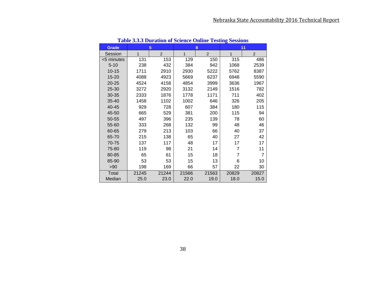| <b>Grade</b> |       | 5              |              | 8              | 11             |                |  |
|--------------|-------|----------------|--------------|----------------|----------------|----------------|--|
| Session      | 1     | $\overline{2}$ | $\mathbf{1}$ | $\overline{2}$ | 1              | $\overline{2}$ |  |
| <5 minutes   | 131   | 153            | 129          | 150            | 315            | 486            |  |
| $5 - 10$     | 238   | 432            | 384          | 942            | 1068           | 2539           |  |
| $10 - 15$    | 1711  | 2910           | 2930         | 5222           | 5762           | 8387           |  |
| 15-20        | 4088  | 4923           | 5669         | 6237           | 6948           | 5590           |  |
| $20 - 25$    | 4524  | 4158           | 4854         | 3999           | 3636           | 1967           |  |
| 25-30        | 3272  | 2920           | 3132         | 2149           | 1516           | 782            |  |
| 30-35        | 2333  | 1876           | 1778         | 1171           | 711            | 402            |  |
| $35 - 40$    | 1458  | 1102           | 1002         | 646            | 326            | 205            |  |
| 40-45        | 929   | 728            | 607          | 384            | 180            | 115            |  |
| 45-50        | 665   | 529            | 381          | 200            | 115            | 94             |  |
| 50-55        | 497   | 396            | 235          | 139            | 78             | 60             |  |
| 55-60        | 333   | 268            | 132          | 99             | 48             | 46             |  |
| 60-65        | 279   | 213            | 103          | 66             | 40             | 37             |  |
| 65-70        | 215   | 138            | 65           | 40             | 27             | 42             |  |
| 70-75        | 137   | 117            | 48           | 17             | 17             | 17             |  |
| 75-80        | 119   | 98             | 21           | 14             | $\overline{7}$ | 11             |  |
| 80-85        | 65    | 61             | 15           | 18             | 7              | $\overline{7}$ |  |
| 85-90        | 53    | 53             | 15           | 13             | 6              | 10             |  |
| >90          | 198   | 169            | 66           | 57             | 22             | 30             |  |
| Total        | 21245 | 21244          | 21566        | 21563          | 20829          | 20827          |  |
| Median       | 25.0  | 23.0           | 22.0         | 19.0           | 18.0           | 15.0           |  |

**Table 3.3.3 Duration of Science Online Testing Sessions**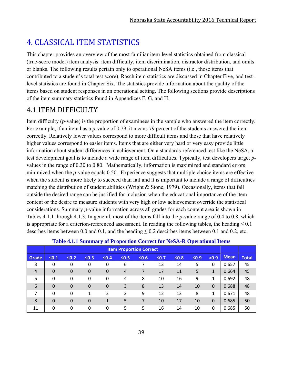# 4. CLASSICAL ITEM STATISTICS

This chapter provides an overview of the most familiar item-level statistics obtained from classical (true-score model) item analysis: item difficulty, item discrimination, distractor distribution, and omits or blanks. The following results pertain only to operational NeSA items (i.e., those items that contributed to a student's total test score). Rasch item statistics are discussed in Chapter Five, and testlevel statistics are found in Chapter Six. The statistics provide information about the quality of the items based on student responses in an operational setting. The following sections provide descriptions of the item summary statistics found in Appendices F, G, and H.

## 4.1 ITEM DIFFICULTY

Item difficulty (*p*-value) is the proportion of examinees in the sample who answered the item correctly. For example, if an item has a *p*-value of 0.79, it means 79 percent of the students answered the item correctly. Relatively lower values correspond to more difficult items and those that have relatively higher values correspond to easier items. Items that are either very hard or very easy provide little information about student differences in achievement. On a standards-referenced test like the NeSA, a test development goal is to include a wide range of item difficulties. Typically, test developers target *p*values in the range of 0.30 to 0.80. Mathematically, information is maximized and standard errors minimized when the *p*-value equals 0.50. Experience suggests that multiple choice items are effective when the student is more likely to succeed than fail and it is important to include a range of difficulties matching the distribution of student abilities (Wright & Stone, 1979). Occasionally, items that fall outside the desired range can be justified for inclusion when the educational importance of the item content or the desire to measure students with very high or low achievement override the statistical considerations. Summary *p*-value information across all grades for each content area is shown in Tables 4.1.1 through 4.1.3. In general, most of the items fall into the *p*-value range of 0.4 to 0.8, which is appropriate for a criterion-referenced assessment. In reading the following tables, the heading  $\leq 0.1$ descrbes items between 0.0 and 0.1, and the heading  $\leq 0.2$  descirbes items between 0.1 and 0.2, etc.

|                |                |                |                  |                  |                | <b>Item Proportion Correct</b> |        |            |            |              |             |              |
|----------------|----------------|----------------|------------------|------------------|----------------|--------------------------------|--------|------------|------------|--------------|-------------|--------------|
| Grade          | $\leq 0.1$     | $\leq 0.2$     | $\leq 0.3$       | $\leq 0.4$       | $\leq 0.5$     | $\leq 0.6$                     | $≤0.7$ | $\leq 0.8$ | $\leq 0.9$ | >0.9         | <b>Mean</b> | <b>Total</b> |
| 3              | 0              | 0              | 0                | 0                | 6              |                                | 13     | 14         | 5          | 0            | 0.657       | 45           |
| $\overline{4}$ | $\overline{0}$ | $\mathbf 0$    | $\boldsymbol{0}$ | 0                | $\overline{4}$ |                                | 17     | 11         | 5          | $\mathbf{1}$ | 0.664       | 45           |
| 5              | 0              | 0              | 0                | 0                | 4              | 8                              | 10     | 16         | 9          | 1            | 0.692       | 48           |
| 6              | $\mathbf 0$    | $\overline{0}$ | 0                | $\boldsymbol{0}$ | 3              | 8                              | 13     | 14         | 10         | $\mathbf{0}$ | 0.688       | 48           |
| 7              | 0              | 0              | 1                | 2                | 2              | 9                              | 12     | 13         | 8          | 1            | 0.671       | 48           |
| 8              | $\mathbf 0$    | $\overline{0}$ | 0                | 1                | 5              | 7                              | 10     | 17         | 10         | $\mathbf 0$  | 0.685       | 50           |
| 11             | 0              | 0              | 0                | 0                | 5              | 5                              | 16     | 14         | 10         | 0            | 0.685       | 50           |

### **Table 4.1.1 Summary of Proportion Correct for NeSA-R Operational Items**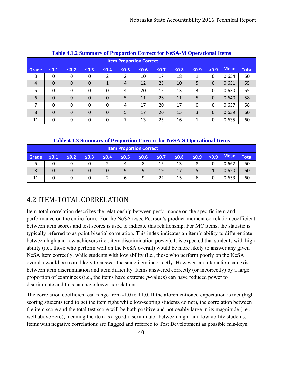| Table 4.1.2 Summary of Proportion Correct for NeSA-M Operational Items |                                                                                                                                    |             |             |             |                                |    |    |    |   |              |             |              |
|------------------------------------------------------------------------|------------------------------------------------------------------------------------------------------------------------------------|-------------|-------------|-------------|--------------------------------|----|----|----|---|--------------|-------------|--------------|
|                                                                        |                                                                                                                                    |             |             |             | <b>Item Proportion Correct</b> |    |    |    |   |              |             |              |
| Grade                                                                  | >0.9<br>$\leq 0.1$<br>$\leq 0.2$<br>$\leq 0.4$<br>$\leq 0.5$<br>$\leq 0.6$<br>$\leq 0.7$<br>$\leq 0.8$<br>$\leq 0.9$<br>$\leq 0.3$ |             |             |             |                                |    |    |    |   |              | <b>Mean</b> | <b>Total</b> |
| 3                                                                      | $\Omega$                                                                                                                           | 0           | $\Omega$    | 2           | 2                              | 10 | 17 | 18 | 1 | $\Omega$     | 0.654       | 50           |
| $\overline{4}$                                                         | $\Omega$                                                                                                                           | $\mathbf 0$ | $\mathbf 0$ | 1           | 4                              | 12 | 23 | 10 | 5 | $\Omega$     | 0.651       | 55           |
| 5                                                                      | $\Omega$                                                                                                                           | $\Omega$    | $\Omega$    | 0           | 4                              | 20 | 15 | 13 | 3 | $\mathbf{0}$ | 0.630       | 55           |
| 6                                                                      | $\Omega$                                                                                                                           | $\Omega$    | $\Omega$    | $\mathbf 0$ | 5                              | 11 | 26 | 11 | 5 | $\theta$     | 0.640       | 58           |
| 7                                                                      | $\Omega$                                                                                                                           | 0           | $\Omega$    | 0           | 4                              | 17 | 20 | 17 | 0 | $\mathbf{0}$ | 0.637       | 58           |
| 8                                                                      | $\Omega$                                                                                                                           | $\Omega$    | $\Omega$    | $\mathbf 0$ | 5                              | 17 | 20 | 15 | 3 | $\Omega$     | 0.639       | 60           |
| 11                                                                     | $\Omega$                                                                                                                           | 0           | $\Omega$    | 0           | 7                              | 13 | 23 | 16 | 1 | $\Omega$     | 0.635       | 60           |

### **Table 4.1.2 Summary of Proportion Correct for NeSA-M Operational Items**

### **Table 4.1.3 Summary of Proportion Correct for NeSA-S Operational Items**

|       | <b>Item Proportion Correct</b>                                                                                                 |   |   |  |   |   |    |    |   |             |              |    |
|-------|--------------------------------------------------------------------------------------------------------------------------------|---|---|--|---|---|----|----|---|-------------|--------------|----|
| Grade | >0.9<br>$≤0.9$<br>$\leq 0.8$<br>$\leq 0.5$<br>$\leq 0.7$<br>$\leq 0.6$<br>$\leq 0.1$<br>$\leq 0.3$<br>$\leq 0.4$<br>$\leq 0.2$ |   |   |  |   |   |    |    |   | <b>Mean</b> | <b>Total</b> |    |
|       |                                                                                                                                |   |   |  |   |   | 15 | 13 |   |             | 0.662        | 50 |
| 8     |                                                                                                                                |   |   |  | 9 | q | 19 | 17 |   |             | 0.650        | 60 |
| 11    |                                                                                                                                | 0 | 0 |  | b | 9 | 22 | 15 | 6 |             | 0.653        | 60 |

# 4.2 ITEM‐TOTAL CORRELATION

Item-total correlation describes the relationship between performance on the specific item and performance on the entire form. For the NeSA tests, Pearson's product-moment correlation coefficient between item scores and test scores is used to indicate this relationship. For MC items, the statistic is typically referred to as point-biserial correlation. This index indicates an item's ability to differentiate between high and low achievers (i.e., item discrimination power). It is expected that students with high ability (i.e., those who perform well on the NeSA overall) would be more likely to answer any given NeSA item correctly, while students with low ability (i.e., those who perform poorly on the NeSA overall) would be more likely to answer the same item incorrectly. However, an interaction can exist between item discrimination and item difficulty. Items answered correctly (or incorrectly) by a large proportion of examinees (i.e., the items have extreme *p*-values) can have reduced power to discriminate and thus can have lower correlations.

The correlation coefficient can range from  $-1.0$  to  $+1.0$ . If the aforementioned expectation is met (highscoring students tend to get the item right while low-scoring students do not), the correlation between the item score and the total test score will be both positive and noticeably large in its magnitude (i.e., well above zero), meaning the item is a good discriminator between high- and low-ability students. Items with negative correlations are flagged and referred to Test Development as possible mis-keys.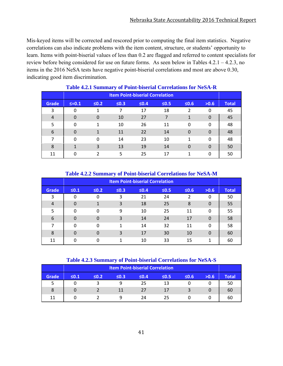Mis-keyed items will be corrected and rescored prior to computing the final item statistics. Negative correlations can also indicate problems with the item content, structure, or students' opportunity to learn. Items with point-biserial values of less than 0.2 are flagged and referred to content specialists for review before being considered for use on future forms. As seen below in Tables 4.2.1 – 4.2.3, no items in the 2016 NeSA tests have negative point-biserial correlations and most are above 0.30, indicating good item discrimination.

| THEIR DUMINIONS OF FORM DISCENSE COLLUMNOIS FOR TWOTE IN |                                        |            |            |        |            |            |          |              |
|----------------------------------------------------------|----------------------------------------|------------|------------|--------|------------|------------|----------|--------------|
|                                                          | <b>Item Point-biserial Correlation</b> |            |            |        |            |            |          |              |
| <b>Grade</b>                                             | $\leq = 0.1$                           | $\leq 0.2$ | $\leq 0.3$ | $≤0.4$ | $\leq 0.5$ | $\leq 0.6$ | >0.6     | <b>Total</b> |
| 3                                                        | 0                                      |            | 7          | 17     | 18         | 2          | 0        | 45           |
| $\overline{4}$                                           | $\overline{0}$                         | $\Omega$   | 10         | 27     | 7          | 1          | $\Omega$ | 45           |
| 5                                                        | 0                                      | 1          | 10         | 26     | 11         | $\Omega$   | 0        | 48           |
| 6                                                        | $\overline{0}$                         |            | 11         | 22     | 14         | $\Omega$   | $\Omega$ | 48           |
| 7                                                        | 0                                      | $\Omega$   | 14         | 23     | 10         | 1          | 0        | 48           |
| 8                                                        | 1                                      | 3          | 13         | 19     | 14         | $\Omega$   | $\Omega$ | 50           |
| 11                                                       | $\Omega$                               |            | 5          | 25     | 17         |            | 0        | 50           |

### **Table 4.2.1 Summary of Point-biserial Correlations for NeSA-R**

### **Table 4.2.2 Summary of Point-biserial Correlations for NeSA-M**

|                | <b>Item Point-biserial Correlation</b> |              |            |            |            |            |          |              |  |
|----------------|----------------------------------------|--------------|------------|------------|------------|------------|----------|--------------|--|
| Grade          | $\leq 0.1$                             | $\leq 0.2$   | $\leq 0.3$ | $\leq 0.4$ | $\leq 0.5$ | $\leq 0.6$ | >0.6     | <b>Total</b> |  |
| 3              | 0                                      | 0            | 3          | 21         | 24         | 2          | 0        | 50           |  |
| $\overline{4}$ | 0                                      |              | 3          | 18         | 25         | 8          | $\Omega$ | 55           |  |
| 5              | 0                                      | 0            | 9          | 10         | 25         | 11         | 0        | 55           |  |
| 6              | 0                                      | 0            | 3          | 14         | 24         | 17         | 0        | 58           |  |
| 7              | 0                                      | $\mathbf{0}$ | 1          | 14         | 32         | 11         | 0        | 58           |  |
| 8              | 0                                      | 0            | 3          | 17         | 30         | 10         | $\Omega$ | 60           |  |
| 11             | 0                                      | 0            | 1          | 10         | 33         | 15         | 1        | 60           |  |

#### **Table 4.2.3 Summary of Point-biserial Correlations for NeSA-S**

|       | <b>Item Point-biserial Correlation</b> |                                                                            |    |    |    |  |  |    |  |  |
|-------|----------------------------------------|----------------------------------------------------------------------------|----|----|----|--|--|----|--|--|
| Grade | $\leq 0.1$                             | $\leq 0.2$<br>$\leq 0.3$<br>$\leq 0.4$<br>$\leq 0.6$<br>$\leq 0.5$<br>>0.6 |    |    |    |  |  |    |  |  |
| כ     |                                        |                                                                            |    | 25 | 13 |  |  | 50 |  |  |
| 8     |                                        |                                                                            | 11 | 27 | 17 |  |  | 60 |  |  |
| 11    |                                        |                                                                            | a  | 24 | 25 |  |  | 60 |  |  |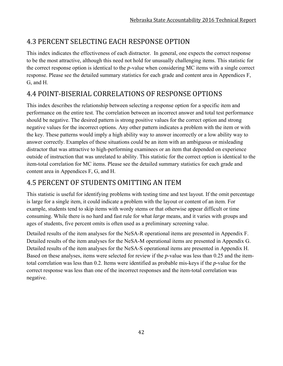# 4.3 PERCENT SELECTING EACH RESPONSE OPTION

This index indicates the effectiveness of each distractor. In general, one expects the correct response to be the most attractive, although this need not hold for unusually challenging items. This statistic for the correct response option is identical to the *p*-value when considering MC items with a single correct response. Please see the detailed summary statistics for each grade and content area in Appendices F, G, and H.

# 4.4 POINT‐BISERIAL CORRELATIONS OF RESPONSE OPTIONS

This index describes the relationship between selecting a response option for a specific item and performance on the entire test. The correlation between an incorrect answer and total test performance should be negative. The desired pattern is strong positive values for the correct option and strong negative values for the incorrect options. Any other pattern indicates a problem with the item or with the key. These patterns would imply a high ability way to answer incorrectly or a low ability way to answer correctly. Examples of these situations could be an item with an ambiguous or misleading distractor that was attractive to high-performing examinees or an item that depended on experience outside of instruction that was unrelated to ability. This statistic for the correct option is identical to the item-total correlation for MC items. Please see the detailed summary statistics for each grade and content area in Appendices F, G, and H.

## 4.5 PERCENT OF STUDENTS OMITTING AN ITEM

This statistic is useful for identifying problems with testing time and test layout. If the omit percentage is large for a single item, it could indicate a problem with the layout or content of an item. For example, students tend to skip items with wordy stems or that otherwise appear difficult or time consuming. While there is no hard and fast rule for what *large* means, and it varies with groups and ages of students, five percent omits is often used as a preliminary screening value.

Detailed results of the item analyses for the NeSA-R operational items are presented in Appendix F. Detailed results of the item analyses for the NeSA-M operational items are presented in Appendix G. Detailed results of the item analyses for the NeSA-S operational items are presented in Appendix H. Based on these analyses, items were selected for review if the *p-*value was less than 0.25 and the itemtotal correlation was less than 0.2. Items were identified as probable mis-keys if the *p-*value for the correct response was less than one of the incorrect responses and the item-total correlation was negative.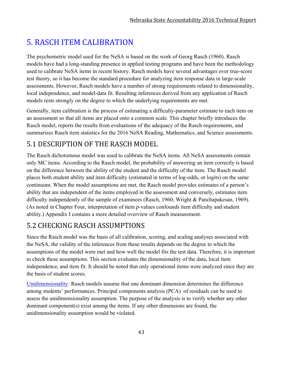# 5. RASCH ITEM CALIBRATION

The psychometric model used for the NeSA is based on the work of Georg Rasch (1960). Rasch models have had a long-standing presence in applied testing programs and have been the methodology used to calibrate NeSA items in recent history. Rasch models have several advantages over true-score test theory, so it has become the standard procedure for analyzing item response data in large-scale assessments. However, Rasch models have a number of strong requirements related to dimensionality, local independence, and model-data fit. Resulting inferences derived from any application of Rasch models rests strongly on the degree to which the underlying requirements are met.

Generally, item calibration is the process of estimating a difficulty-parameter estimate to each item on an assessment so that all items are placed onto a common scale. This chapter briefly introduces the Rasch model, reports the results from evaluations of the adequacy of the Rasch requirements, and summarizes Rasch item statistics for the 2016 NeSA Reading, Mathematics, and Science assessments.

# 5.1 DESCRIPTION OF THE RASCH MODEL

The Rasch dichotomous model was used to calibrate the NeSA items. All NeSA assessments contain only MC items. According to the Rasch model, the probability of answering an item correctly is based on the difference between the ability of the student and the difficulty of the item. The Rasch model places both student ability and item difficulty (estimated in terms of log-odds, or logits) on the same continuum. When the model assumptions are met, the Rasch model provides estimates of a person's ability that are independent of the items employed in the assessment and conversely, estimates item difficulty independently of the sample of examinees (Rasch, 1960; Wright & Panchapakesan, 1969). (As noted in Chapter Four, interpretation of item *p*-values confounds item difficulty and student ability.) Appendix I contains a more detailed overview of Rasch measurement.

# 5.2 CHECKING RASCH ASSUMPTIONS

Since the Rasch model was the basis of all calibration, scoring, and scaling analyses associated with the NeSA, the validity of the inferences from these results depends on the degree to which the assumptions of the model were met and how well the model fits the test data. Therefore, it is important to check these assumptions. This section evaluates the dimensionality of the data, local item independence, and item fit. It should be noted that only operational items were analyzed since they are the basis of student scores.

Unidimensionality: Rasch models assume that one dominant dimension determines the difference among students' performances. Principal components analysis (PCA) of residuals can be used to assess the unidimensionality assumption. The purpose of the analysis is to verify whether any other dominant component(s) exist among the items. If any other dimensions are found, the unidimensionality assumption would be violated.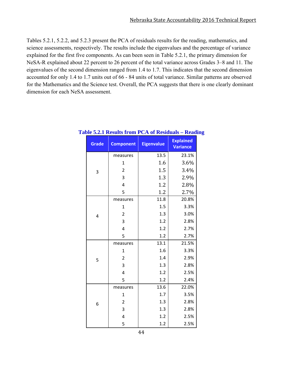Tables 5.2.1, 5.2.2, and 5.2.3 present the PCA of residuals results for the reading, mathematics, and science assessments, respectively. The results include the eigenvalues and the percentage of variance explained for the first five components. As can been seen in Table 5.2.1, the primary dimension for NeSA-R explained about 22 percent to 26 percent of the total variance across Grades 3–8 and 11. The eigenvalues of the second dimension ranged from 1.4 to 1.7. This indicates that the second dimension accounted for only 1.4 to 1.7 units out of 66 - 84 units of total variance. Similar patterns are observed for the Mathematics and the Science test. Overall, the PCA suggests that there is one clearly dominant dimension for each NeSA assessment.

| <b>Grade</b> | <b>Component</b>        | <b>Eigenvalue</b> | <b>Explained</b><br><b>Variance</b> |
|--------------|-------------------------|-------------------|-------------------------------------|
|              | measures                | 13.5              | 23.1%                               |
|              | 1                       | 1.6               | 3.6%                                |
| 3            | $\overline{2}$          | 1.5               | 3.4%                                |
|              | 3                       | 1.3               | 2.9%                                |
|              | $\overline{\mathbf{r}}$ | 1.2               | 2.8%                                |
|              | 5                       | 1.2               | 2.7%                                |
|              | measures                | 11.8              | 20.8%                               |
|              | 1                       | 1.5               | 3.3%                                |
| 4            | $\overline{2}$          | 1.3               | 3.0%                                |
|              | 3                       | 1.2               | 2.8%                                |
|              | 4                       | 1.2               | 2.7%                                |
|              | 5                       | 1.2               | 2.7%                                |
|              | measures                | 13.1              | 21.5%                               |
|              | 1                       | 1.6               | 3.3%                                |
| 5            | $\overline{2}$          | 1.4               | 2.9%                                |
|              | 3                       | 1.3               | 2.8%                                |
|              | $\overline{4}$          | 1.2               | 2.5%                                |
|              | 5                       | 1.2               | 2.4%                                |
|              | measures                | 13.6              | 22.0%                               |
|              | 1                       | 1.7               | 3.5%                                |
| 6            | $\overline{2}$          | 1.3               | 2.8%                                |
|              | 3                       | 1.3               | 2.8%                                |
|              | $\overline{\mathbf{r}}$ | 1.2               | 2.5%                                |
|              | 5                       | 1.2               | 2.5%                                |

#### **Table 5.2.1 Results from PCA of Residuals – Reading**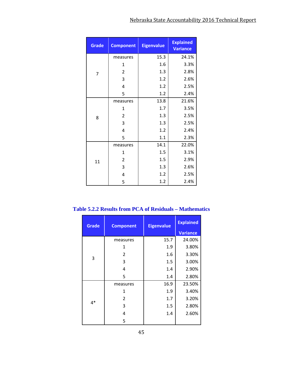| <b>Grade</b> | <b>Component</b> | <b>Eigenvalue</b> | <b>Explained</b><br><b>Variance</b> |  |
|--------------|------------------|-------------------|-------------------------------------|--|
|              | measures         | 15.3              | 24.1%                               |  |
|              | 1                | 1.6               | 3.3%                                |  |
| 7            | $\overline{2}$   | 1.3               | 2.8%                                |  |
|              | 3                | 1.2               | 2.6%                                |  |
|              | 4                | 1.2               | 2.5%                                |  |
|              | 5                | 1.2               | 2.4%                                |  |
|              | measures         | 13.8              | 21.6%                               |  |
|              | 1                | 1.7               | 3.5%                                |  |
| 8            | $\overline{2}$   | 1.3               | 2.5%                                |  |
|              | 3                | 1.3               | 2.5%                                |  |
|              | 4                | 1.2               | 2.4%                                |  |
|              | 5                | 1.1               | 2.3%                                |  |
|              | measures         | 14.1              | 22.0%                               |  |
|              | 1                | 1.5               | 3.1%                                |  |
| 11           | $\overline{2}$   | 1.5               | 2.9%                                |  |
|              | 3                | 1.3               | 2.6%                                |  |
|              | 4                | 1.2               | 2.5%                                |  |
|              | 5                | 1.2               | 2.4%                                |  |

**Table 5.2.2 Results from PCA of Residuals – Mathematics** 

| <b>Grade</b> | <b>Component</b> | <b>Eigenvalue</b> | <b>Explained</b> |  |
|--------------|------------------|-------------------|------------------|--|
|              |                  |                   | <b>Variance</b>  |  |
|              | measures         | 15.7              | 24.00%           |  |
|              | 1                | 1.9               | 3.80%            |  |
|              | 2                | 1.6               | 3.30%            |  |
| 3            | 3                | 1.5               | 3.00%            |  |
|              | 4                | 1.4               | 2.90%            |  |
|              | 5                | 1.4               | 2.80%            |  |
|              | measures         | 16.9              | 23.50%           |  |
|              | 1                | 1.9               | 3.40%            |  |
|              | 2                | 1.7               | 3.20%            |  |
| 4*           | 3                | 1.5               | 2.80%            |  |
|              | 4                | 1.4               | 2.60%            |  |
|              | 5                |                   |                  |  |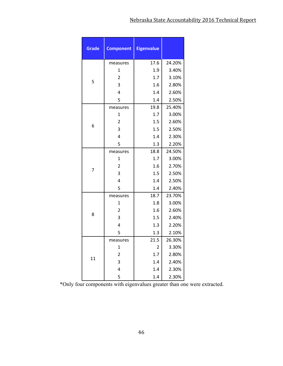| <b>Grade</b> | <b>Component</b>        | <b>Eigenvalue</b> |        |
|--------------|-------------------------|-------------------|--------|
|              | measures                | 17.6              | 24.20% |
|              | $\mathbf{1}$            | 1.9               | 3.40%  |
|              | $\overline{2}$          | 1.7               | 3.10%  |
| 5            | 3                       | 1.6               | 2.80%  |
|              | 4                       | 1.4               | 2.60%  |
|              | 5                       | 1.4               | 2.50%  |
|              | measures                | 19.8              | 25.40% |
|              | $\mathbf{1}$            | 1.7               | 3.00%  |
|              | $\overline{2}$          | 1.5               | 2.60%  |
| 6            | 3                       | 1.5               | 2.50%  |
|              | 4                       | 1.4               | 2.30%  |
|              | 5                       | 1.3               | 2.20%  |
|              | measures                | 18.8              | 24.50% |
|              | $\mathbf{1}$            | 1.7               | 3.00%  |
| 7            | $\overline{2}$          | 1.6               | 2.70%  |
|              | 3                       | 1.5               | 2.50%  |
|              | 4                       | 1.4               | 2.50%  |
|              | 5                       | 1.4               | 2.40%  |
|              | measures                | 18.7              | 23.70% |
|              | $\mathbf{1}$            | 1.8               | 3.00%  |
| 8            | $\overline{2}$          | 1.6               | 2.60%  |
|              | 3                       | 1.5               | 2.40%  |
|              | 4                       | 1.3               | 2.20%  |
|              | 5                       | 1.3               | 2.10%  |
|              | measures                | 21.5              | 26.30% |
|              | $\mathbf 1$             | 2                 | 3.30%  |
| 11           | $\overline{\mathbf{c}}$ | 1.7               | 2.80%  |
|              | 3                       | 1.4               | 2.40%  |
|              | 4                       | 1.4               | 2.30%  |
|              | 5                       | 1.4               | 2.30%  |

\*Only four components with eigenvalues greater than one were extracted.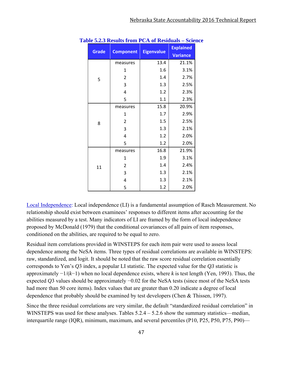| <b>Grade</b> | <b>Component</b> | <b>Eigenvalue</b> | <b>Explained</b><br><b>Variance</b> |
|--------------|------------------|-------------------|-------------------------------------|
|              | measures         | 13.4              | 21.1%                               |
|              | 1                | 1.6               | 3.1%                                |
| 5            | $\overline{2}$   | 1.4               | 2.7%                                |
|              | 3                | 1.3               | 2.5%                                |
|              | 4                | 1.2               | 2.3%                                |
|              | 5                | 1.1               | 2.3%                                |
|              | measures         | 15.8              | 20.9%                               |
|              | $\mathbf{1}$     | 1.7               | 2.9%                                |
| 8            | 2                | 1.5               | 2.5%                                |
|              | 3                | 1.3               | 2.1%                                |
|              | 4                | 1.2               | 2.0%                                |
|              | 5                | 1.2               | 2.0%                                |
|              | measures         | 16.8              | 21.9%                               |
|              | 1                | 1.9               | 3.1%                                |
| 11           | $\overline{2}$   | 1.4               | 2.4%                                |
|              | 3                | 1.3               | 2.1%                                |
|              | 4                | 1.3               | 2.1%                                |
|              | 5                | 1.2               | 2.0%                                |

|  | <b>Table 5.2.3 Results from PCA of Residuals – Science</b> |  |  |  |
|--|------------------------------------------------------------|--|--|--|
|--|------------------------------------------------------------|--|--|--|

Local Independence: Local independence (LI) is a fundamental assumption of Rasch Measurement. No relationship should exist between examinees' responses to different items after accounting for the abilities measured by a test. Many indicators of LI are framed by the form of local independence proposed by McDonald (1979) that the conditional covariances of all pairs of item responses, conditioned on the abilities, are required to be equal to zero.

Residual item correlations provided in WINSTEPS for each item pair were used to assess local dependence among the NeSA items. Three types of residual correlations are available in WINSTEPS: raw, standardized, and logit. It should be noted that the raw score residual correlation essentially corresponds to Yen's *Q*3 index, a popular LI statistic. The expected value for the *Q3* statistic is approximately −1/(*k*−1) when no local dependence exists, where *k* is test length (Yen, 1993). Thus, the expected *Q*3 values should be approximately −0.02 for the NeSA tests (since most of the NeSA tests had more than 50 core items). Index values that are greater than 0.20 indicate a degree of local dependence that probably should be examined by test developers (Chen & Thissen, 1997).

Since the three residual correlations are very similar, the default "standardized residual correlation" in WINSTEPS was used for these analyses. Tables  $5.2.4 - 5.2.6$  show the summary statistics—median, interquartile range (IQR), minimum, maximum, and several percentiles (P10, P25, P50, P75, P90)—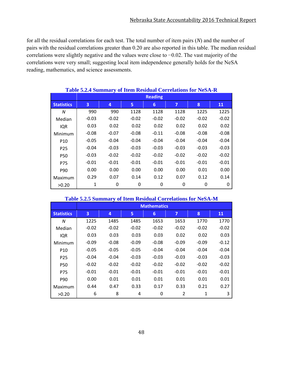for all the residual correlations for each test. The total number of item pairs (*N*) and the number of pairs with the residual correlations greater than 0.20 are also reported in this table. The median residual correlations were slightly negative and the values were close to −0.02. The vast majority of the correlations were very small; suggesting local item independence generally holds for the NeSA reading, mathematics, and science assessments.

|                   | Table 5.2.4 Summary of Item Residual Correlations for NeSA-R |                |         |         |         |         |         |  |  |  |
|-------------------|--------------------------------------------------------------|----------------|---------|---------|---------|---------|---------|--|--|--|
|                   |                                                              | <b>Reading</b> |         |         |         |         |         |  |  |  |
| <b>Statistics</b> | $\overline{3}$                                               | 4              | 5       | 6       | 7       | 8       | 11      |  |  |  |
| N                 | 990                                                          | 990            | 1128    | 1128    | 1128    | 1225    | 1225    |  |  |  |
| Median            | $-0.03$                                                      | $-0.02$        | $-0.02$ | $-0.02$ | $-0.02$ | $-0.02$ | $-0.02$ |  |  |  |
| <b>IQR</b>        | 0.03                                                         | 0.02           | 0.02    | 0.02    | 0.02    | 0.02    | 0.02    |  |  |  |
| Minimum           | $-0.08$                                                      | $-0.07$        | $-0.08$ | $-0.11$ | $-0.08$ | $-0.08$ | $-0.08$ |  |  |  |
| P <sub>10</sub>   | $-0.05$                                                      | $-0.04$        | $-0.04$ | $-0.04$ | $-0.04$ | $-0.04$ | $-0.04$ |  |  |  |
| P <sub>25</sub>   | $-0.04$                                                      | $-0.03$        | $-0.03$ | $-0.03$ | $-0.03$ | $-0.03$ | $-0.03$ |  |  |  |
| <b>P50</b>        | $-0.03$                                                      | $-0.02$        | $-0.02$ | $-0.02$ | $-0.02$ | $-0.02$ | $-0.02$ |  |  |  |
| P75               | $-0.01$                                                      | $-0.01$        | $-0.01$ | $-0.01$ | $-0.01$ | $-0.01$ | $-0.01$ |  |  |  |
| P90               | 0.00                                                         | 0.00           | 0.00    | 0.00    | 0.00    | 0.01    | 0.00    |  |  |  |
| Maximum           | 0.29                                                         | 0.07           | 0.14    | 0.12    | 0.07    | 0.12    | 0.14    |  |  |  |
| >0.20             | 1                                                            | 0              | 0       | 0       | 0       | 0       | 0       |  |  |  |

### **Table 5.2.4 Summary of Item Residual Correlations for NeSA-R**

|                   | <b>Table 5.2.5 Summary of Item Residual Correlations for NeSA-M</b> |                    |         |         |                |         |         |  |  |
|-------------------|---------------------------------------------------------------------|--------------------|---------|---------|----------------|---------|---------|--|--|
|                   |                                                                     | <b>Mathematics</b> |         |         |                |         |         |  |  |
| <b>Statistics</b> | $\overline{3}$                                                      | 4                  | 5       | 6       | 7              | 8       | 11      |  |  |
| N                 | 1225                                                                | 1485               | 1485    | 1653    | 1653           | 1770    | 1770    |  |  |
| Median            | $-0.02$                                                             | $-0.02$            | $-0.02$ | $-0.02$ | $-0.02$        | $-0.02$ | $-0.02$ |  |  |
| IQR               | 0.03                                                                | 0.03               | 0.03    | 0.03    | 0.02           | 0.02    | 0.03    |  |  |
| Minimum           | $-0.09$                                                             | $-0.08$            | $-0.09$ | $-0.08$ | $-0.09$        | $-0.09$ | $-0.12$ |  |  |
| P <sub>10</sub>   | $-0.05$                                                             | $-0.05$            | $-0.05$ | $-0.04$ | $-0.04$        | $-0.04$ | $-0.04$ |  |  |
| P <sub>25</sub>   | $-0.04$                                                             | $-0.04$            | $-0.03$ | $-0.03$ | $-0.03$        | $-0.03$ | $-0.03$ |  |  |
| <b>P50</b>        | $-0.02$                                                             | $-0.02$            | $-0.02$ | $-0.02$ | $-0.02$        | $-0.02$ | $-0.02$ |  |  |
| P75               | $-0.01$                                                             | $-0.01$            | $-0.01$ | $-0.01$ | $-0.01$        | $-0.01$ | $-0.01$ |  |  |
| P90               | 0.00                                                                | 0.01               | 0.01    | 0.01    | 0.01           | 0.01    | 0.01    |  |  |
| Maximum           | 0.44                                                                | 0.47               | 0.33    | 0.17    | 0.33           | 0.21    | 0.27    |  |  |
| >0.20             | 6                                                                   | 8                  | 4       | 0       | $\overline{2}$ | 1       | 3       |  |  |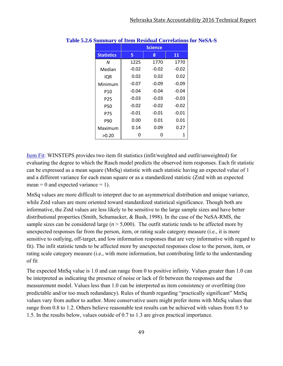|                   |         | <b>Science</b> |         |
|-------------------|---------|----------------|---------|
| <b>Statistics</b> | 5       | 8              | 11      |
| N                 | 1225    | 1770           | 1770    |
| Median            | $-0.02$ | $-0.02$        | $-0.02$ |
| IQR               | 0.02    | 0.02           | 0.02    |
| Minimum           | $-0.07$ | $-0.09$        | $-0.09$ |
| P10               | $-0.04$ | $-0.04$        | $-0.04$ |
| P <sub>25</sub>   | $-0.03$ | $-0.03$        | $-0.03$ |
| P50               | $-0.02$ | $-0.02$        | $-0.02$ |
| P75               | $-0.01$ | $-0.01$        | $-0.01$ |
| P90               | 0.00    | 0.01           | 0.01    |
| Maximum           | 0.14    | 0.09           | 0.27    |
| >0.20             | O       | Ω              | 1       |

#### **Table 5.2.6 Summary of Item Residual Correlations for NeSA-S**

Item Fit: WINSTEPS provides two item fit statistics (infit/weighted and outfit/unweighted) for evaluating the degree to which the Rasch model predicts the observed item responses. Each fit statistic can be expressed as a mean square (MnSq) statistic with each statistic having an expected value of 1 and a different variance for each mean square or as a standardized statistic (Zstd with an expected mean = 0 and expected variance = 1).

MnSq values are more difficult to interpret due to an asymmetrical distribution and unique variance, while Zstd values are more oriented toward standardized statistical significance. Though both are informative, the Zstd values are less likely to be sensitive to the large sample sizes and have better distributional properties (Smith, Schumacker, & Bush, 1998). In the case of the NeSA-RMS, the sample sizes can be considered large ( $n > 5,000$ ). The outfit statistic tends to be affected more by unexpected responses far from the person, item, or rating scale category measure (i.e., it is more sensitive to outlying, off-target, and low information responses that are very informative with regard to fit). The infit statistic tends to be affected more by unexpected responses close to the person, item, or rating scale category measure (i.e., with more information, but contributing little to the understanding of fit

The expected MnSq value is 1.0 and can range from 0 to positive infinity. Values greater than 1.0 can be interpreted as indicating the presence of noise or lack of fit between the responses and the measurement model. Values less than 1.0 can be interpreted as item consistency or overfitting (too predictable and/or too much redundancy). Rules of thumb regarding "practically significant" MnSq values vary from author to author. More conservative users might prefer items with MnSq values that range from 0.8 to 1.2. Others believe reasonable test results can be achieved with values from 0.5 to 1.5. In the results below, values outside of 0.7 to 1.3 are given practical importance.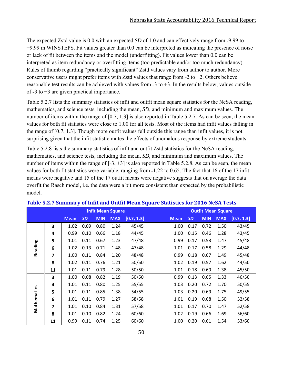The expected Zstd value is 0.0 with an expected *SD* of 1.0 and can effectively range from -9.99 to +9.99 in WINSTEPS. Fit values greater than 0.0 can be interpreted as indicating the presence of noise or lack of fit between the items and the model (underfitting). Fit values lower than 0.0 can be interpreted as item redundancy or overfitting items (too predictable and/or too much redundancy). Rules of thumb regarding "practically significant" Zstd values vary from author to author. More conservative users might prefer items with Zstd values that range from  $-2$  to  $+2$ . Others believe reasonable test results can be achieved with values from  $-3$  to  $+3$ . In the results below, values outside of  $-3$  to  $+3$  are given practical importance.

Table 5.2.7 lists the summary statistics of infit and outfit mean square statistics for the NeSA reading, mathematics, and science tests, including the mean, *SD*, and minimum and maximum values. The number of items within the range of [0.7, 1.3] is also reported in Table 5.2.7. As can be seen, the mean values for both fit statistics were close to 1.00 for all tests. Most of the items had infit values falling in the range of [0.7, 1.3]. Though more outfit values fell outside this range than infit values, it is not surprising given that the infit statistic mutes the effects of anomalous response by extreme students.

Table 5.2.8 lists the summary statistics of infit and outfit Zstd statistics for the NeSA reading, mathematics, and science tests, including the mean, *SD*, and minimum and maximum values. The number of items within the range of  $[-3, +3]$  is also reported in Table 5.2.8. As can be seen, the mean values for both fit statistics were variable, ranging from  $-1.22$  to 0.65. The fact that 16 of the 17 infit means were negative and 15 of the 17 outfit means were negative suggests that on average the data overfit the Rasch model, i.e. the data were a bit more consistent than expected by the probabilistic model.

| <b>Infit Mean Square</b> |                         |             |           |            |            |            | <b>Outfit Mean Square</b> |           |            |            |            |
|--------------------------|-------------------------|-------------|-----------|------------|------------|------------|---------------------------|-----------|------------|------------|------------|
|                          |                         | <b>Mean</b> | <b>SD</b> | <b>MIN</b> | <b>MAX</b> | [0.7, 1.3] | <b>Mean</b>               | <b>SD</b> | <b>MIN</b> | <b>MAX</b> | [0.7, 1.3] |
|                          | 3                       | 1.02        | 0.09      | 0.80       | 1.24       | 45/45      | 1.00                      | 0.17      | 0.72       | 1.50       | 43/45      |
|                          | 4                       | 0.99        | 0.10      | 0.66       | 1.18       | 44/45      | 1.00                      | 0.15      | 0.46       | 1.28       | 43/45      |
|                          | 5                       | 1.01        | 0.11      | 0.67       | 1.23       | 47/48      | 0.99                      | 0.17      | 0.53       | 1.47       | 45/48      |
| Reading                  | 6                       | 1.02        | 0.13      | 0.71       | 1.48       | 47/48      | 1.01                      | 0.17      | 0.58       | 1.29       | 44/48      |
|                          | 7                       | 1.00        | 0.11      | 0.84       | 1.20       | 48/48      | 0.99                      | 0.18      | 0.67       | 1.49       | 45/48      |
|                          | 8                       | 1.02        | 0.11      | 0.76       | 1.21       | 50/50      | 1.02                      | 0.19      | 0.57       | 1.62       | 44/50      |
|                          | 11                      | 1.01        | 0.11      | 0.79       | 1.28       | 50/50      | 1.01                      | 0.18      | 0.69       | 1.38       | 45/50      |
|                          | 3                       | 1.00        | 0.08      | 0.82       | 1.19       | 50/50      | 0.99                      | 0.13      | 0.65       | 1.33       | 46/50      |
|                          | 4                       | 1.01        | 0.11      | 0.80       | 1.25       | 55/55      | 1.03                      | 0.20      | 0.72       | 1.70       | 50/55      |
|                          | 5                       | 1.01        | 0.11      | 0.85       | 1.38       | 54/55      | 1.03                      | 0.20      | 0.69       | 1.75       | 49/55      |
|                          | 6                       | 1.01        | 0.11      | 0.79       | 1.27       | 58/58      | 1.01                      | 0.19      | 0.68       | 1.50       | 52/58      |
| Mathematics              | $\overline{\mathbf{z}}$ | 1.01        | 0.10      | 0.84       | 1.31       | 57/58      | 1.01                      | 0.17      | 0.70       | 1.47       | 52/58      |
|                          | 8                       | 1.01        | 0.10      | 0.82       | 1.24       | 60/60      | 1.02                      | 0.19      | 0.66       | 1.69       | 56/60      |
|                          | 11                      | 0.99        | 0.11      | 0.74       | 1.25       | 60/60      | 1.00                      | 0.20      | 0.61       | 1.54       | 53/60      |

### **Table 5.2.7 Summary of Infit and Outfit Mean Square Statistics for 2016 NeSA Tests**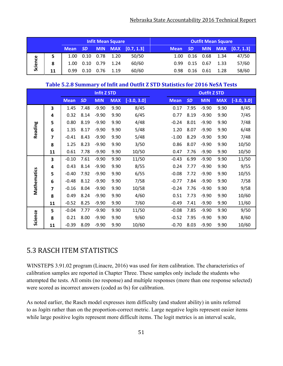|         |    |             |            |            | <b>Infit Mean Square</b> |            | <b>Outfit Mean Square</b> |           |      |      |                    |
|---------|----|-------------|------------|------------|--------------------------|------------|---------------------------|-----------|------|------|--------------------|
|         |    | <b>Mean</b> | <b>SDI</b> | <b>MIN</b> | <b>MAX</b>               | [0.7, 1.3] | <b>Mean</b>               | <b>SD</b> |      |      | MIN MAX [0.7, 1.3] |
|         | 5  | 1.00        | 0.10       | 0.78       | 1.20                     | 50/50      | 1.00                      | 0.16      | 0.68 | 1.34 | 47/50              |
| Science | 8  | 1.00        | 0.10       | 0.79       | 1.24                     | 60/60      | 0.99                      | 0.15      | 0.67 | 1.33 | 57/60              |
|         | 11 | 0.99        | .10        | 0.76       | 1.19                     | 60/60      | 0.98                      | 0.16      | 0.61 | 1.28 | 58/60              |

### **Table 5.2.8 Summary of Infit and Outfit Z STD Statistics for 2016 NeSA Tests**

| <b>Infit Z STD</b> |    |             |           |            |            |               |             |           | <b>Outfit Z STD</b> |            |               |
|--------------------|----|-------------|-----------|------------|------------|---------------|-------------|-----------|---------------------|------------|---------------|
|                    |    | <b>Mean</b> | <b>SD</b> | <b>MIN</b> | <b>MAX</b> | $[-3.0, 3.0]$ | <b>Mean</b> | <b>SD</b> | <b>MIN</b>          | <b>MAX</b> | $[-3.0, 3.0]$ |
|                    | 3  | 1.45        | 7.48      | $-9.90$    | 9.90       | 8/45          | 0.17        | 7.95      | $-9.90$             | 9.90       | 8/45          |
|                    | 4  | 0.32        | 8.14      | $-9.90$    | 9.90       | 6/45          | 0.77        | 8.19      | $-9.90$             | 9.90       | 7/45          |
|                    | 5  | 0.80        | 8.19      | $-9.90$    | 9.90       | 4/48          | $-0.24$     | 8.01      | $-9.90$             | 9.90       | 7/48          |
| Reading            | 6  | 1.35        | 8.17      | $-9.90$    | 9.90       | 5/48          | 1.20        | 8.07      | $-9.90$             | 9.90       | 6/48          |
|                    | 7  | $-0.41$     | 8.43      | $-9.90$    | 9.90       | 5/48          | $-1.00$     | 8.29      | $-9.90$             | 9.90       | 7/48          |
|                    | 8  | 1.25        | 8.23      | $-9.90$    | 9.90       | 3/50          | 0.86        | 8.07      | $-9.90$             | 9.90       | 10/50         |
|                    | 11 | 0.61        | 7.78      | $-9.90$    | 9.90       | 10/50         | 0.47        | 7.76      | $-9.90$             | 9.90       | 10/50         |
|                    | 3  | $-0.10$     | 7.61      | $-9.90$    | 9.90       | 11/50         | $-0.43$     | 6.99      | $-9.90$             | 9.90       | 11/50         |
|                    | 4  | 0.43        | 8.14      | $-9.90$    | 9.90       | 8/55          | 0.24        | 7.77      | $-9.90$             | 9.90       | 9/55          |
| Mathematics        | 5  | $-0.40$     | 7.92      | $-9.90$    | 9.90       | 6/55          | $-0.08$     | 7.72      | $-9.90$             | 9.90       | 10/55         |
|                    | 6  | $-0.48$     | 8.12      | $-9.90$    | 9.90       | 7/58          | $-0.77$     | 7.84      | $-9.90$             | 9.90       | 7/58          |
|                    | 7  | $-0.16$     | 8.04      | $-9.90$    | 9.90       | 10/58         | $-0.24$     | 7.76      | $-9.90$             | 9.90       | 9/58          |
|                    | 8  | 0.49        | 8.24      | $-9.90$    | 9.90       | 4/60          | 0.51        | 7.73      | $-9.90$             | 9.90       | 10/60         |
|                    | 11 | $-0.52$     | 8.25      | $-9.90$    | 9.90       | 7/60          | $-0.49$     | 7.41      | $-9.90$             | 9.90       | 11/60         |
|                    | 5  | $-0.04$     | 7.77      | $-9.90$    | 9.90       | 11/50         | $-0.08$     | 7.85      | $-9.90$             | 9.90       | 9/50          |
| Science            | 8  | 0.21        | 8.00      | $-9.90$    | 9.90       | 9/60          | $-0.52$     | 7.95      | $-9.90$             | 9.90       | 8/60          |
|                    | 11 | $-0.39$     | 8.09      | $-9.90$    | 9.90       | 10/60         | $-0.70$     | 8.03      | $-9.90$             | 9.90       | 10/60         |

### 5.3 RASCH ITEM STATISTICS

WINSTEPS 3.91.02 program (Linacre, 2016) was used for item calibration. The characteristics of calibration samples are reported in Chapter Three. These samples only include the students who attempted the tests. All omits (no response) and multiple responses (more than one response selected) were scored as incorrect answers (coded as 0s) for calibration.

As noted earlier, the Rasch model expresses item difficulty (and student ability) in units referred to as *logits* rather than on the proportion-correct metric. Large negative logits represent easier items while large positive logits represent more difficult items. The logit metrics is an interval scale,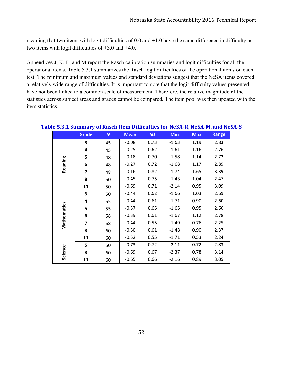meaning that two items with logit difficulties of 0.0 and +1.0 have the same difference in difficulty as two items with logit difficulties of +3.0 and +4.0.

Appendices J, K, L, and M report the Rasch calibration summaries and logit difficulties for all the operational items. Table 5.3.1 summarizes the Rasch logit difficulties of the operational items on each test. The minimum and maximum values and standard deviations suggest that the NeSA items covered a relatively wide range of difficulties. It is important to note that the logit difficulty values presented have not been linked to a common scale of measurement. Therefore, the relative magnitude of the statistics across subject areas and grades cannot be compared. The item pool was then updated with the item statistics.

|             | <b>Grade</b> | N  | <b>Mean</b> | <b>SD</b> | <b>Min</b> | <b>Max</b> | <b>Range</b> |
|-------------|--------------|----|-------------|-----------|------------|------------|--------------|
|             | 3            | 45 | $-0.08$     | 0.73      | $-1.63$    | 1.19       | 2.83         |
|             | 4            | 45 | $-0.25$     | 0.62      | $-1.61$    | 1.16       | 2.76         |
|             | 5            | 48 | $-0.18$     | 0.70      | $-1.58$    | 1.14       | 2.72         |
| Reading     | 6            | 48 | $-0.27$     | 0.72      | $-1.68$    | 1.17       | 2.85         |
|             | 7            | 48 | $-0.16$     | 0.82      | $-1.74$    | 1.65       | 3.39         |
|             | 8            | 50 | $-0.45$     | 0.75      | $-1.43$    | 1.04       | 2.47         |
|             | 11           | 50 | $-0.69$     | 0.71      | $-2.14$    | 0.95       | 3.09         |
|             | 3            | 50 | $-0.44$     | 0.62      | $-1.66$    | 1.03       | 2.69         |
|             | 4            | 55 | $-0.44$     | 0.61      | $-1.71$    | 0.90       | 2.60         |
| Mathematics | 5            | 55 | $-0.37$     | 0.65      | $-1.65$    | 0.95       | 2.60         |
|             | 6            | 58 | $-0.39$     | 0.61      | $-1.67$    | 1.12       | 2.78         |
|             | 7            | 58 | $-0.44$     | 0.55      | $-1.49$    | 0.76       | 2.25         |
|             | 8            | 60 | $-0.50$     | 0.61      | $-1.48$    | 0.90       | 2.37         |
|             | 11           | 60 | $-0.52$     | 0.55      | $-1.71$    | 0.53       | 2.24         |
|             | 5            | 50 | $-0.73$     | 0.72      | $-2.11$    | 0.72       | 2.83         |
| Science     | 8            | 60 | $-0.69$     | 0.67      | $-2.37$    | 0.78       | 3.14         |
|             | 11           | 60 | $-0.65$     | 0.66      | $-2.16$    | 0.89       | 3.05         |

### **Table 5.3.1 Summary of Rasch Item Difficulties for NeSA‐R, NeSA‐M, and NeSA‐S**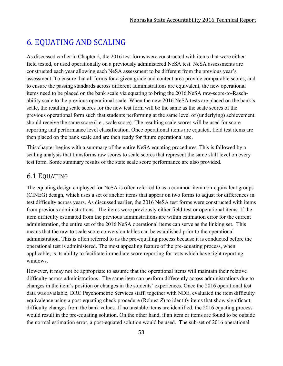# 6. EQUATING AND SCALING

As discussed earlier in Chapter 2, the 2016 test forms were constructed with items that were either field tested, or used operationally on a previously administered NeSA test. NeSA assessments are constructed each year allowing each NeSA assessment to be different from the previous year's assessment. To ensure that all forms for a given grade and content area provide comparable scores, and to ensure the passing standards across different administrations are equivalent, the new operational items need to be placed on the bank scale via equating to bring the 2016 NeSA raw-score-to-Raschability scale to the previous operational scale. When the new 2016 NeSA tests are placed on the bank's scale, the resulting scale scores for the new test form will be the same as the scale scores of the previous operational form such that students performing at the same level of (underlying) achievement should receive the same score (i.e., scale score). The resulting scale scores will be used for score reporting and performance level classification. Once operational items are equated, field test items are then placed on the bank scale and are then ready for future operational use.

This chapter begins with a summary of the entire NeSA equating procedures. This is followed by a scaling analysis that transforms raw scores to scale scores that represent the same skill level on every test form. Some summary results of the state scale score performance are also provided.

### 6.1 EQUATING

The equating design employed for NeSA is often referred to as a common-item non-equivalent groups (CINEG) design, which uses a set of anchor items that appear on two forms to adjust for differences in test difficulty across years. As discussed earlier, the 2016 NeSA test forms were constructed with items from previous administrations. The items were previously either field-test or operational items. If the item difficulty estimated from the previous administrations are within estimation error for the current administration, the entire set of the 2016 NeSA operational items can serve as the linking set. This means that the raw to scale score conversion tables can be established prior to the operational administration. This is often referred to as the pre-equating process because it is conducted before the operational test is administered. The most appealing feature of the pre-equating process, when applicable, is its ability to facilitate immediate score reporting for tests which have tight reporting windows.

However, it may not be appropriate to assume that the operational items will maintain their relative difficulty across administrations. The same item can perform differently across administrations due to changes in the item's position or changes in the students' experiences. Once the 2016 operational test data was available, DRC Psychometric Services staff, together with NDE, evaluated the item difficulty equivalence using a post-equating check procedure (Robust *Z*) to identify items that show significant difficulty changes from the bank values. If no unstable items are identified, the 2016 equating process would result in the pre-equating solution. On the other hand, if an item or items are found to be outside the normal estimation error, a post-equated solution would be used. The sub-set of 2016 operational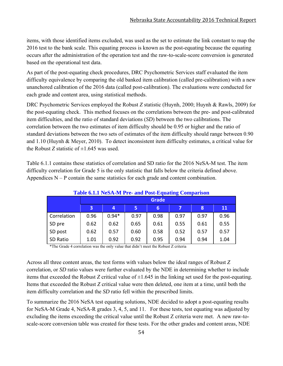items, with those identified items excluded, was used as the set to estimate the link constant to map the 2016 test to the bank scale. This equating process is known as the post-equating because the equating occurs after the administration of the operation test and the raw-to-scale-score conversion is generated based on the operational test data.

As part of the post-equating check procedures, DRC Psychometric Services staff evaluated the item difficulty equivalence by comparing the old banked item calibration (called pre-calibration) with a new unanchored calibration of the 2016 data (called post-calibration). The evaluations were conducted for each grade and content area, using statistical methods.

DRC Psychometric Services employed the Robust *Z* statistic (Huynh, 2000; Huynh & Rawls, 2009) for the post-equating check. This method focuses on the correlations between the pre- and post-calibrated item difficulties, and the ratio of standard deviations (*SD*) between the two calibrations. The correlation between the two estimates of item difficulty should be 0.95 or higher and the ratio of standard deviations between the two sets of estimates of the item difficulty should range between 0.90 and 1.10 (Huynh & Meyer, 2010). To detect inconsistent item difficulty estimates, a critical value for the Robust *Z* statistic of  $\pm 1.645$  was used.

Table 6.1.1 contains these statistics of correlation and SD ratio for the 2016 NeSA-M test. The item difficulty correlation for Grade 5 is the only statistic that falls below the criteria defined above. Appendices  $N - P$  contain the same statistics for each grade and content combination.

|             |                         | <b>Table 0.1.1 NeSA-M FTE- and FOSt-Equating Comparison</b> |      |      |      |      |      |  |  |  |  |
|-------------|-------------------------|-------------------------------------------------------------|------|------|------|------|------|--|--|--|--|
|             |                         | <b>Grade</b>                                                |      |      |      |      |      |  |  |  |  |
|             | $\overline{\mathbf{3}}$ | 4                                                           | 5    | 6    |      | 8    | 11   |  |  |  |  |
| Correlation | 0.96                    | $0.94*$                                                     | 0.97 | 0.98 | 0.97 | 0.97 | 0.96 |  |  |  |  |
| SD pre      | 0.62                    | 0.62                                                        | 0.65 | 0.61 | 0.55 | 0.61 | 0.55 |  |  |  |  |
| SD post     | 0.62                    | 0.57                                                        | 0.60 | 0.58 | 0.52 | 0.57 | 0.57 |  |  |  |  |
| SD Ratio    | 1.01                    | 0.92                                                        | 0.92 | 0.95 | 0.94 | 0.94 | 1.04 |  |  |  |  |

**Table 6.1.1 NeSA-M Pre- and Post-Equating Comparison** 

\*The Grade 4 correlation was the only value that didn't meet the Robust Z criteria

Across all three content areas, the test forms with values below the ideal ranges of Robust *Z* correlation, or *SD* ratio values were further evaluated by the NDE in determining whether to include items that exceeded the Robust *Z* critical value of  $\pm 1.645$  in the linking set used for the post-equating. Items that exceeded the Robust *Z* critical value were then deleted, one item at a time, until both the item difficulty correlation and the *SD* ratio fell within the prescribed limits.

To summarize the 2016 NeSA test equating solutions, NDE decided to adopt a post-equating results for NeSA-M Grade 4, NeSA-R grades 3, 4, 5, and 11. For these tests, test equating was adjusted by excluding the items exceeding the critical value until the Robust Z criteria were met. A new raw-toscale-score conversion table was created for these tests. For the other grades and content areas, NDE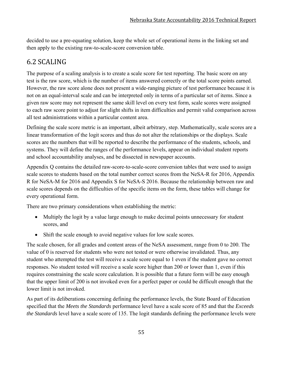decided to use a pre-equating solution, keep the whole set of operational items in the linking set and then apply to the existing raw-to-scale-score conversion table.

## 6.2 SCALING

The purpose of a scaling analysis is to create a scale score for test reporting. The basic score on any test is the raw score, which is the number of items answered correctly or the total score points earned. However, the raw score alone does not present a wide-ranging picture of test performance because it is not on an equal-interval scale and can be interpreted only in terms of a particular set of items. Since a given raw score may not represent the same skill level on every test form, scale scores were assigned to each raw score point to adjust for slight shifts in item difficulties and permit valid comparison across all test administrations within a particular content area.

Defining the scale score metric is an important, albeit arbitrary, step. Mathematically, scale scores are a linear transformation of the logit scores and thus do not alter the relationships or the displays. Scale scores are the numbers that will be reported to describe the performance of the students, schools, and systems. They will define the ranges of the performance levels, appear on individual student reports and school accountability analyses, and be dissected in newspaper accounts.

Appendix Q contains the detailed raw-score-to-scale-score conversion tables that were used to assign scale scores to students based on the total number correct scores from the NeSA-R for 2016, Appendix R for NeSA-M for 2016 and Appendix S for NeSA-S 2016. Because the relationship between raw and scale scores depends on the difficulties of the specific items on the form, these tables will change for every operational form.

There are two primary considerations when establishing the metric:

- Multiply the logit by a value large enough to make decimal points unnecessary for student scores, and
- Shift the scale enough to avoid negative values for low scale scores.

The scale chosen, for all grades and content areas of the NeSA assessment, range from 0 to 200. The value of 0 is reserved for students who were not tested or were otherwise invalidated. Thus, any student who attempted the test will receive a scale score equal to 1 even if the student gave no correct responses. No student tested will receive a scale score higher than 200 or lower than 1, even if this requires constraining the scale score calculation. It is possible that a future form will be easy enough that the upper limit of 200 is not invoked even for a perfect paper or could be difficult enough that the lower limit is not invoked.

As part of its deliberations concerning defining the performance levels, the State Board of Education specified that the *Meets the Standards* performance level have a scale score of 85 and that the *Exceeds the Standards* level have a scale score of 135. The logit standards defining the performance levels were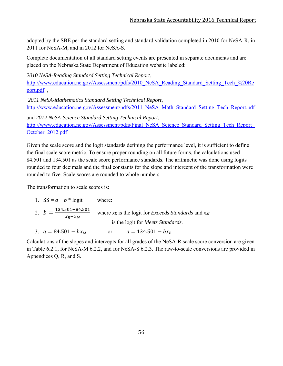adopted by the SBE per the standard setting and standard validation completed in 2010 for NeSA-R, in 2011 for NeSA-M, and in 2012 for NeSA-S.

Complete documentation of all standard setting events are presented in separate documents and are placed on the Nebraska State Department of Education website labeled:

*2010 NeSA-Reading Standard Setting Technical Report*, http://www.education.ne.gov/Assessment/pdfs/2010\_NeSA\_Reading\_Standard\_Setting\_Tech\_%20Re port.pdf ,

 *2011 NeSA-Mathematics Standard Setting Technical Report*, http://www.education.ne.gov/Assessment/pdfs/2011\_NeSA\_Math\_Standard\_Setting\_Tech\_Report.pdf

and *2012 NeSA-Science Standard Setting Technical Report*, http://www.education.ne.gov/Assessment/pdfs/Final\_NeSA\_Science\_Standard\_Setting\_Tech\_Report October\_2012.pdf

Given the scale score and the logit standards defining the performance level, it is sufficient to define the final scale score metric. To ensure proper rounding on all future forms, the calculations used 84.501 and 134.501 as the scale score performance standards. The arithmetic was done using logits rounded to four decimals and the final constants for the slope and intercept of the transformation were rounded to five. Scale scores are rounded to whole numbers.

The transformation to scale scores is:

| 1. $SS = a + b * logit$                                  | where:                                                          |
|----------------------------------------------------------|-----------------------------------------------------------------|
| 2. $b = \frac{134.501 - 84.501}{ }$<br>$\chi_F - \chi_M$ | where $x_E$ is the logit for <i>Exceeds Standards</i> and $x_M$ |
|                                                          | is the logit for <i>Meets Standards</i> .                       |
| 3. $a = 84.501 - bx_M$                                   | $a = 134.501 - bx_F$ .<br><sub>or</sub>                         |

Calculations of the slopes and intercepts for all grades of the NeSA-R scale score conversion are given in Table 6.2.1, for NeSA-M 6.2.2, and for NeSA-S 6.2.3. The raw-to-scale conversions are provided in Appendices Q, R, and S.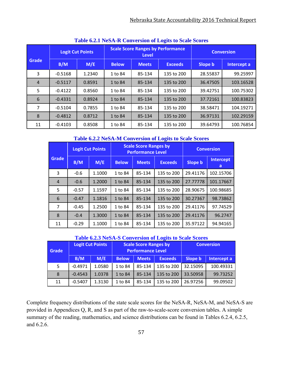|              | <b>TABLE 0.2.1 INCREATE CONVENION OF LOGIES TO REAL BLOTES</b> |                         |              |                                                          |                   |          |                    |  |  |  |  |
|--------------|----------------------------------------------------------------|-------------------------|--------------|----------------------------------------------------------|-------------------|----------|--------------------|--|--|--|--|
| <b>Grade</b> |                                                                | <b>Logit Cut Points</b> |              | <b>Scale Score Ranges by Performance</b><br><b>Level</b> | <b>Conversion</b> |          |                    |  |  |  |  |
|              | B/M                                                            | M/E                     | <b>Below</b> | <b>Meets</b>                                             | <b>Exceeds</b>    | Slope b  | <b>Intercept a</b> |  |  |  |  |
| 3            | $-0.5168$                                                      | 1.2340                  | 1 to 84      | 85-134                                                   | 135 to 200        | 28.55837 | 99.25997           |  |  |  |  |
| 4            | $-0.5117$                                                      | 0.8591                  | 1 to 84      | 85-134                                                   | 135 to 200        | 36.47505 | 103.16528          |  |  |  |  |
| 5            | $-0.4122$                                                      | 0.8560                  | 1 to 84      | 85-134                                                   | 135 to 200        | 39.42751 | 100.75302          |  |  |  |  |
| 6            | $-0.4331$                                                      | 0.8924                  | 1 to 84      | 85-134                                                   | 135 to 200        | 37.72161 | 100.83823          |  |  |  |  |
| 7            | $-0.5104$                                                      | 0.7855                  | 1 to 84      | 85-134                                                   | 135 to 200        | 38.58471 | 104.19271          |  |  |  |  |
| 8            | $-0.4812$                                                      | 0.8712                  | 1 to 84      | 85-134                                                   | 135 to 200        | 36.97131 | 102.29159          |  |  |  |  |
| 11           | $-0.4103$                                                      | 0.8508                  | 1 to 84      | 85-134                                                   | 135 to 200        | 39.64793 | 100.76854          |  |  |  |  |

### **Table 6.2.1 NeSA-R Conversion of Logits to Scale Scores**

### **Table 6.2.2 NeSA-M Conversion of Logits to Scale Scores**

|                |         | <b>Logit Cut Points</b> |              | <b>Scale Score Ranges by</b><br><b>Performance Level</b> | <b>Conversion</b> |                |                |
|----------------|---------|-------------------------|--------------|----------------------------------------------------------|-------------------|----------------|----------------|
| Grade          | B/M     | M/E                     | <b>Below</b> | <b>Meets</b>                                             | <b>Exceeds</b>    | <b>Slope b</b> | Intercept<br>a |
| 3              | $-0.6$  | 1.1000                  | 1 to 84      | 85-134                                                   | 135 to 200        | 29.41176       | 102.15706      |
| $\overline{4}$ | $-0.6$  | 1.2000                  | 1 to 84      | 85-134                                                   | 135 to 200        | 27.77778       | 101.17667      |
| 5              | $-0.57$ | 1.1597                  | 1 to 84      | 85-134                                                   | 135 to 200        | 28.90675       | 100.98685      |
| 6              | $-0.47$ | 1.1816                  | 1 to 84      | 85-134                                                   | 135 to 200        | 30.27367       | 98.73862       |
| 7              | $-0.45$ | 1.2500                  | 1 to 84      | 85-134                                                   | 135 to 200        | 29.41176       | 97.74529       |
| 8              | $-0.4$  | 1.3000                  | 1 to 84      | 85-134                                                   | 135 to 200        | 29.41176       | 96.2747        |
| 11             | $-0.29$ | 1.1000                  | 1 to 84      | 85-134                                                   | 135 to 200        | 35.97122       | 94.94165       |

#### **Table 6.2.3 NeSA-S Conversion of Logits to Scale Scores**

| Grade |           | <b>Logit Cut Points</b> |              | <b>Scale Score Ranges by</b><br><b>Performance Level</b> | <b>Conversion</b> |          |             |
|-------|-----------|-------------------------|--------------|----------------------------------------------------------|-------------------|----------|-------------|
|       | B/M       | M/E                     | <b>Below</b> | <b>Meets</b>                                             | <b>Exceeds</b>    | Slope b  | Intercept a |
| 5     | $-0.4971$ | 1.0580                  | 1 to 84      | 85-134                                                   | 135 to 200        | 32.15095 | 100.49331   |
| 8     | $-0.4543$ | 1.0378                  | 1 to 84      | 85-134                                                   | 135 to 200        | 33.50958 | 99.73252    |
| 11    | $-0.5407$ | 1.3130                  | 1 to 84      | 85-134                                                   | 135 to 200        | 26.97256 | 99.09502    |

Complete frequency distributions of the state scale scores for the NeSA-R, NeSA-M, and NeSA-S are provided in Appendices Q, R, and S as part of the raw-to-scale-score conversion tables. A simple summary of the reading, mathematics, and science distributions can be found in Tables 6.2.4, 6.2.5, and 6.2.6.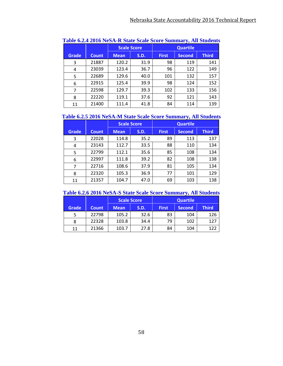|              |              | <b>Scale Score</b> |             | Table 0.2.1 2010 Repli-R blait beak beore building 3, All blauents<br><b>Quartile</b> |               |              |  |
|--------------|--------------|--------------------|-------------|---------------------------------------------------------------------------------------|---------------|--------------|--|
| <b>Grade</b> | <b>Count</b> | <b>Mean</b>        | <b>S.D.</b> | <b>First</b>                                                                          | <b>Second</b> | <b>Third</b> |  |
| 3            | 21887        | 120.2              | 31.9        | 98                                                                                    | 119           | 141          |  |
| 4            | 23039        | 123.4              | 36.7        | 96                                                                                    | 122           | 149          |  |
| 5            | 22689        | 129.6              | 40.0        | 101                                                                                   | 132           | 157          |  |
| 6            | 22915        | 125.4              | 39.9        | 98                                                                                    | 124           | 152          |  |
| 7            | 22598        | 129.7              | 39.3        | 102                                                                                   | 133           | 156          |  |
| 8            | 22220        | 119.1              | 37.6        | 92                                                                                    | 121           | 143          |  |
| 11           | 21400        | 111.4              | 41.8        | 84                                                                                    | 114           | 139          |  |

#### **Table 6.2.4 2016 NeSA-R State Scale Score Summary, All Students**

### **Table 6.2.5 2016 NeSA-M State Scale Score Summary, All Students**

|       |              |             | <b>Scale Score</b> |              | <b>Quartile</b> |              |
|-------|--------------|-------------|--------------------|--------------|-----------------|--------------|
| Grade | <b>Count</b> | <b>Mean</b> | S.D.               | <b>First</b> | <b>Second</b>   | <b>Third</b> |
| 3     | 22028        | 114.8       | 35.2               | 89           | 113             | 137          |
| 4     | 23143        | 112.7       | 33.5               | 88           | 110             | 134          |
| 5     | 22799        | 112.1       | 35.6               | 85           | 108             | 134          |
| 6     | 22997        | 111.8       | 39.2               | 82           | 108             | 138          |
| 7     | 22716        | 108.6       | 37.9               | 81           | 105             | 134          |
| 8     | 22320        | 105.3       | 36.9               | 77           | 101             | 129          |
| 11    | 21357        | 104.7       | 47.0               | 69           | 103             | 138          |

### **Table 6.2.6 2016 NeSA-S State Scale Score Summary, All Students**

|       |              |               | <b>Scale Score</b><br><b>Quartile</b> |              |        |              |
|-------|--------------|---------------|---------------------------------------|--------------|--------|--------------|
| Grade | <b>Count</b> | <b>Mean</b>   | S.D.                                  | <b>First</b> | Second | <b>Third</b> |
| 5     | 22798        | 105.2         | 32.6                                  | 83           | 104    | 126          |
| 8     | 22328        | 103.8         | 34.4                                  | 79           | 102    | 127          |
| 11    | 21366        | 27.8<br>103.7 |                                       | 84           | 104    | 122          |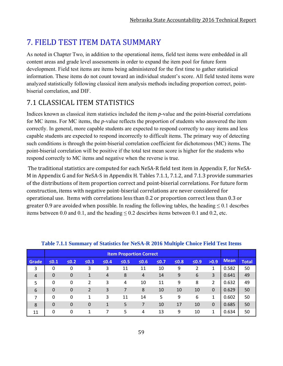# **7. FIELD TEST ITEM DATA SUMMARY**

As noted in Chapter Two, in addition to the operational items, field test items were embedded in all content areas and grade level assessments in order to expand the item pool for future form development. Field test items are items being administered for the first time to gather statistical information. These items do not count toward an individual student's score. All field tested items were analyzed statistically following classical item analysis methods including proportion correct, pointbiserial correlation, and DIF.

# 7.1 CLASSICAL ITEM STATISTICS

Indices known as classical item statistics included the item *p*-value and the point-biserial correlations for MC items. For MC items, the *p*-value reflects the proportion of students who answered the item correctly. In general, more capable students are expected to respond correctly to easy items and less capable students are expected to respond incorrectly to difficult items. The primary way of detecting such conditions is through the point-biserial correlation coefficient for dichotomous (MC) items. The point-biserial correlation will be positive if the total test mean score is higher for the students who respond correctly to MC items and negative when the reverse is true.

The traditional statistics are computed for each NeSA–R field test item in Appendix F, for NeSA– M in Appendix G and for NeSA-S in Appendix H. Tables  $7.1.1$ ,  $7.1.2$ , and  $7.1.3$  provide summaries of the distributions of item proportion correct and point-biserial correlations. For future form construction, items with negative point-biserial correlations are never considered for operational use. Items with correlations less than 0.2 or proportion correct less than 0.3 or greater 0.9 are avoided when possible. In reading the following tables, the heading  $\leq 0.1$  descrbes items between 0.0 and 0.1, and the heading  $\leq 0.2$  descirbes items between 0.1 and 0.2, etc.

|                |              |             |                |                |            | <b>Item Proportion Correct</b> |            |            |            |                |             |              |
|----------------|--------------|-------------|----------------|----------------|------------|--------------------------------|------------|------------|------------|----------------|-------------|--------------|
| Grade          | $\leq 0.1$   | $≤0.2$      | $\leq 0.3$     | $≤0.4$         | $\leq 0.5$ | $\leq 0.6$                     | $\leq 0.7$ | $\leq 0.8$ | $\leq 0.9$ | >0.9           | <b>Mean</b> | <b>Total</b> |
| 3              | 0            | 0           | 3              | 3              | 11         | 11                             | 10         | 9          | 2          | 1              | 0.582       | 50           |
| $\overline{4}$ | $\Omega$     | $\mathbf 0$ | 1              | $\overline{4}$ | 8          | $\overline{a}$                 | 14         | 9          | 6          | 3              | 0.641       | 49           |
| 5              | $\mathbf{0}$ | 0           | $\overline{2}$ | 3              | 4          | 10                             | 11         | 9          | 8          | $\overline{2}$ | 0.632       | 49           |
| 6              | $\Omega$     | $\mathbf 0$ | 2              | 3              | 7          | 8                              | 10         | 10         | 10         | $\mathbf 0$    | 0.629       | 50           |
| 7              | $\Omega$     | 0           | 1              | 3              | 11         | 14                             | 5          | 9          | 6          | 1              | 0.602       | 50           |
| 8              | $\Omega$     | $\mathbf 0$ | 0              | $\mathbf{1}$   | 5          | 7                              | 10         | 17         | 10         | $\mathbf 0$    | 0.685       | 50           |
| 11             | 0            | 0           | 1              | 7              | 5          | 4                              | 13         | 9          | 10         | 1              | 0.634       | 50           |

### **Table 7.1.1 Summary of Statistics for NeSA-R 2016 Multiple Choice Field Test Items**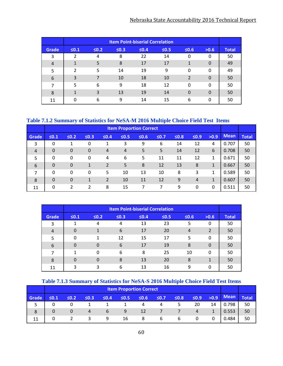### Nebraska State Accountability 2016 Technical Report

|                |            |            |            | <b>Item Point-biserial Correlation</b> |            |                |          |              |
|----------------|------------|------------|------------|----------------------------------------|------------|----------------|----------|--------------|
| <b>Grade</b>   | $\leq 0.1$ | $\leq 0.2$ | $\leq 0.3$ | $\leq 0.4$                             | $\leq 0.5$ | $\leq 0.6$     | >0.6     | <b>Total</b> |
| 3              | 2          | 4          | 8          | 22                                     | 14         | 0              | 0        | 50           |
| $\overline{4}$ | 1          | 5          | 8          | 17                                     | 17         | 1              | 0        | 49           |
| 5              | 2          | 5          | 14         | 19                                     | 9          | $\mathbf{0}$   | 0        | 49           |
| 6              | 3          | 7          | 10         | 18                                     | 10         | $\overline{2}$ | 0        | 50           |
| 7              | 5          | 6          | 9          | 18                                     | 12         | $\Omega$       | $\Omega$ | 50           |
| 8              | 1          | 3          | 13         | 19                                     | 14         | $\Omega$       | 0        | 50           |
| 11             | U          | 6          | 9          | 14                                     | 15         | 6              | 0        | 50           |

### **Table 7.1.2 Summary of Statistics for NeSA-M 2016 Multiple Choice Field Test Items**

|                |             |                |            |                |            | <b>Item Proportion Correct</b> |            |            |            |              |             |              |
|----------------|-------------|----------------|------------|----------------|------------|--------------------------------|------------|------------|------------|--------------|-------------|--------------|
| Grade          | $\leq 0.1$  | $≤0.2$         | $\leq 0.3$ | $≤0.4$         | $\leq 0.5$ | $\leq 0.6$                     | $\leq 0.7$ | $\leq 0.8$ | $\leq 0.9$ | >0.9         | <b>Mean</b> | <b>Total</b> |
| 3              | 0           | 1              | 0          | 1              | 3          | 9                              | 6          | 14         | 12         | 4            | 0.707       | 50           |
| $\overline{4}$ | $\mathbf 0$ | $\mathbf 0$    | 0          | $\overline{4}$ | 4          | 5                              | 5          | 14         | 12         | 6            | 0.708       | 50           |
| 5              | $\Omega$    | 0              | 0          | 4              | 6          | 5                              | 11         | 11         | 12         | 1            | 0.671       | 50           |
| 6              | $\Omega$    | $\mathbf 0$    | 1          | $\overline{2}$ | 5          | 8                              | 12         | 13         | 8          | $\mathbf{1}$ | 0.667       | 50           |
| 7              | $\mathbf 0$ | 0              | 0          | 5              | 10         | 13                             | 10         | 8          | 3          | 1            | 0.589       | 50           |
| 8              | $\Omega$    | $\mathbf 0$    | 1          | 2              | 10         | 11                             | 12         | 9          | 4          | 1            | 0.607       | 50           |
| 11             | $\Omega$    | $\overline{2}$ | 2          | 8              | 15         | 7                              |            | 9          | 0          | 0            | 0.511       | 50           |

|                |            |            |            | <b>Item Point-biserial Correlation</b> |            |            |          |              |
|----------------|------------|------------|------------|----------------------------------------|------------|------------|----------|--------------|
| <b>Grade</b>   | $\leq 0.1$ | $\leq 0.2$ | $\leq 0.3$ | $\leq 0.4$                             | $\leq 0.5$ | $\leq 0.6$ | >0.6     | <b>Total</b> |
| 3              |            | 4          | 4          | 13                                     | 23         | 5          | 0        | 50           |
| $\overline{4}$ | $\Omega$   | 1          | 6          | 17                                     | 20         | 4          | 2        | 50           |
| 5              | $\Omega$   | 1          | 12         | 15                                     | 17         | 5          | 0        | 50           |
| 6              | $\Omega$   | $\Omega$   | 6          | 17                                     | 19         | 8          | $\Omega$ | 50           |
| 7              | 1          | $\Omega$   | 6          | 8                                      | 25         | 10         | 0        | 50           |
| 8              | $\Omega$   | $\Omega$   | 8          | 13                                     | 20         | 8          | 1        | 50           |
| 11             | ς          | 3          | 6          | 13                                     | 16         | 9          | 0        | 50           |

### **Table 7.1.3 Summary of Statistics for NeSA-S 2016 Multiple Choice Field Test Items**

|       |            | <b>Item Proportion Correct</b> |            |            |            |            |            |            |            |    |             |              |  |
|-------|------------|--------------------------------|------------|------------|------------|------------|------------|------------|------------|----|-------------|--------------|--|
| Grade | $\leq 0.1$ | $\leq 0.2$                     | $\leq 0.3$ | $\leq 0.4$ | $\leq 0.5$ | $\leq 0.6$ | $\leq 0.7$ | $\leq 0.8$ | $\leq 0.9$ |    | $>0.9$ Mean | <b>Total</b> |  |
|       |            |                                |            |            |            |            | 4          | 5.         | 20         | 14 | 0.798       | 50           |  |
| 8     |            |                                | 4          | 6          | 9          | 12         |            |            | 4          |    | 0.553       | 50           |  |
| 11    |            |                                |            | 9          | 16         | 8          | 6          | 6          | 0          |    | 0.484       | 50           |  |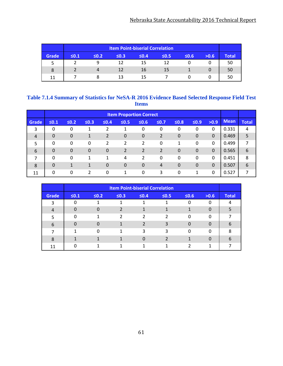### Nebraska State Accountability 2016 Technical Report

|       |            |            |            | <b>Item Point-biserial Correlation</b> |            |            |      |              |
|-------|------------|------------|------------|----------------------------------------|------------|------------|------|--------------|
| Grade | $\leq 0.1$ | $\leq 0.2$ | $\leq 0.3$ | $\leq 0.4$                             | $\leq 0.5$ | $\leq 0.6$ | >0.6 | <b>Total</b> |
| ت     |            |            | 12         | 15                                     | 12         |            |      | 50           |
| 8     |            |            | 12         | 16                                     | 15         |            |      | 50           |
| 11    |            |            | 13         | 15                                     |            |            |      | 50           |

### **Table 7.1.4 Summary of Statistics for NeSA-R 2016 Evidence Based Selected Response Field Test Items**

|                |            |                |                |             |            | <b>Item Proportion Correct</b> |                |                |             |             |             |              |
|----------------|------------|----------------|----------------|-------------|------------|--------------------------------|----------------|----------------|-------------|-------------|-------------|--------------|
| Grade          | $\leq 0.1$ | $≤0.2$         | $\leq 0.3$     | $≤0.4$      | $\leq 0.5$ | $\leq 0.6$                     | $≤0.7$         | $\leq 0.8$     | $\leq 0.9$  | >0.9        | <b>Mean</b> | <b>Total</b> |
| 3              | $\Omega$   | 0              | 1              | າ           |            | 0                              | 0              | 0              | 0           | 0           | 0.331       | 4            |
| $\overline{4}$ | $\Omega$   | $\overline{0}$ | 1              | 2           | 0          | $\overline{0}$                 | 2              | $\overline{0}$ | 0           | $\mathbf 0$ | 0.469       | 5            |
| 5              | $\Omega$   | 0              | 0              | 2           | 2          | 2                              | 0              | 1              | 0           | $\mathbf 0$ | 0.499       | 7            |
| 6              | $\Omega$   | $\mathbf 0$    | $\overline{0}$ | $\mathbf 0$ | 2          | 2                              | 2              | $\mathbf 0$    | $\mathbf 0$ | $\mathbf 0$ | 0.565       | 6            |
| 7              | $\Omega$   | 0              | 1              | 1           | 4          | $\overline{2}$                 | $\Omega$       | 0              | 0           | $\Omega$    | 0.451       | 8            |
| 8              | $\Omega$   | 1              | 1              | $\mathbf 0$ | 0          | $\overline{0}$                 | $\overline{4}$ | $\mathbf 0$    | 0           | $\Omega$    | 0.507       | 6            |
| 11             | $\Omega$   | 0              | າ              | 0           |            | 0                              | 3              | 0              | 1           | $\Omega$    | 0.527       | 7            |

|       |            | <b>Item Point-biserial Correlation</b> |               |               |            |            |          |              |  |  |  |  |
|-------|------------|----------------------------------------|---------------|---------------|------------|------------|----------|--------------|--|--|--|--|
| Grade | $\leq 0.1$ | $\leq 0.2$                             | $\leq 0.3$    | $\leq 0.4$    | $\leq 0.5$ | $\leq 0.6$ | >0.6     | <b>Total</b> |  |  |  |  |
| 3     |            |                                        |               |               |            | 0          |          |              |  |  |  |  |
| 4     | 0          | 0                                      |               |               |            |            | $\Omega$ |              |  |  |  |  |
| 5     | ∩          | 1                                      | $\mathcal{P}$ | $\mathcal{P}$ | っ          | 0          | $\Omega$ |              |  |  |  |  |
| 6     |            | 0                                      |               | 2             |            | 0          | 0        | 6            |  |  |  |  |
|       |            | $\Omega$                               | 1             | 3             | 3          | $\Omega$   | O        | 8            |  |  |  |  |
| 8     |            |                                        |               |               |            |            | 0        | 6            |  |  |  |  |
| 11    |            |                                        |               |               |            |            |          |              |  |  |  |  |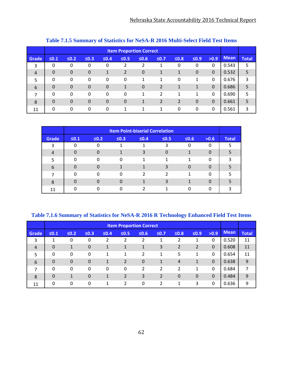|       |             | <b>TWORE THEIR DEMINISHED FOR LIGHT AN AUTO THEIR DECOVATIONS A COVALIZED</b> |             |                |              |                                |   |              |   |                |       |   |
|-------|-------------|-------------------------------------------------------------------------------|-------------|----------------|--------------|--------------------------------|---|--------------|---|----------------|-------|---|
|       |             |                                                                               |             |                |              | <b>Item Proportion Correct</b> |   |              |   |                |       |   |
| Grade | $\leq 0.1$  | $\leq 0.2$                                                                    | >0.9        | <b>Mean</b>    | <b>Total</b> |                                |   |              |   |                |       |   |
| 3     | 0           | $\Omega$                                                                      | 0           | 0              | 2            | $\mathcal{P}$                  | 1 | 0            | 0 | 0              | 0.543 | 5 |
| 4     | $\Omega$    | $\theta$                                                                      | $\mathbf 0$ | 1              | 2            | 0                              | 1 | 1            | 0 | $\theta$       | 0.532 | 5 |
| 5     | 0           | $\Omega$                                                                      | 0           | 0              | 0            | 1                              | 1 | 0            | 1 | $\mathbf{0}$   | 0.676 | 3 |
| 6     | $\mathbf 0$ | $\theta$                                                                      | $\mathbf 0$ | $\mathbf 0$    | 1            | $\mathbf 0$                    | 2 | $\mathbf{1}$ | 1 | $\overline{0}$ | 0.686 | 5 |
| 7     | 0           | $\Omega$                                                                      | 0           | 0              | 0            | 1                              | 2 | 1            | 1 | $\mathbf{0}$   | 0.690 | 5 |
| 8     | $\Omega$    | $\Omega$                                                                      | $\mathbf 0$ | $\overline{0}$ | $\mathbf 0$  | 1                              | 2 | 2            | 0 | $\theta$       | 0.661 | 5 |
| 11    | $\Omega$    | 0                                                                             | 0           | 0              | 1            | 1                              | 1 | $\Omega$     | 0 | $\mathbf{0}$   | 0.561 | 3 |

### **Table 7.1.5 Summary of Statistics for NeSA-R 2016 Multi-Select Field Test Items**

|       |            | <b>Item Point-biserial Correlation</b> |            |            |            |              |          |              |  |  |  |  |
|-------|------------|----------------------------------------|------------|------------|------------|--------------|----------|--------------|--|--|--|--|
| Grade | $\leq 0.1$ | $\leq 0.2$                             | $\leq 0.3$ | $\leq 0.4$ | $\leq 0.5$ | $\leq 0.6$   | >0.6     | <b>Total</b> |  |  |  |  |
| 3     |            |                                        |            |            |            |              | 0        |              |  |  |  |  |
| 4     |            |                                        |            |            |            |              |          |              |  |  |  |  |
| 5     |            | U                                      | U          |            |            |              | 0        |              |  |  |  |  |
| 6     |            | O                                      |            |            |            | <sup>0</sup> |          |              |  |  |  |  |
|       |            | O                                      | 0          | າ          |            |              | $\Omega$ |              |  |  |  |  |
| 8     |            |                                        |            |            |            |              | Ω        |              |  |  |  |  |
| 11    |            |                                        |            |            |            |              | U        |              |  |  |  |  |

**Table 7.1.6 Summary of Statistics for NeSA-R 2016 R Technology Enhanced Field Test Items** 

|                |            |                |                |        |            | <b>Item Proportion Correct</b> |                |                |                |              |             |              |
|----------------|------------|----------------|----------------|--------|------------|--------------------------------|----------------|----------------|----------------|--------------|-------------|--------------|
| Grade          | $\leq 0.1$ | $≤0.2$         | $\leq 0.3$     | $≤0.4$ | $\leq 0.5$ | $\leq 0.6$                     | $\leq 0.7$     | $\leq 0.8$     | $\leq 0.9$     | >0.9         | <b>Mean</b> | <b>Total</b> |
| 3              | 1          | 0              | 0              | າ      | າ          | 2                              | 1              | າ              |                | 0            | 0.520       | 11           |
| $\overline{4}$ | $\Omega$   | 1              | $\overline{0}$ | 1      |            | 1                              | 3              | 2              | $\overline{2}$ | $\mathbf{0}$ | 0.608       | 11           |
| 5              | 0          | 0              | 0              | 1      | 1          | 2                              | 1              | 5              | 1              | 0            | 0.654       | 11           |
| 6              | $\Omega$   | $\overline{0}$ | $\mathbf 0$    | 1      | 2          | $\mathbf 0$                    | 1              | $\overline{4}$ | 1              | $\mathbf 0$  | 0.638       | 9            |
| 7              | $\Omega$   | 0              | 0              | 0      | 0          | 2                              | 2              | 2              | 1              | 0            | 0.684       | 7            |
| 8              | $\Omega$   | 1              | $\overline{0}$ | 1      | 2          | 3                              | $\overline{2}$ | $\Omega$       | $\Omega$       | $\Omega$     | 0.484       | 9            |
| 11             | 0          | 0              | 0              | 1      | 2          | 0                              | າ              | 1              | 3              | 0            | 0.636       | 9            |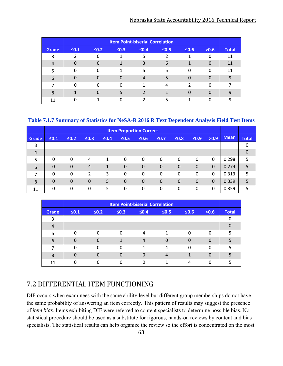### Nebraska State Accountability 2016 Technical Report

|                |            |            |            | <b>Item Point-biserial Correlation</b> |            |               |          |              |
|----------------|------------|------------|------------|----------------------------------------|------------|---------------|----------|--------------|
| <b>Grade</b>   | $\leq 0.1$ | $\leq 0.2$ | $\leq 0.3$ | $\leq 0.4$                             | $\leq 0.5$ | $\leq 0.6$    | >0.6     | <b>Total</b> |
| 3              |            | 0          |            | 5                                      |            |               | 0        | 11           |
| $\overline{4}$ |            | 0          | 1          | 3                                      | 6          | 1             | $\Omega$ | 11           |
| 5              |            | $\Omega$   | 1          | 5                                      | 5          | $\Omega$      | 0        | 11           |
| 6              |            | $\Omega$   | O          | $\overline{4}$                         |            | $\Omega$      | $\Omega$ | q            |
| 7              |            | $\Omega$   | 0          | 1                                      | 4          | $\mathcal{P}$ | $\Omega$ |              |
| 8              |            | O          | 5          | 2                                      |            | $\Omega$      | O        | q            |
| 11             |            |            |            |                                        |            |               | ŋ        |              |

### **Table 7.1.7 Summary of Statistics for NeSA-R 2016 R Text Dependent Analysis Field Test Items**

|                |              |                |                |            |             | <b>Item Proportion Correct</b> |             |             |             |             |             |              |
|----------------|--------------|----------------|----------------|------------|-------------|--------------------------------|-------------|-------------|-------------|-------------|-------------|--------------|
| Grade          | $\leq 0.1$   | $\leq 0.2$     | $\leq 0.3$     | $\leq 0.4$ | $\leq 0.5$  | $\leq 0.6$                     | $≤0.7$      | $\leq 0.8$  | $\leq 0.9$  | >0.9        | <b>Mean</b> | <b>Total</b> |
| 3              |              |                |                |            |             |                                |             |             |             |             |             | 0            |
| $\overline{4}$ |              |                |                |            |             |                                |             |             |             |             |             | $\mathbf 0$  |
| 5              | $\mathbf{0}$ | 0              | 4              | 1          | 0           | 0                              | 0           | 0           | 0           | $\Omega$    | 0.298       | 5            |
| 6              | $\Omega$     | $\mathbf 0$    | 4              | 1          | $\mathbf 0$ | $\mathbf 0$                    | $\mathbf 0$ | $\mathbf 0$ | $\mathbf 0$ | $\mathbf 0$ | 0.274       | 5            |
| 7              | $\Omega$     | 0              | $\overline{2}$ | 3          | 0           | 0                              | $\Omega$    | 0           | 0           | $\Omega$    | 0.313       | 5            |
| 8              | $\Omega$     | $\overline{0}$ | $\overline{0}$ | 5          | $\mathbf 0$ | $\mathbf 0$                    | $\mathbf 0$ | $\mathbf 0$ | $\Omega$    | $\Omega$    | 0.339       | 5            |
| 11             | $\Omega$     | 0              | 0              | 5          | 0           | 0                              | 0           | 0           | 0           | $\Omega$    | 0.359       | 5            |

|       |            |            |            | <b>Item Point-biserial Correlation</b> |            |            |          |              |
|-------|------------|------------|------------|----------------------------------------|------------|------------|----------|--------------|
| Grade | $\leq 0.1$ | $\leq 0.2$ | $\leq 0.3$ | $\leq 0.4$                             | $\leq 0.5$ | $\leq 0.6$ | >0.6     | <b>Total</b> |
| 3     |            |            |            |                                        |            |            |          |              |
| 4     |            |            |            |                                        |            |            |          |              |
| 5     | $\Omega$   | ∩          | $\Omega$   | 4                                      | 1          | 0          | O        | 5            |
| 6     | O          |            |            | $\overline{4}$                         |            | $\Omega$   | O        |              |
|       | O          | ∩          | $\Omega$   | 1                                      | 4          | $\Omega$   | $\Omega$ | 5            |
| 8     | 0          |            | 0          | $\Omega$                               | 4          |            |          |              |
| 11    |            |            |            |                                        |            | 4          |          |              |

## 7.2 DIFFERENTIAL ITEM FUNCTIONING

DIF occurs when examinees with the same ability level but different group memberships do not have the same probability of answering an item correctly. This pattern of results may suggest the presence of *item bias*. Items exhibiting DIF were referred to content specialists to determine possible bias. No statistical procedure should be used as a substitute for rigorous, hands-on reviews by content and bias specialists. The statistical results can help organize the review so the effort is concentrated on the most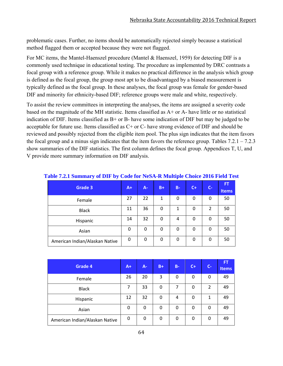problematic cases. Further, no items should be automatically rejected simply because a statistical method flagged them or accepted because they were not flagged.

For MC items, the Mantel-Haenszel procedure (Mantel & Haenszel, 1959) for detecting DIF is a commonly used technique in educational testing. The procedure as implemented by DRC contrasts a focal group with a reference group. While it makes no practical difference in the analysis which group is defined as the focal group, the group most apt to be disadvantaged by a biased measurement is typically defined as the focal group. In these analyses, the focal group was female for gender-based DIF and minority for ethnicity-based DIF; reference groups were male and white, respectively.

To assist the review committees in interpreting the analyses, the items are assigned a severity code based on the magnitude of the MH statistic. Items classified as A+ or A- have little or no statistical indication of DIF. Items classified as B+ or B- have some indication of DIF but may be judged to be acceptable for future use. Items classified as C+ or C- have strong evidence of DIF and should be reviewed and possibly rejected from the eligible item pool. The plus sign indicates that the item favors the focal group and a minus sign indicates that the item favors the reference group. Tables 7.2.1 – 7.2.3 show summaries of the DIF statistics. The first column defines the focal group. Appendices T, U, and V provide more summary information on DIF analysis.

| <b>Grade 3</b>                 | $A+$        | $A -$ | $B+$ | $B -$ | $C+$ | $C -$          | <b>FT</b><br><b>Items</b> |
|--------------------------------|-------------|-------|------|-------|------|----------------|---------------------------|
| Female                         | 27          | 22    | 1    | 0     | 0    | 0              | 50                        |
| <b>Black</b>                   | 11          | 36    | 0    | 1     | 0    | $\overline{2}$ | 50                        |
| Hispanic                       | 14          | 32    | 0    | 4     | 0    | 0              | 50                        |
| Asian                          | $\mathbf 0$ | 0     | 0    | 0     | 0    | 0              | 50                        |
| American Indian/Alaskan Native | $\mathbf 0$ | 0     | 0    | 0     | 0    | 0              | 50                        |

|  | Table 7.2.1 Summary of DIF by Code for NeSA-R Multiple Choice 2016 Field Test |  |  |  |  |
|--|-------------------------------------------------------------------------------|--|--|--|--|
|--|-------------------------------------------------------------------------------|--|--|--|--|

| Grade 4                        | $A+$ | $A -$ | $B+$ | $B -$ | $C+$ | $C -$ | <b>FT</b><br>Items |
|--------------------------------|------|-------|------|-------|------|-------|--------------------|
| Female                         | 26   | 20    | 3    | 0     | 0    | 0     | 49                 |
| <b>Black</b>                   | 7    | 33    | 0    | 7     | 0    | 2     | 49                 |
| Hispanic                       | 12   | 32    | 0    | 4     | 0    | 1     | 49                 |
| Asian                          | 0    | 0     | 0    | 0     | 0    | 0     | 49                 |
| American Indian/Alaskan Native | 0    | 0     | 0    | 0     | 0    | 0     | 49                 |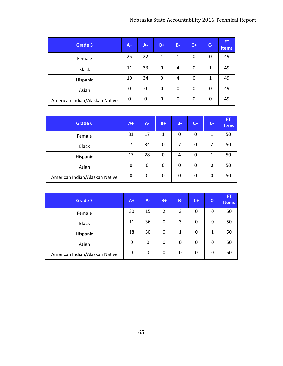| <b>Grade 5</b>                 | $A+$ | $A -$ | $B+$ | <b>B-</b> | $C+$ | $C -$ | <b>FT</b><br><b>Items</b> |
|--------------------------------|------|-------|------|-----------|------|-------|---------------------------|
| Female                         | 25   | 22    | 1    | 1         | 0    | 0     | 49                        |
| <b>Black</b>                   | 11   | 33    | 0    | 4         | 0    | 1     | 49                        |
| Hispanic                       | 10   | 34    | 0    | 4         | 0    | 1     | 49                        |
| Asian                          | 0    | 0     | 0    | 0         | 0    | 0     | 49                        |
| American Indian/Alaskan Native | 0    | 0     | 0    | 0         | 0    | 0     | 49                        |

| Grade 6                        | $A+$ | A- | $B+$ | $B -$ | $C+$ | $C -$ | <b>FT</b><br><b>Items</b> |
|--------------------------------|------|----|------|-------|------|-------|---------------------------|
| Female                         | 31   | 17 | 1    | 0     | 0    | 1     | 50                        |
| <b>Black</b>                   | 7    | 34 | 0    | 7     | 0    | 2     | 50                        |
| Hispanic                       | 17   | 28 | 0    | 4     | 0    | 1     | 50                        |
| Asian                          | 0    | 0  | 0    | 0     | 0    | 0     | 50                        |
| American Indian/Alaskan Native | 0    | 0  | 0    | 0     | 0    | 0     | 50                        |

| <b>Grade 7</b>                 | $A+$     | A- | $B+$ | $B -$ | $C+$ | $C-$ | FT<br><b>Items</b> |
|--------------------------------|----------|----|------|-------|------|------|--------------------|
| Female                         | 30       | 15 | 2    | 3     | 0    | 0    | 50                 |
| <b>Black</b>                   | 11       | 36 | 0    | 3     | 0    | 0    | 50                 |
| Hispanic                       | 18       | 30 | 0    | 1     | 0    | 1    | 50                 |
| Asian                          | 0        | 0  | 0    | 0     | 0    | 0    | 50                 |
| American Indian/Alaskan Native | $\Omega$ | 0  | 0    | 0     | 0    | 0    | 50                 |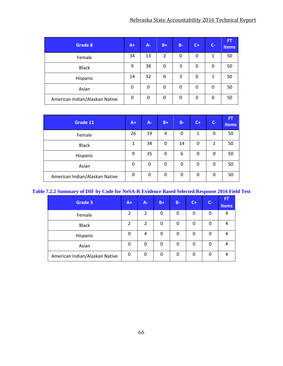| Grade 8                        | $A+$ | $A -$ | $B+$        | $B -$ | $C +$ | $C -$ | FT<br>Items |
|--------------------------------|------|-------|-------------|-------|-------|-------|-------------|
| Female                         | 34   | 13    | 2           | 0     | 0     | 1     | 50          |
| <b>Black</b>                   | 9    | 38    | 0           | 3     | 0     | 0     | 50          |
| Hispanic                       | 14   | 32    | 0           | 3     | 0     | 1     | 50          |
| Asian                          | 0    | 0     | 0           | 0     | 0     | 0     | 50          |
| American Indian/Alaskan Native | 0    | 0     | $\mathbf 0$ | 0     | 0     | 0     | 50          |

| Grade 11                       | $A+$ | A-          | $B+$        | $B -$ | $C +$ | $C-$ | <b>FT</b><br><b>Items</b> |
|--------------------------------|------|-------------|-------------|-------|-------|------|---------------------------|
| Female                         | 26   | 19          | 4           | 0     | 1     | 0    | 50                        |
| <b>Black</b>                   | 1    | 34          | 0           | 14    | 0     | 1    | 50                        |
| Hispanic                       | 9    | 35          | 0           | 6     | 0     | 0    | 50                        |
| Asian                          | 0    | $\mathbf 0$ | $\mathbf 0$ | 0     | 0     | 0    | 50                        |
| American Indian/Alaskan Native | 0    | 0           | 0           | 0     | 0     | 0    | 50                        |

### **Table 7.2.2 Summary of DIF by Code for NeSA-R Evidence Based Selected Response 2016 Field Test**

| <b>Grade 3</b>                 | $A+$           | A-             | $B+$ | $B -$ | $C+$ | $C-$ | <b>FT</b><br><b>Items</b> |
|--------------------------------|----------------|----------------|------|-------|------|------|---------------------------|
| Female                         | $\overline{2}$ | 2              | 0    | 0     | 0    | 0    | 4                         |
| <b>Black</b>                   | $\overline{2}$ | $\overline{2}$ | 0    | 0     | 0    | 0    | 4                         |
| Hispanic                       | 0              | 4              | 0    | 0     | 0    | 0    | 4                         |
| Asian                          | 0              | 0              | 0    | 0     | 0    | 0    | 4                         |
| American Indian/Alaskan Native | 0              | 0              | 0    | 0     | 0    | 0    | 4                         |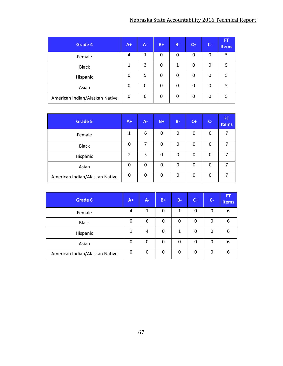| Grade 4                        | $A+$ | $A -$ | $B+$ | $B -$ | $C+$ | $C -$ | FT<br>Items |
|--------------------------------|------|-------|------|-------|------|-------|-------------|
| Female                         | 4    | 1     | 0    | 0     | 0    | 0     | 5           |
| <b>Black</b>                   | 1    | 3     | 0    | 1     | 0    | 0     | 5           |
| Hispanic                       | 0    | 5     | 0    | 0     | 0    | 0     | 5           |
| Asian                          | 0    | 0     | 0    | 0     | 0    | 0     | 5           |
| American Indian/Alaskan Native | 0    | 0     | 0    | 0     | 0    | 0     | 5           |

| <b>Grade 5</b>                 | $A+$           | $A -$ | $B+$ | $B -$ | $C+$ | $C -$ | FT<br><b>Items</b> |
|--------------------------------|----------------|-------|------|-------|------|-------|--------------------|
| Female                         | $\mathbf{1}$   | 6     | 0    | 0     | 0    | 0     |                    |
| <b>Black</b>                   | 0              |       | 0    | 0     | 0    | 0     |                    |
| Hispanic                       | $\overline{2}$ | 5     | 0    | 0     | 0    | 0     | 7                  |
| Asian                          | 0              | 0     | 0    | 0     | 0    | 0     |                    |
| American Indian/Alaskan Native | 0              | 0     | 0    | 0     | 0    | 0     |                    |

| Grade 6                        | $A+$ | A- | $B+$         | $B -$ | $C +$       | $C -$ | FT,<br><b>Items</b> |
|--------------------------------|------|----|--------------|-------|-------------|-------|---------------------|
| Female                         | 4    | 1  | 0            | 1     | 0           | 0     | 6                   |
| <b>Black</b>                   | 0    | 6  | $\mathbf{0}$ | 0     | 0           | 0     | 6                   |
| Hispanic                       | 1    | 4  | 0            | 1     | 0           | 0     | 6                   |
| Asian                          | 0    | 0  | 0            | 0     | 0           | 0     | 6                   |
| American Indian/Alaskan Native | 0    | 0  | 0            | 0     | $\mathbf 0$ | 0     | 6                   |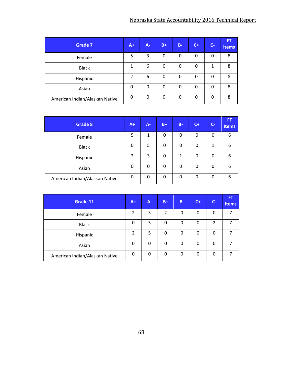| <b>Grade 7</b>                 | $A+I$          | $A -$ | $B+$        | $B -$       | $C +$ | $C -$ | FT.<br><b>Items</b> |
|--------------------------------|----------------|-------|-------------|-------------|-------|-------|---------------------|
| Female                         | 5              | 3     | $\mathbf 0$ | $\mathbf 0$ | 0     | 0     | 8                   |
| <b>Black</b>                   | 1              | 6     | 0           | 0           | 0     | 1     | 8                   |
| Hispanic                       | $\overline{2}$ | 6     | 0           | 0           | 0     | 0     | 8                   |
| Asian                          | 0              | 0     | 0           | 0           | 0     | 0     | 8                   |
| American Indian/Alaskan Native | 0              | 0     | 0           | 0           | 0     | 0     | 8                   |

| Grade 8                        | $A+$     | $A -$ | $B+$ | $B -$ | $C +$ | $C-$ | FT<br><b>Items</b> |
|--------------------------------|----------|-------|------|-------|-------|------|--------------------|
| Female                         | 5        | 1     | 0    | 0     | 0     | 0    | 6                  |
| <b>Black</b>                   | 0        | 5     | 0    | 0     | 0     | 1    | 6                  |
| Hispanic                       | 2        | 3     | 0    | 1     | 0     | 0    | 6                  |
| Asian                          | 0        | 0     | 0    | 0     | 0     | 0    | 6                  |
| American Indian/Alaskan Native | $\Omega$ | 0     | 0    | 0     | 0     | 0    | 6                  |

| Grade 11                       | $A+$           | $A -$ | $B+$           | $B -$ | $C+$     | $C-$ | FT<br><b>Items</b> |
|--------------------------------|----------------|-------|----------------|-------|----------|------|--------------------|
| Female                         | 2              | 3     | $\overline{2}$ | 0     | 0        | 0    | 7                  |
| <b>Black</b>                   | 0              | 5     | 0              | 0     | 0        | 2    | 7                  |
| Hispanic                       | $\overline{2}$ | 5     | 0              | 0     | 0        | 0    |                    |
| Asian                          | 0              | 0     | 0              | 0     | 0        | 0    | 7                  |
| American Indian/Alaskan Native | 0              | 0     | 0              | 0     | $\Omega$ | 0    | 7                  |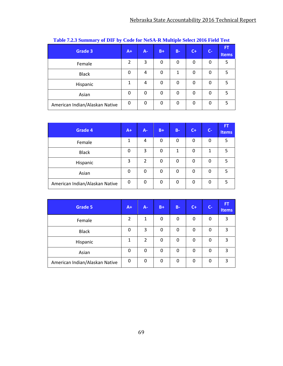| <b>Grade 3</b>                 | $A+$           | $A -$ | $B+$ | $B -$ | $C+$ | $C-$ | <b>FT</b><br><b>Items</b> |
|--------------------------------|----------------|-------|------|-------|------|------|---------------------------|
| Female                         | $\overline{2}$ | 3     | 0    | 0     | 0    | 0    | 5                         |
| <b>Black</b>                   | 0              | 4     | 0    | 1     | 0    | 0    | 5                         |
| Hispanic                       | 1              | 4     | 0    | 0     | 0    | 0    | 5                         |
| Asian                          | 0              | 0     | 0    | 0     | 0    | 0    | 5                         |
| American Indian/Alaskan Native | 0              | 0     | 0    | 0     | 0    | 0    | 5                         |

|  |  |  |  |  |  | Table 7.2.3 Summary of DIF by Code for NeSA-R Multiple Select 2016 Field Test |  |  |
|--|--|--|--|--|--|-------------------------------------------------------------------------------|--|--|
|--|--|--|--|--|--|-------------------------------------------------------------------------------|--|--|

| Grade 4                        | $A+$ | <b>A-</b> | $B+$ | $B -$ | $C +$ | $C -$ | <b>FT</b><br><b>Items</b> |
|--------------------------------|------|-----------|------|-------|-------|-------|---------------------------|
| Female                         | 1    | 4         | 0    | 0     | 0     | 0     | 5                         |
| <b>Black</b>                   | 0    | 3         | 0    | 1     | 0     | 1     | 5                         |
| Hispanic                       | 3    | 2         | 0    | 0     | 0     | 0     | 5                         |
| Asian                          | 0    | 0         | 0    | 0     | 0     | 0     | 5                         |
| American Indian/Alaskan Native | 0    | 0         | 0    | 0     | 0     | 0     | 5                         |

| <b>Grade 5</b>                 | $A+$ | A-             | $B+$ | $B -$ | $C+$ | $C -$ | <b>FT</b><br><b>Items</b> |
|--------------------------------|------|----------------|------|-------|------|-------|---------------------------|
| Female                         | 2    | 1              | 0    | 0     | 0    | 0     | 3                         |
| <b>Black</b>                   | 0    | 3              | 0    | 0     | 0    | 0     | 3                         |
| Hispanic                       | 1    | $\overline{2}$ | 0    | 0     | 0    | 0     | 3                         |
| Asian                          | 0    | 0              | 0    | 0     | 0    | 0     | 3                         |
| American Indian/Alaskan Native | 0    | 0              | 0    | 0     | 0    | 0     | 3                         |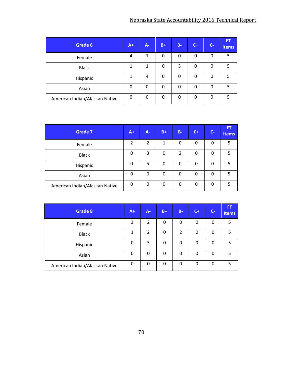| Grade 6                        | $A+$     | A- | $B+$ | $B -$ | $C +$ | $C-$ | <b>FT</b><br><b>Items</b> |
|--------------------------------|----------|----|------|-------|-------|------|---------------------------|
| Female                         | 4        | 1  | 0    | 0     | 0     | 0    | 5                         |
| <b>Black</b>                   | 1        | 1  | 0    | 3     | 0     | 0    | 5                         |
| Hispanic                       | 1        | 4  | 0    | 0     | 0     | 0    | 5                         |
| Asian                          | 0        | 0  | 0    | 0     | 0     | 0    | 5                         |
| American Indian/Alaskan Native | $\Omega$ | 0  | 0    | 0     | 0     | 0    | 5                         |

| <b>Grade 7</b>                 | $A+$ | $A -$        | $B+$ | <b>B-</b>      | $C+$ | $C -$ | FT,<br><b>Items</b> |
|--------------------------------|------|--------------|------|----------------|------|-------|---------------------|
| Female                         | 2    | 2            | 1    | 0              | 0    | 0     | 5                   |
| <b>Black</b>                   | 0    | 3            | 0    | $\overline{2}$ | 0    | 0     | 5                   |
| Hispanic                       | 0    | 5            | 0    | 0              | 0    | 0     | 5                   |
| Asian                          | 0    | $\mathbf{0}$ | 0    | 0              | 0    | 0     | 5.                  |
| American Indian/Alaskan Native | 0    | $\mathbf{0}$ | 0    | 0              | 0    | 0     | 5                   |

| Grade 8                        | $A+$ | $A -$          | $B+$        | $B -$          | $C+$ | $C-$     | FT<br><b>Items</b> |
|--------------------------------|------|----------------|-------------|----------------|------|----------|--------------------|
| Female                         | 3    | $\overline{2}$ | 0           | 0              | 0    | 0        | 5                  |
| <b>Black</b>                   | 1    | 2              | 0           | $\overline{2}$ | 0    | 0        | 5                  |
| Hispanic                       | 0    | 5              | $\mathbf 0$ | 0              | 0    | 0        | 5                  |
| Asian                          | 0    | 0              | 0           | 0              | 0    | 0        | 5                  |
| American Indian/Alaskan Native | 0    | 0              | 0           | 0              | 0    | $\Omega$ | 5                  |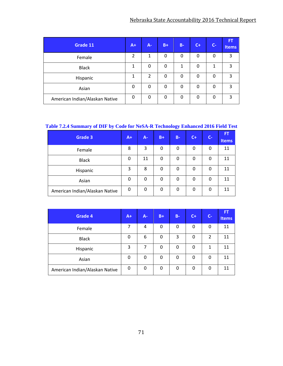| Grade 11                       | $A+$ | $A -$          | $B+$ | $B -$ | $C +$    | $C -$ | FT.<br><b>Items</b> |
|--------------------------------|------|----------------|------|-------|----------|-------|---------------------|
| Female                         | 2    | 1              | 0    | 0     | 0        | 0     | 3                   |
| <b>Black</b>                   | 1    | 0              | 0    | 1     | $\Omega$ | 1     | 3                   |
| Hispanic                       | 1    | $\overline{2}$ | 0    | 0     | 0        | 0     | 3                   |
| Asian                          | 0    | 0              | 0    | 0     | 0        | 0     | 3                   |
| American Indian/Alaskan Native | 0    | 0              | 0    | 0     | $\Omega$ | 0     | 3                   |

## **Table 7.2.4 Summary of DIF by Code for NeSA-R Technology Enhanced 2016 Field Test**

| <b>Grade 3</b>                 | $A+$ | $A -$ | $B+$ | $B -$ | $C+$ | $C -$ | <b>FT</b><br><b>Items</b> |
|--------------------------------|------|-------|------|-------|------|-------|---------------------------|
| Female                         | 8    | 3     | 0    | 0     | 0    | 0     | 11                        |
| <b>Black</b>                   | 0    | 11    | 0    | 0     | 0    | 0     | 11                        |
| Hispanic                       | 3    | 8     | 0    | 0     | 0    | 0     | 11                        |
| Asian                          | 0    | 0     | 0    | 0     | 0    | 0     | 11                        |
| American Indian/Alaskan Native | 0    | 0     | 0    | 0     | 0    | 0     | 11                        |

| <b>Grade 4</b>                 | $A+$ | $A -$ | $B+$ | <b>B-</b> | $C +$ | $C-$ | FT.<br><b>Items</b> |
|--------------------------------|------|-------|------|-----------|-------|------|---------------------|
| Female                         | 7    | 4     | 0    | 0         | 0     | 0    | 11                  |
| <b>Black</b>                   | 0    | 6     | 0    | 3         | 0     | 2    | 11                  |
| Hispanic                       | 3    | 7     | 0    | 0         | 0     | 1    | 11                  |
| Asian                          | 0    | 0     | 0    | 0         | 0     | 0    | 11                  |
| American Indian/Alaskan Native | 0    | 0     | 0    | 0         | 0     | 0    | 11                  |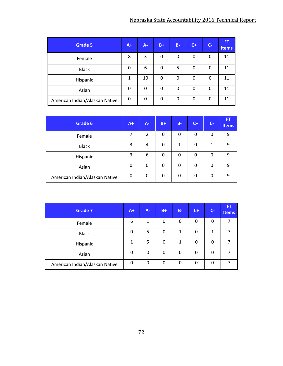| <b>Grade 5</b>                 | $A+$ | $A -$ | $B+$ | $B -$ | $C+$ | $C-$ | <b>FT</b><br>Items |
|--------------------------------|------|-------|------|-------|------|------|--------------------|
| Female                         | 8    | 3     | 0    | 0     | 0    | 0    | 11                 |
| <b>Black</b>                   | 0    | 6     | 0    | 5     | 0    | 0    | 11                 |
| Hispanic                       | 1    | 10    | 0    | 0     | 0    | 0    | 11                 |
| Asian                          | 0    | 0     | 0    | 0     | 0    | 0    | 11                 |
| American Indian/Alaskan Native | 0    | 0     | 0    | 0     | 0    | 0    | 11                 |

| Grade 6                        | $A+$ | A-             | $B+$ | $B -$ | $C +$ | $C -$ | <b>FT</b><br><b>Items</b> |
|--------------------------------|------|----------------|------|-------|-------|-------|---------------------------|
| Female                         | 7    | $\overline{2}$ | 0    | 0     | 0     | 0     | 9                         |
| <b>Black</b>                   | 3    | 4              | 0    | 1     | 0     | 1     | 9                         |
| Hispanic                       | 3    | 6              | 0    | 0     | 0     | 0     | 9                         |
| Asian                          | 0    | 0              | 0    | 0     | 0     | 0     | 9                         |
| American Indian/Alaskan Native | 0    | 0              | 0    | 0     | 0     | 0     | 9                         |

| <b>Grade 7</b>                 | $A+1$ | $A -$ | $B+$        | $B -$ | $C +$ | $C -$ | FT.<br><b>Items</b> |
|--------------------------------|-------|-------|-------------|-------|-------|-------|---------------------|
| Female                         | 6     | 1     | 0           | 0     | 0     | 0     | 7                   |
| <b>Black</b>                   | 0     | 5     | $\mathbf 0$ | 1     | 0     | 1     | 7                   |
| Hispanic                       | 1     | 5     | 0           | 1     | 0     | 0     | 7                   |
| Asian                          | 0     | 0     | 0           | 0     | 0     | 0     |                     |
| American Indian/Alaskan Native | 0     | 0     | 0           | 0     | 0     | 0     | 7                   |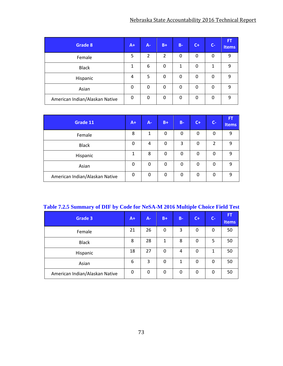| Grade 8                        | $A+$ | $A -$          | $B+$ | $B -$ | $C +$ | $C -$ | <b>FT</b><br><b>Items</b> |
|--------------------------------|------|----------------|------|-------|-------|-------|---------------------------|
| Female                         | 5    | $\overline{2}$ | 2    | 0     | 0     | 0     | 9                         |
| <b>Black</b>                   | 1    | 6              | 0    | 1     | 0     | 1     | 9                         |
| Hispanic                       | 4    | 5              | 0    | 0     | 0     | 0     | 9                         |
| Asian                          | 0    | 0              | 0    | 0     | 0     | 0     | 9                         |
| American Indian/Alaskan Native | 0    | 0              | 0    | 0     | 0     | 0     | q                         |

| Grade 11                       | $A+$ | $A - I$ | $B+$ | $B -$ | $C +$ | $C -$ | <b>FT</b><br>Items |
|--------------------------------|------|---------|------|-------|-------|-------|--------------------|
| Female                         | 8    | 1       | 0    | 0     | 0     | 0     | 9                  |
| <b>Black</b>                   | 0    | 4       | 0    | 3     | 0     | 2     | 9                  |
| Hispanic                       | 1    | 8       | 0    | 0     | 0     | 0     | 9                  |
| Asian                          | 0    | 0       | 0    | 0     | 0     | 0     | q                  |
| American Indian/Alaskan Native | 0    | 0       | 0    | 0     | 0     | 0     | 9                  |

|  |  | Table 7.2.5 Summary of DIF by Code for NeSA-M 2016 Multiple Choice Field Test |
|--|--|-------------------------------------------------------------------------------|
|  |  |                                                                               |

| Grade 3                        | $A+$ | <b>A-</b> | $B+$ | <b>B-</b> | $C +$ | $C -$ | <b>FT</b><br><b>Items</b> |
|--------------------------------|------|-----------|------|-----------|-------|-------|---------------------------|
| Female                         | 21   | 26        | 0    | 3         | 0     | 0     | 50                        |
| <b>Black</b>                   | 8    | 28        | 1    | 8         | 0     | 5     | 50                        |
| Hispanic                       | 18   | 27        | 0    | 4         | 0     | 1     | 50                        |
| Asian                          | 6    | 3         | 0    | 1         | 0     | 0     | 50                        |
| American Indian/Alaskan Native | 0    | 0         | 0    | 0         | 0     | 0     | 50                        |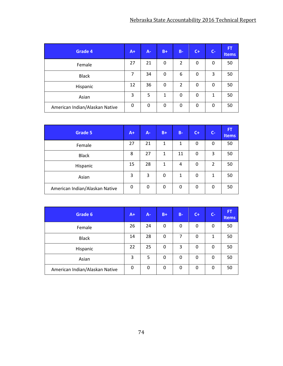| Grade 4                        | $A+$ | $A -$ | $B+$        | $B -$          | $C+$ | $C-$ | ÆT<br><b>Items</b> |
|--------------------------------|------|-------|-------------|----------------|------|------|--------------------|
| Female                         | 27   | 21    | $\mathbf 0$ | 2              | 0    | 0    | 50                 |
| <b>Black</b>                   | 7    | 34    | $\mathbf 0$ | 6              | 0    | 3    | 50                 |
| Hispanic                       | 12   | 36    | 0           | $\overline{2}$ | 0    | 0    | 50                 |
| Asian                          | 3    | 5     | 1           | 0              | 0    | 1    | 50                 |
| American Indian/Alaskan Native | 0    | 0     | 0           | 0              | 0    | 0    | 50                 |

| <b>Grade 5</b>                 |              | $A -$ | $B+$ | $B -$       | $C +$       | $C-$           | <b>FT</b><br><b>Items</b> |
|--------------------------------|--------------|-------|------|-------------|-------------|----------------|---------------------------|
| Female                         | 27           | 21    | 1    | 1           | 0           | 0              | 50                        |
| <b>Black</b>                   | 8            | 27    | 1    | 11          | 0           | 3              | 50                        |
| Hispanic                       | 15           | 28    | 1    | 4           | 0           | $\overline{2}$ | 50                        |
| Asian                          | 3            | 3     | 0    | 1           | $\mathbf 0$ | 1              | 50                        |
| American Indian/Alaskan Native | $\mathbf{0}$ | 0     | 0    | $\mathbf 0$ | 0           | 0              | 50                        |

| Grade 6                        | $A+$ | $A -$ | $B+$ | $B -$ | $C +$ | $C-$ | <b>FT</b><br><b>Items</b> |
|--------------------------------|------|-------|------|-------|-------|------|---------------------------|
| Female                         | 26   | 24    | 0    | 0     | 0     | 0    | 50                        |
| <b>Black</b>                   | 14   | 28    | 0    | 7     | 0     | 1    | 50                        |
| Hispanic                       | 22   | 25    | 0    | 3     | 0     | 0    | 50                        |
| Asian                          | 3    | 5     | 0    | 0     | 0     | 0    | 50                        |
| American Indian/Alaskan Native | 0    | 0     | 0    | 0     | 0     | 0    | 50                        |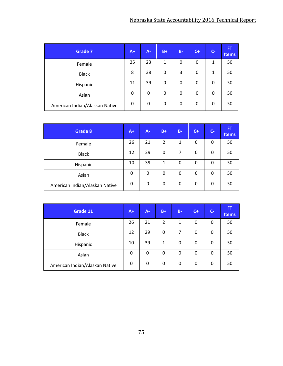| <b>Grade 7</b>                 | $A+$ | $A -$ | $B+$ | $B -$ | $C+$ | $C -$ | <b>FT</b><br><b>Items</b> |
|--------------------------------|------|-------|------|-------|------|-------|---------------------------|
| Female                         | 25   | 23    | 1    | 0     | 0    | 1     | 50                        |
| <b>Black</b>                   | 8    | 38    | 0    | 3     | 0    | 1     | 50                        |
| Hispanic                       | 11   | 39    | 0    | 0     | 0    | 0     | 50                        |
| Asian                          | 0    | 0     | 0    | 0     | 0    | 0     | 50                        |
| American Indian/Alaskan Native | 0    | 0     | 0    | 0     | 0    | 0     | 50                        |

| Grade 8                        |    | $A -$ | $B+$           | $B -$ | $C +$ | $C -$ | <b>FT</b><br><b>Items</b> |
|--------------------------------|----|-------|----------------|-------|-------|-------|---------------------------|
| Female                         | 26 | 21    | $\overline{2}$ | 1     | 0     | 0     | 50                        |
| <b>Black</b>                   | 12 | 29    | 0              | 7     | 0     | 0     | 50                        |
| Hispanic                       | 10 | 39    | 1              | 0     | 0     | 0     | 50                        |
| Asian                          | 0  | 0     | 0              | 0     | 0     | 0     | 50                        |
| American Indian/Alaskan Native | 0  | 0     | 0              | 0     | 0     | 0     | 50                        |

| Grade 11                       |    | A- | $B+$           | $B -$ | $C +$ | $C -$ | <b>FT</b><br>Items |
|--------------------------------|----|----|----------------|-------|-------|-------|--------------------|
| Female                         | 26 | 21 | $\overline{2}$ | 1     | 0     | 0     | 50                 |
| <b>Black</b>                   | 12 | 29 | 0              | 7     | 0     | 0     | 50                 |
| Hispanic                       | 10 | 39 | 1              | 0     | 0     | 0     | 50                 |
| Asian                          | 0  | 0  | 0              | 0     | 0     | 0     | 50                 |
| American Indian/Alaskan Native | 0  | 0  | 0              | 0     | 0     | 0     | 50                 |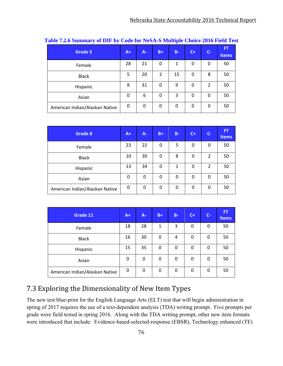| <b>Grade 5</b>                 | $A+$ | $A -$ | $B+$ | <b>B-</b> | $C+$ | $C -$ | 'FT<br>Items |
|--------------------------------|------|-------|------|-----------|------|-------|--------------|
| Female                         | 28   | 21    | 0    | 1         | 0    | 0     | 50           |
| <b>Black</b>                   | 5    | 20    | 2    | 15        | 0    | 8     | 50           |
| Hispanic                       | 8    | 31    | 0    | 9         | 0    | 2     | 50           |
| Asian                          | 0    | 6     | 0    | 3         | 0    | 0     | 50           |
| American Indian/Alaskan Native | 0    | 0     | 0    | 0         | 0    | 0     | 50           |

| Grade 8                        | $A+$ | A- | $B+$ | $B -$    | $C +$    | $C -$          | <b>FT</b><br><b>Items</b> |
|--------------------------------|------|----|------|----------|----------|----------------|---------------------------|
| Female                         | 23   | 22 | 0    | 5        | 0        | 0              | 50                        |
| <b>Black</b>                   | 10   | 30 | 0    | 8        | 0        | $\overline{2}$ | 50                        |
| Hispanic                       | 13   | 34 | 0    | 1        | 0        | $\overline{2}$ | 50                        |
| Asian                          | 0    | 0  | 0    | $\Omega$ | $\Omega$ | 0              | 50                        |
| American Indian/Alaskan Native | 0    | 0  | 0    | 0        | 0        | 0              | 50                        |

| Grade 11                       | $A +$ | $A -$ | $B+$ | $B -$ | $C+$ | $C -$ | FT,<br><b>Items</b> |
|--------------------------------|-------|-------|------|-------|------|-------|---------------------|
| Female                         | 18    | 28    | 1    | 3     | 0    | 0     | 50                  |
| <b>Black</b>                   | 16    | 30    | 0    | 4     | 0    | 0     | 50                  |
| Hispanic                       | 15    | 35    | 0    | 0     | 0    | 0     | 50                  |
| Asian                          | 0     | 0     | 0    | 0     | 0    | 0     | 50                  |
| American Indian/Alaskan Native | 0     | 0     | 0    | 0     | 0    | 0     | 50                  |

# 7.3 Exploring the Dimensionality of New Item Types

The new test blue-print for the English Language Arts (ELT) test that will begin administration in spring of 2017 requires the use of a text-dependent analysis (TDA) writing prompt. Five prompts per grade were field tested in spring 2016. Along with the TDA writing prompt, other new item formats were introduced that include: Evidence-based-selected-response (EBSR), Technology enhanced (TE)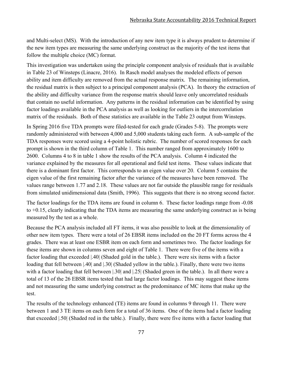and Multi-select (MS). With the introduction of any new item type it is always prudent to determine if the new item types are measuring the same underlying construct as the majority of the test items that follow the multiple choice (MC) format.

This investigation was undertaken using the principle component analysis of residuals that is available in Table 23 of Winsteps (Linacre, 2016). In Rasch model analyses the modeled effects of person ability and item difficulty are removed from the actual response matrix. The remaining information, the residual matrix is then subject to a principal component analysis (PCA). In theory the extraction of the ability and difficulty variance from the response matrix should leave only uncorrelated residuals that contain no useful information. Any patterns in the residual information can be identified by using factor loadings available in the PCA analysis as well as looking for outliers in the intercorrelation matrix of the residuals. Both of these statistics are available in the Table 23 output from Winsteps.

In Spring 2016 five TDA prompts were filed-tested for each grade (Grades 5-8). The prompts were randomly administered with between 4,000 and 5,000 students taking each form. A sub-sample of the TDA responses were scored using a 4-point holistic rubric. The number of scored responses for each prompt is shown in the third column of Table 1. This number ranged from approximately 1600 to 2600. Columns 4 to 8 in table 1 show the results of the PCA analysis. Column 4 indicated the variance explained by the measures for all operational and field test items. These values indicate that there is a dominant first factor. This corresponds to an eigen value over 20. Column 5 contains the eigen value of the first remaining factor after the variance of the measures have been removed. The values range between 1.77 and 2.18. These values are not far outside the plausible range for residuals from simulated unidimensional data (Smith, 1996). This suggests that there is no strong second factor.

The factor loadings for the TDA items are found in column 6. These factor loadings range from -0.08 to +0.15, clearly indicating that the TDA items are measuring the same underlying construct as is being measured by the test as a whole.

Because the PCA analysis included all FT items, it was also possible to look at the dimensionality of other new item types. There were a total of 26 EBSR items included on the 20 FT forms across the 4 grades. There was at least one ESBR item on each form and sometimes two. The factor loadings for these items are shown in columns seven and eight of Table 1. There were five of the items with a factor loading that exceeded |.40| (Shaded gold in the table.). There were six items with a factor loading that fell between  $|.40|$  and  $|.30|$  (Shaded yellow in the table.). Finally, there were two items with a factor loading that fell between |.30| and |.25| (Shaded green in the table.). In all there were a total of 13 of the 26 EBSR items tested that had large factor loadings. This may suggest these items and not measuring the same underlying construct as the predominance of MC items that make up the test.

The results of the technology enhanced (TE) items are found in columns 9 through 11. There were between 1 and 3 TE items on each form for a total of 36 items. One of the items had a factor loading that exceeded |.50| (Shaded red in the table.). Finally, there were five items with a factor loading that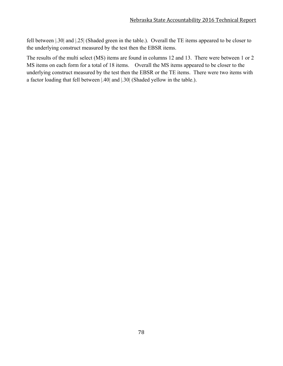fell between |.30| and |.25| (Shaded green in the table.). Overall the TE items appeared to be closer to the underlying construct measured by the test then the EBSR items.

The results of the multi select (MS) items are found in columns 12 and 13. There were between 1 or 2 MS items on each form for a total of 18 items. Overall the MS items appeared to be closer to the underlying construct measured by the test then the EBSR or the TE items. There were two items with a factor loading that fell between |.40| and |.30| (Shaded yellow in the table.).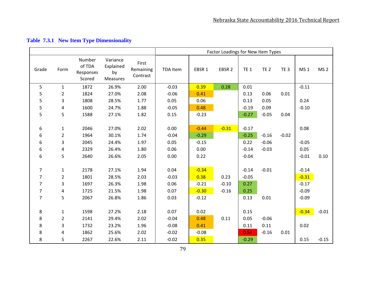|                |                |                                         |                                         |                                |                 |         | Factor Loadings for New Item Types |             |             |                 |                 |                 |
|----------------|----------------|-----------------------------------------|-----------------------------------------|--------------------------------|-----------------|---------|------------------------------------|-------------|-------------|-----------------|-----------------|-----------------|
| Grade          | Form           | Number<br>of TDA<br>Responses<br>Scored | Variance<br>Explained<br>by<br>Measures | First<br>Remaining<br>Contrast | <b>TDA Item</b> | EBSR 1  | EBSR <sub>2</sub>                  | <b>TE 1</b> | <b>TE 2</b> | TE <sub>3</sub> | MS <sub>1</sub> | MS <sub>2</sub> |
| 5              | $\mathbf{1}$   | 1872                                    | 26.9%                                   | 2.00                           | $-0.03$         | 0.39    | 0.28                               | 0.01        |             |                 | $-0.11$         |                 |
| 5              | 2              | 1824                                    | 27.0%                                   | 2.08                           | $-0.06$         | 0.41    |                                    | 0.13        | 0.06        | 0.01            |                 |                 |
| 5              | 3              | 1808                                    | 28.5%                                   | 1.77                           | 0.05            | 0.06    |                                    | 0.13        | 0.05        |                 | 0.24            |                 |
| 5              | 4              | 1600                                    | 24.7%                                   | 1.88                           | $-0.05$         | 0.48    |                                    | $-0.19$     | 0.09        |                 | $-0.10$         |                 |
| 5              | 5              | 1588                                    | 27.1%                                   | 1.82                           | 0.15            | $-0.23$ |                                    | $-0.27$     | $-0.05$     | 0.04            |                 |                 |
|                |                |                                         |                                         |                                |                 |         |                                    |             |             |                 |                 |                 |
| 6              | $\mathbf{1}$   | 2046                                    | 27.0%                                   | 2.02                           | 0.00            | $-0.44$ | $-0.31$                            | $-0.17$     |             |                 | 0.08            |                 |
| 6              | $\overline{2}$ | 1964                                    | 30.1%                                   | 1.74                           | $-0.04$         | $-0.29$ |                                    | $-0.25$     | $-0.16$     | $-0.02$         |                 |                 |
| 6              | 3              | 2045                                    | 24.4%                                   | 1.97                           | 0.05            | $-0.15$ |                                    | 0.22        | $-0.06$     |                 | $-0.05$         |                 |
| 6              | 4              | 2329                                    | 26.4%                                   | 1.80                           | 0.06            | 0.00    |                                    | $-0.14$     | $-0.03$     |                 | 0.05            |                 |
| 6              | 5              | 2640                                    | 26.6%                                   | 2.05                           | 0.00            | 0.22    |                                    | $-0.04$     |             |                 | $-0.01$         | 0.10            |
|                |                |                                         |                                         |                                |                 |         |                                    |             |             |                 |                 |                 |
| 7              | $\mathbf{1}$   | 2178                                    | 27.1%                                   | 1.94                           | 0.04            | $-0.34$ |                                    | $-0.14$     | $-0.01$     |                 | $-0.14$         |                 |
| $\overline{7}$ | 2              | 1801                                    | 28.5%                                   | 2.03                           | $-0.03$         | 0.38    | 0.23                               | $-0.05$     |             |                 | $-0.31$         |                 |
| $\overline{7}$ | 3              | 1697                                    | 26.3%                                   | 1.98                           | 0.06            | $-0.21$ | $-0.10$                            | 0.27        |             |                 | $-0.17$         |                 |
| 7              | 4              | 1725                                    | 21.5%                                   | 1.98                           | 0.07            | $-0.30$ | $-0.16$                            | 0.25        |             |                 | $-0.09$         |                 |
| $\overline{7}$ | 5              | 2067                                    | 26.8%                                   | 1.86                           | 0.03            | $-0.12$ |                                    | 0.13        | 0.01        |                 | $-0.09$         |                 |
|                |                |                                         |                                         |                                |                 |         |                                    |             |             |                 |                 |                 |
| 8              | $\mathbf{1}$   | 1598                                    | 27.2%                                   | 2.18                           | 0.07            | 0.02    |                                    | 0.15        |             |                 | $-0.34$         | $-0.01$         |
| 8              | $\overline{2}$ | 2141                                    | 29.4%                                   | 2.02                           | $-0.04$         | 0.48    | 0.11                               | 0.05        | $-0.06$     |                 |                 |                 |
| 8              | 3              | 1732                                    | 23.2%                                   | 1.96                           | $-0.08$         | 0.41    |                                    | 0.11        | 0.11        |                 | 0.02            |                 |
| 8              | 4              | 1862                                    | 25.6%                                   | 2.02                           | $-0.02$         | $-0.08$ |                                    | 0.54        | $-0.16$     | 0.01            |                 |                 |
| 8              | 5              | 2267                                    | 22.6%                                   | 2.11                           | $-0.02$         | 0.35    |                                    | $-0.29$     |             |                 | 0.15            | $-0.15$         |

## **Table 7.3.1 New Item Type Dimensionality**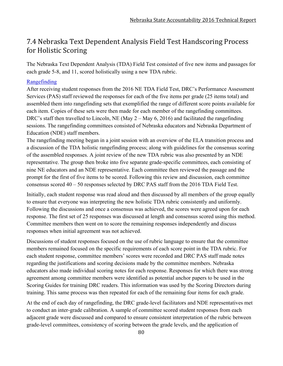## 7.4 Nebraska Text Dependent Analysis Field Test Handscoring Process for Holistic Scoring

The Nebraska Text Dependent Analysis (TDA) Field Test consisted of five new items and passages for each grade 5-8, and 11, scored holistically using a new TDA rubric.

### Rangefinding

After receiving student responses from the 2016 NE TDA Field Test, DRC's Performance Assessment Services (PAS) staff reviewed the responses for each of the five items per grade (25 items total) and assembled them into rangefinding sets that exemplified the range of different score points available for each item. Copies of these sets were then made for each member of the rangefinding committees. DRC's staff then travelled to Lincoln, NE (May 2 – May 6, 2016) and facilitated the rangefinding sessions. The rangefinding committees consisted of Nebraska educators and Nebraska Department of Education (NDE) staff members.

The rangefinding meeting began in a joint session with an overview of the ELA transition process and a discussion of the TDA holistic rangefinding process; along with guidelines for the consensus scoring of the assembled responses. A joint review of the new TDA rubric was also presented by an NDE representative. The group then broke into five separate grade-specific committees, each consisting of nine NE educators and an NDE representative. Each committee then reviewed the passage and the prompt for the first of five items to be scored. Following this review and discussion, each committee consensus scored 40 – 50 responses selected by DRC PAS staff from the 2016 TDA Field Test.

Initially, each student response was read aloud and then discussed by all members of the group equally to ensure that everyone was interpreting the new holistic TDA rubric consistently and uniformly. Following the discussions and once a consensus was achieved, the scores were agreed upon for each response. The first set of 25 responses was discussed at length and consensus scored using this method. Committee members then went on to score the remaining responses independently and discuss responses when initial agreement was not achieved.

Discussions of student responses focused on the use of rubric language to ensure that the committee members remained focused on the specific requirements of each score point in the TDA rubric. For each student response, committee members' scores were recorded and DRC PAS staff made notes regarding the justifications and scoring decisions made by the committee members. Nebraska educators also made individual scoring notes for each response. Responses for which there was strong agreement among committee members were identified as potential anchor papers to be used in the Scoring Guides for training DRC readers. This information was used by the Scoring Directors during training. This same process was then repeated for each of the remaining four items for each grade.

At the end of each day of rangefinding, the DRC grade-level facilitators and NDE representatives met to conduct an inter-grade calibration. A sample of committee scored student responses from each adjacent grade were discussed and compared to ensure consistent interpretation of the rubric between grade-level committees, consistency of scoring between the grade levels, and the application of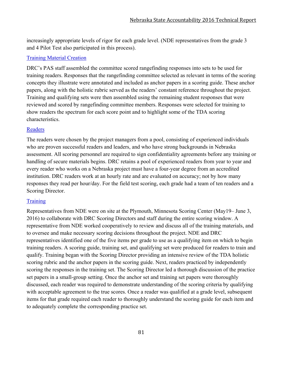increasingly appropriate levels of rigor for each grade level. (NDE representatives from the grade 3 and 4 Pilot Test also participated in this process).

## Training Material Creation

DRC's PAS staff assembled the committee scored rangefinding responses into sets to be used for training readers. Responses that the rangefinding committee selected as relevant in terms of the scoring concepts they illustrate were annotated and included as anchor papers in a scoring guide. These anchor papers, along with the holistic rubric served as the readers' constant reference throughout the project. Training and qualifying sets were then assembled using the remaining student responses that were reviewed and scored by rangefinding committee members. Responses were selected for training to show readers the spectrum for each score point and to highlight some of the TDA scoring characteristics.

## **Readers**

The readers were chosen by the project managers from a pool, consisting of experienced individuals who are proven successful readers and leaders, and who have strong backgrounds in Nebraska assessment. All scoring personnel are required to sign confidentiality agreements before any training or handling of secure materials begins. DRC retains a pool of experienced readers from year to year and every reader who works on a Nebraska project must have a four-year degree from an accredited institution. DRC readers work at an hourly rate and are evaluated on accuracy; not by how many responses they read per hour/day. For the field test scoring, each grade had a team of ten readers and a Scoring Director.

## **Training**

Representatives from NDE were on site at the Plymouth, Minnesota Scoring Center (May19– June 3, 2016) to collaborate with DRC Scoring Directors and staff during the entire scoring window. A representative from NDE worked cooperatively to review and discuss all of the training materials, and to oversee and make necessary scoring decisions throughout the project. NDE and DRC representatives identified one of the five items per grade to use as a qualifying item on which to begin training readers. A scoring guide, training set, and qualifying set were produced for readers to train and qualify. Training began with the Scoring Director providing an intensive review of the TDA holistic scoring rubric and the anchor papers in the scoring guide. Next, readers practiced by independently scoring the responses in the training set. The Scoring Director led a thorough discussion of the practice set papers in a small-group setting. Once the anchor set and training set papers were thoroughly discussed, each reader was required to demonstrate understanding of the scoring criteria by qualifying with acceptable agreement to the true scores. Once a reader was qualified at a grade level, subsequent items for that grade required each reader to thoroughly understand the scoring guide for each item and to adequately complete the corresponding practice set.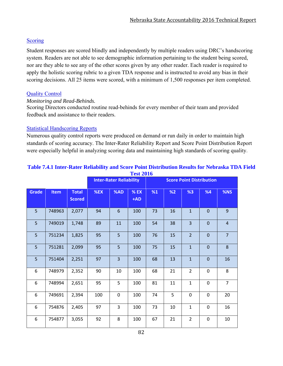### **Scoring**

Student responses are scored blindly and independently by multiple readers using DRC's handscoring system. Readers are not able to see demographic information pertaining to the student being scored, nor are they able to see any of the other scores given by any other reader. Each reader is required to apply the holistic scoring rubric to a given TDA response and is instructed to avoid any bias in their scoring decisions. All 25 items were scored, with a minimum of 1,500 responses per item completed.

### Quality Control

#### *Monitoring and Read-Behinds.*

Scoring Directors conducted routine read-behinds for every member of their team and provided feedback and assistance to their readers.

### Statistical Handscoring Reports

Numerous quality control reports were produced on demand or run daily in order to maintain high standards of scoring accuracy. The Inter-Rater Reliability Report and Score Point Distribution Report were especially helpful in analyzing scoring data and maintaining high standards of scoring quality.

|       |             |                               |     | <b>Inter-Rater Reliability</b> |                 |    |    | <b>Score Point Distribution</b> |              |                |
|-------|-------------|-------------------------------|-----|--------------------------------|-----------------|----|----|---------------------------------|--------------|----------------|
| Grade | <b>Item</b> | <b>Total</b><br><b>Scored</b> | %EX | %AD                            | $%$ EX<br>$+AD$ | %1 | %2 | %3                              | %4           | %NS            |
| 5     | 748963      | 2,077                         | 94  | 6                              | 100             | 73 | 16 | $\mathbf{1}$                    | 0            | 9              |
| 5     | 749019      | 1,748                         | 89  | 11                             | 100             | 54 | 38 | $\overline{3}$                  | $\mathbf{0}$ | $\overline{4}$ |
| 5     | 751234      | 1,825                         | 95  | 5                              | 100             | 76 | 15 | $\overline{2}$                  | $\mathbf 0$  | $\overline{7}$ |
| 5     | 751281      | 2,099                         | 95  | 5                              | 100             | 75 | 15 | $\mathbf{1}$                    | $\mathbf{0}$ | 8              |
| 5     | 751404      | 2,251                         | 97  | $\overline{3}$                 | 100             | 68 | 13 | $\mathbf 1$                     | $\mathbf 0$  | 16             |
| 6     | 748979      | 2,352                         | 90  | 10                             | 100             | 68 | 21 | $\overline{2}$                  | $\mathbf 0$  | 8              |
| 6     | 748994      | 2,651                         | 95  | 5                              | 100             | 81 | 11 | $\mathbf{1}$                    | $\mathbf 0$  | $\overline{7}$ |
| 6     | 749691      | 2,394                         | 100 | $\mathbf 0$                    | 100             | 74 | 5  | $\mathbf 0$                     | $\mathbf 0$  | 20             |
| 6     | 754876      | 2,405                         | 97  | 3                              | 100             | 73 | 10 | $\mathbf{1}$                    | $\mathbf 0$  | 16             |
| 6     | 754877      | 3,055                         | 92  | 8                              | 100             | 67 | 21 | $\overline{2}$                  | $\mathbf 0$  | 10             |

#### **Table 7.4.1 Inter-Rater Reliability and Score Point Distribution Results for Nebraska TDA Field Test 2016**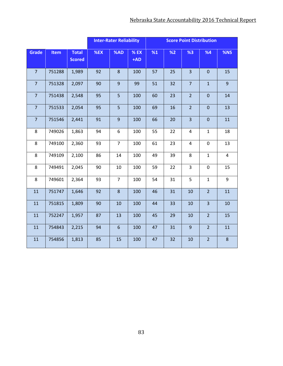|                |        |                               |        | <b>Inter-Rater Reliability</b> |                 | <b>Score Point Distribution</b> |    |                         |                |                |
|----------------|--------|-------------------------------|--------|--------------------------------|-----------------|---------------------------------|----|-------------------------|----------------|----------------|
| <b>Grade</b>   | Item   | <b>Total</b><br><b>Scored</b> | $%$ EX | %AD                            | $%$ EX<br>$+AD$ | %1                              | %2 | %3                      | %4             | %NS            |
| $\overline{7}$ | 751288 | 1,989                         | 92     | $\,8\,$                        | 100             | 57                              | 25 | $\overline{3}$          | $\pmb{0}$      | 15             |
| $\overline{7}$ | 751328 | 2,097                         | 90     | $\overline{9}$                 | 99              | 51                              | 32 | $\overline{7}$          | $\mathbf{1}$   | $\overline{9}$ |
| $\overline{7}$ | 751438 | 2,548                         | 95     | 5                              | 100             | 60                              | 23 | $\overline{2}$          | $\mathbf 0$    | 14             |
| $\overline{7}$ | 751533 | 2,054                         | 95     | 5                              | 100             | 69                              | 16 | $\overline{2}$          | $\mathbf 0$    | 13             |
| $\overline{7}$ | 751546 | 2,441                         | 91     | $\overline{9}$                 | 100             | 66                              | 20 | $\overline{\mathbf{3}}$ | $\mathbf 0$    | 11             |
| 8              | 749026 | 1,863                         | 94     | 6                              | 100             | 55                              | 22 | $\overline{4}$          | $\mathbf{1}$   | 18             |
| 8              | 749100 | 2,360                         | 93     | $\overline{7}$                 | 100             | 61                              | 23 | $\overline{4}$          | $\mathbf 0$    | 13             |
| 8              | 749109 | 2,100                         | 86     | 14                             | 100             | 49                              | 39 | 8                       | $\mathbf{1}$   | 4              |
| 8              | 749491 | 2,045                         | 90     | 10                             | 100             | 59                              | 22 | 3                       | $\pmb{0}$      | 15             |
| 8              | 749601 | 2,364                         | 93     | $\overline{7}$                 | 100             | 54                              | 31 | 5                       | $\mathbf{1}$   | 9              |
| 11             | 751747 | 1,646                         | 92     | 8                              | 100             | 46                              | 31 | 10                      | $\overline{2}$ | 11             |
| 11             | 751815 | 1,809                         | 90     | 10                             | 100             | 44                              | 33 | 10                      | $\overline{3}$ | 10             |
| 11             | 752247 | 1,957                         | 87     | 13                             | 100             | 45                              | 29 | 10                      | $\overline{2}$ | 15             |
| 11             | 754843 | 2,215                         | 94     | $6\phantom{1}$                 | 100             | 47                              | 31 | $\overline{9}$          | $\overline{2}$ | 11             |
| 11             | 754856 | 1,813                         | 85     | 15                             | 100             | 47                              | 32 | 10                      | $\overline{2}$ | 8              |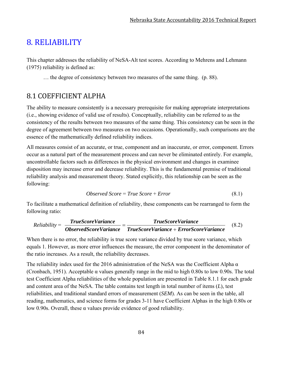# 8. RELIABILITY

This chapter addresses the reliability of NeSA-Alt test scores. According to Mehrens and Lehmann (1975) reliability is defined as:

… the degree of consistency between two measures of the same thing. (p. 88).

# 8.1 COEFFICIENT ALPHA

The ability to measure consistently is a necessary prerequisite for making appropriate interpretations (i.e., showing evidence of valid use of results). Conceptually, reliability can be referred to as the consistency of the results between two measures of the same thing. This consistency can be seen in the degree of agreement between two measures on two occasions. Operationally, such comparisons are the essence of the mathematically defined reliability indices.

All measures consist of an accurate, or true, component and an inaccurate, or error, component. Errors occur as a natural part of the measurement process and can never be eliminated entirely. For example, uncontrollable factors such as differences in the physical environment and changes in examinee disposition may increase error and decrease reliability. This is the fundamental premise of traditional reliability analysis and measurement theory. Stated explicitly, this relationship can be seen as the following:

$$
Observed Score = True Score + Error
$$
\n
$$
(8.1)
$$

To facilitate a mathematical definition of reliability, these components can be rearranged to form the following ratio:

$$
Reliability = \frac{TrueScoreVariance}{ObserveVariance} = \frac{TrueScoreVariance}{TrueScoreVariance + ErrorScoreVariance}
$$
(8.2)

When there is no error, the reliability is true score variance divided by true score variance, which equals 1. However, as more error influences the measure, the error component in the denominator of the ratio increases. As a result, the reliability decreases.

The reliability index used for the 2016 administration of the NeSA was the Coefficient Alpha  $\alpha$ (Cronbach, 1951). Acceptable α values generally range in the mid to high 0.80s to low 0.90s. The total test Coefficient Alpha reliabilities of the whole population are presented in Table 8.1.1 for each grade and content area of the NeSA. The table contains test length in total number of items (*L*), test reliabilities, and traditional standard errors of measurement (*SEM*). As can be seen in the table, all reading, mathematics, and science forms for grades 3-11 have Coefficient Alphas in the high 0.80s or low 0.90s. Overall, these α values provide evidence of good reliability.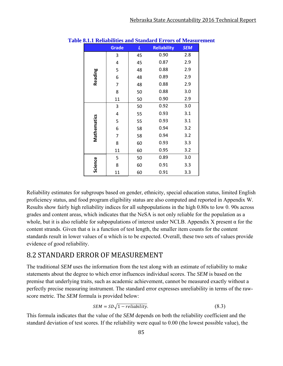|             | Grade | $\overline{L}$ | <b>Reliability</b> | <b>SEM</b> |
|-------------|-------|----------------|--------------------|------------|
|             | 3     | 45             | 0.90               | 2.8        |
|             | 4     | 45             | 0.87               | 2.9        |
|             | 5     | 48             | 0.88               | 2.9        |
| Reading     | 6     | 48             | 0.89               | 2.9        |
|             | 7     | 48             | 0.88               | 2.9        |
|             | 8     | 50             | 0.88               | 3.0        |
|             | 11    | 50             | 0.90               | 2.9        |
|             | 3     | 50             | 0.92               | 3.0        |
|             | 4     | 55             | 0.93               | 3.1        |
| Mathematics | 5     | 55             | 0.93               | 3.1        |
|             | 6     | 58             | 0.94               | 3.2        |
|             | 7     | 58             | 0.94               | 3.2        |
|             | 8     | 60             | 0.93               | 3.3        |
|             | 11    | 60             | 0.95               | 3.2        |
|             | 5     | 50             | 0.89               | 3.0        |
| Science     | 8     | 60             | 0.91               | 3.3        |
|             | 11    | 60             | 0.91               | 3.3        |

**Table 8.1.1 Reliabilities and Standard Errors of Measurement** 

Reliability estimates for subgroups based on gender, ethnicity, special education status, limited English proficiency status, and food program eligibility status are also computed and reported in Appendix W. Results show fairly high reliability indices for all subpopulations in the high 0.80s to low 0. 90s across grades and content areas, which indicates that the NeSA is not only reliable for the population as a whole, but it is also reliable for subpopulations of interest under NCLB. Appendix X present  $\alpha$  for the content strands. Given that  $\alpha$  is a function of test length, the smaller item counts for the content standards result in lower values of  $\alpha$  which is to be expected. Overall, these two sets of values provide evidence of good reliability.

## 8.2 STANDARD ERROR OF MEASUREMENT

The traditional *SEM* uses the information from the test along with an estimate of reliability to make statements about the degree to which error influences individual scores. The *SEM* is based on the premise that underlying traits, such as academic achievement, cannot be measured exactly without a perfectly precise measuring instrument. The standard error expresses unreliability in terms of the rawscore metric. The *SEM* formula is provided below:

$$
SEM = SD\sqrt{1 - reliability}.
$$
\n(8.3)

This formula indicates that the value of the *SEM* depends on both the reliability coefficient and the standard deviation of test scores. If the reliability were equal to 0.00 (the lowest possible value), the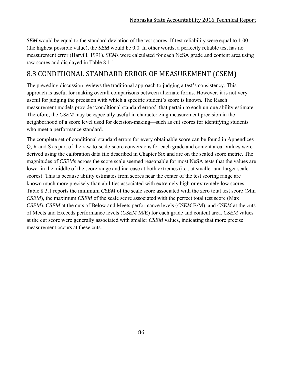*SEM* would be equal to the standard deviation of the test scores. If test reliability were equal to 1.00 (the highest possible value), the *SEM* would be 0.0. In other words, a perfectly reliable test has no measurement error (Harvill, 1991). *SEM*s were calculated for each NeSA grade and content area using raw scores and displayed in Table 8.1.1.

## 8.3 CONDITIONAL STANDARD ERROR OF MEASUREMENT (CSEM)

The preceding discussion reviews the traditional approach to judging a test's consistency. This approach is useful for making overall comparisons between alternate forms. However, it is not very useful for judging the precision with which a specific student's score is known. The Rasch measurement models provide "conditional standard errors" that pertain to each unique ability estimate. Therefore, the *CSEM* may be especially useful in characterizing measurement precision in the neighborhood of a score level used for decision-making—such as cut scores for identifying students who meet a performance standard.

The complete set of conditional standard errors for every obtainable score can be found in Appendices Q, R and S as part of the raw-to-scale-score conversions for each grade and content area. Values were derived using the calibration data file described in Chapter Six and are on the scaled score metric. The magnitudes of *CSEM*s across the score scale seemed reasonable for most NeSA tests that the values are lower in the middle of the score range and increase at both extremes (i.e., at smaller and larger scale scores). This is because ability estimates from scores near the center of the test scoring range are known much more precisely than abilities associated with extremely high or extremely low scores. Table 8.3.1 reports the minimum *CSEM* of the scale score associated with the zero total test score (Min *CSEM*), the maximum *CSEM* of the scale score associated with the perfect total test score (Max *CSEM*), *CSEM* at the cuts of Below and Meets performance levels (*CSEM* B/M), and *CSEM* at the cuts of Meets and Exceeds performance levels (*CSEM* M/E) for each grade and content area. *CSEM* values at the cut score were generally associated with smaller *CSEM* values, indicating that more precise measurement occurs at these cuts.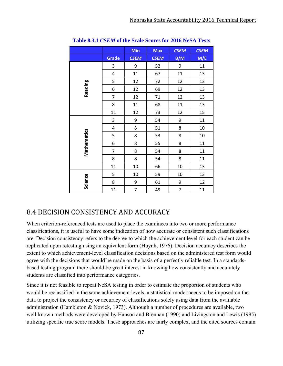|             |                         | Min            | <b>Max</b>  | <b>CSEM</b>    | <b>CSEM</b> |
|-------------|-------------------------|----------------|-------------|----------------|-------------|
|             | <b>Grade</b>            | <b>CSEM</b>    | <b>CSEM</b> | B/M            | M/E         |
|             | 3                       | 9              | 52          | 9              | 11          |
|             | 4                       | 11             | 67          | 11             | 13          |
|             | 5                       | 12             | 72          | 12             | 13          |
| Reading     | 6                       | 12             | 69          | 12             | 13          |
|             | $\overline{7}$          | 12             | 71          | 12             | 13          |
|             | 8                       | 11             | 68          | 11             | 13          |
|             | 11                      | 12             | 73          | 12             | 15          |
|             | $\overline{\mathbf{3}}$ | 9              | 54          | 9              | 11          |
|             | 4                       | 8              | 51          | 8              | 10          |
|             | 5                       | 8              | 53          | 8              | 10          |
| Mathematics | 6                       | 8              | 55          | 8              | 11          |
|             | $\overline{7}$          | 8              | 54          | 8              | 11          |
|             | 8                       | 8              | 54          | 8              | 11          |
|             | 11                      | 10             | 66          | 10             | 13          |
|             | 5                       | 10             | 59          | 10             | 13          |
| Science     | 8                       | 9              | 61          | 9              | 12          |
|             | 11                      | $\overline{7}$ | 49          | $\overline{7}$ | 11          |

**Table 8.3.1** *CSEM* **of the Scale Scores for 2016 NeSA Tests** 

## 8.4 DECISION CONSISTENCY AND ACCURACY

When criterion-referenced tests are used to place the examinees into two or more performance classifications, it is useful to have some indication of how accurate or consistent such classifications are. Decision consistency refers to the degree to which the achievement level for each student can be replicated upon retesting using an equivalent form (Huynh, 1976). Decision accuracy describes the extent to which achievement-level classification decisions based on the administered test form would agree with the decisions that would be made on the basis of a perfectly reliable test. In a standardsbased testing program there should be great interest in knowing how consistently and accurately students are classified into performance categories.

Since it is not feasible to repeat NeSA testing in order to estimate the proportion of students who would be reclassified in the same achievement levels, a statistical model needs to be imposed on the data to project the consistency or accuracy of classifications solely using data from the available administration (Hambleton & Novick, 1973). Although a number of procedures are available, two well-known methods were developed by Hanson and Brennan (1990) and Livingston and Lewis (1995) utilizing specific true score models. These approaches are fairly complex, and the cited sources contain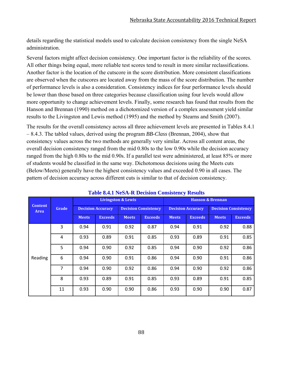details regarding the statistical models used to calculate decision consistency from the single NeSA administration.

Several factors might affect decision consistency. One important factor is the reliability of the scores. All other things being equal, more reliable test scores tend to result in more similar reclassifications. Another factor is the location of the cutscore in the score distribution. More consistent classifications are observed when the cutscores are located away from the mass of the score distribution. The number of performance levels is also a consideration. Consistency indices for four performance levels should be lower than those based on three categories because classification using four levels would allow more opportunity to change achievement levels. Finally, some research has found that results from the Hanson and Brennan (1990) method on a dichotomized version of a complex assessment yield similar results to the Livingston and Lewis method (1995) and the method by Stearns and Smith (2007).

The results for the overall consistency across all three achievement levels are presented in Tables 8.4.1 – 8.4.3. The tabled values, derived using the program *BB-Class* (Brennan, 2004), show that consistency values across the two methods are generally very similar. Across all content areas, the overall decision consistency ranged from the mid 0.80s to the low 0.90s while the decision accuracy ranged from the high 0.80s to the mid 0.90s. If a parallel test were administered, at least 85% or more of students would be classified in the same way. Dichotomous decisions using the Meets cuts (Below/Meets) generally have the highest consistency values and exceeded 0.90 in all cases. The pattern of decision accuracy across different cuts is similar to that of decision consistency.

|                               |       |                          |                | <b>Livingston &amp; Lewis</b> |                             | <b>Hanson &amp; Brennan</b> |                          |              |                             |  |
|-------------------------------|-------|--------------------------|----------------|-------------------------------|-----------------------------|-----------------------------|--------------------------|--------------|-----------------------------|--|
| <b>Content</b><br><b>Area</b> | Grade | <b>Decision Accuracy</b> |                |                               | <b>Decision Consistency</b> |                             | <b>Decision Accuracy</b> |              | <b>Decision Consistency</b> |  |
|                               |       | <b>Meets</b>             | <b>Exceeds</b> | <b>Meets</b>                  | <b>Exceeds</b>              | <b>Meets</b>                | <b>Exceeds</b>           | <b>Meets</b> | <b>Exceeds</b>              |  |
|                               | 3     | 0.94                     | 0.91           | 0.92                          | 0.87                        | 0.94                        | 0.91                     | 0.92         | 0.88                        |  |
|                               | 4     | 0.93                     | 0.89           | 0.91                          | 0.85                        | 0.93                        | 0.89                     | 0.91         | 0.85                        |  |
|                               | 5     | 0.94                     | 0.90           | 0.92                          | 0.85                        | 0.94                        | 0.90                     | 0.92         | 0.86                        |  |
| Reading                       | 6     | 0.94                     | 0.90           | 0.91                          | 0.86                        | 0.94                        | 0.90                     | 0.91         | 0.86                        |  |
|                               | 7     | 0.94                     | 0.90           | 0.92                          | 0.86                        | 0.94                        | 0.90                     | 0.92         | 0.86                        |  |
|                               | 8     | 0.93                     | 0.89           | 0.91                          | 0.85                        | 0.93                        | 0.89                     | 0.91         | 0.85                        |  |
|                               | 11    | 0.93                     | 0.90           | 0.90                          | 0.86                        | 0.93                        | 0.90                     | 0.90         | 0.87                        |  |

#### **Table 8.4.1 NeSA-R Decision Consistency Results**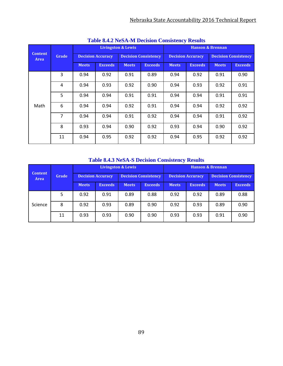|                        |                |                          |                |                               | <b>Table 0.7.2 INCOPY IN DUCISION CONSISTENTY INCRITES</b> |                             |                          |              |                             |  |
|------------------------|----------------|--------------------------|----------------|-------------------------------|------------------------------------------------------------|-----------------------------|--------------------------|--------------|-----------------------------|--|
|                        |                |                          |                | <b>Livingston &amp; Lewis</b> |                                                            | <b>Hanson &amp; Brennan</b> |                          |              |                             |  |
| <b>Content</b><br>Area | Grade          | <b>Decision Accuracy</b> |                |                               | <b>Decision Consistency</b>                                |                             | <b>Decision Accuracy</b> |              | <b>Decision Consistency</b> |  |
|                        |                | <b>Meets</b>             | <b>Exceeds</b> | <b>Meets</b>                  | <b>Exceeds</b>                                             | <b>Meets</b>                | <b>Exceeds</b>           | <b>Meets</b> | <b>Exceeds</b>              |  |
|                        | 3              | 0.94                     | 0.92           | 0.91                          | 0.89                                                       | 0.94                        | 0.92                     | 0.91         | 0.90                        |  |
|                        | 4              | 0.94                     | 0.93           | 0.92                          | 0.90                                                       | 0.94                        | 0.93                     | 0.92         | 0.91                        |  |
|                        | 5              | 0.94                     | 0.94           | 0.91                          | 0.91                                                       | 0.94                        | 0.94                     | 0.91         | 0.91                        |  |
| Math                   | 6              | 0.94                     | 0.94           | 0.92                          | 0.91                                                       | 0.94                        | 0.94                     | 0.92         | 0.92                        |  |
|                        | $\overline{7}$ | 0.94                     | 0.94           | 0.91                          | 0.92                                                       | 0.94                        | 0.94                     | 0.91         | 0.92                        |  |
|                        | 8              | 0.93                     | 0.94           | 0.90                          | 0.92                                                       | 0.93                        | 0.94                     | 0.90         | 0.92                        |  |
|                        | 11             | 0.94                     | 0.95           | 0.92                          | 0.92                                                       | 0.94                        | 0.95                     | 0.92         | 0.92                        |  |

**Table 8.4.2 NeSA-M Decision Consistency Results** 

## **Table 8.4.3 NeSA-S Decision Consistency Results**

|                        |       |                          |                | <b>Livingston &amp; Lewis</b> |                | <b>Hanson &amp; Brennan</b> |                          |                             |                |  |
|------------------------|-------|--------------------------|----------------|-------------------------------|----------------|-----------------------------|--------------------------|-----------------------------|----------------|--|
| <b>Content</b><br>Area | Grade | <b>Decision Accuracy</b> |                | <b>Decision Consistency</b>   |                |                             | <b>Decision Accuracy</b> | <b>Decision Consistency</b> |                |  |
|                        |       | <b>Meets</b>             | <b>Exceeds</b> | <b>Meets</b>                  | <b>Exceeds</b> | <b>Meets</b>                | <b>Exceeds</b>           | <b>Meets</b>                | <b>Exceeds</b> |  |
| Science                | 5     | 0.92                     | 0.91           | 0.89                          | 0.88           | 0.92                        | 0.92                     | 0.89                        | 0.88           |  |
|                        | 8     | 0.92                     | 0.93           | 0.89                          | 0.90           | 0.92                        | 0.93                     | 0.89                        | 0.90           |  |
|                        | 11    | 0.93                     | 0.93           | 0.90                          | 0.90           | 0.93                        | 0.93                     | 0.91                        | 0.90           |  |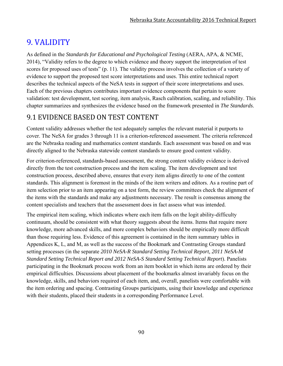# 9. VALIDITY

As defined in the *Standards for Educational and Psychological Testing* (AERA, APA, & NCME, 2014), "Validity refers to the degree to which evidence and theory support the interpretation of test scores for proposed uses of tests" (p. 11). The validity process involves the collection of a variety of evidence to support the proposed test score interpretations and uses. This entire technical report describes the technical aspects of the NeSA tests in support of their score interpretations and uses. Each of the previous chapters contributes important evidence components that pertain to score validation: test development, test scoring, item analysis, Rasch calibration, scaling, and reliability. This chapter summarizes and synthesizes the evidence based on the framework presented in *The Standards*.

# 9.1 EVIDENCE BASED ON TEST CONTENT

Content validity addresses whether the test adequately samples the relevant material it purports to cover. The NeSA for grades 3 through 11 is a criterion-referenced assessment. The criteria referenced are the Nebraska reading and mathematics content standards. Each assessment was based on and was directly aligned to the Nebraska statewide content standards to ensure good content validity.

For criterion-referenced, standards-based assessment, the strong content validity evidence is derived directly from the test construction process and the item scaling. The item development and test construction process, described above, ensures that every item aligns directly to one of the content standards. This alignment is foremost in the minds of the item writers and editors. As a routine part of item selection prior to an item appearing on a test form, the review committees check the alignment of the items with the standards and make any adjustments necessary. The result is consensus among the content specialists and teachers that the assessment does in fact assess what was intended.

The empirical item scaling, which indicates where each item falls on the logit ability-difficulty continuum, should be consistent with what theory suggests about the items. Items that require more knowledge, more advanced skills, and more complex behaviors should be empirically more difficult than those requiring less. Evidence of this agreement is contained in the item summary tables in Appendices K, L, and M, as well as the success of the Bookmark and Contrasting Groups standard setting processes (in the separate *2010 NeSA-R Standard Setting Technical Report, 2011 NeSA-M Standard Setting Technical Report and 2012 NeSA-S Standard Setting Technical Report*). Panelists participating in the Bookmark process work from an item booklet in which items are ordered by their empirical difficulties. Discussions about placement of the bookmarks almost invariably focus on the knowledge, skills, and behaviors required of each item, and, overall, panelists were comfortable with the item ordering and spacing. Contrasting Groups participants, using their knowledge and experience with their students, placed their students in a corresponding Performance Level.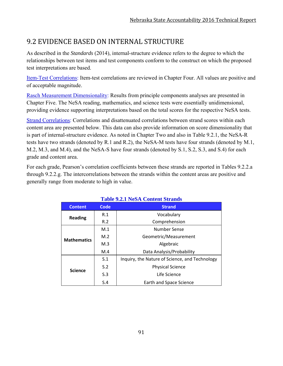# 9.2 EVIDENCE BASED ON INTERNAL STRUCTURE

As described in the *Standards* (2014), internal-structure evidence refers to the degree to which the relationships between test items and test components conform to the construct on which the proposed test interpretations are based.

Item-Test Correlations: Item-test correlations are reviewed in Chapter Four. All values are positive and of acceptable magnitude.

Rasch Measurement Dimensionality: Results from principle components analyses are presented in Chapter Five. The NeSA reading, mathematics, and science tests were essentially unidimensional, providing evidence supporting interpretations based on the total scores for the respective NeSA tests.

Strand Correlations: Correlations and disattenuated correlations between strand scores within each content area are presented below. This data can also provide information on score dimensionality that is part of internal-structure evidence. As noted in Chapter Two and also in Table 9.2.1, the NeSA-R tests have two strands (denoted by R.1 and R.2), the NeSA-M tests have four strands (denoted by M.1, M.2, M.3, and M.4), and the NeSA-S have four strands (denoted by S.1, S.2, S.3, and S.4) for each grade and content area.

For each grade, Pearson's correlation coefficients between these strands are reported in Tables 9.2.2.a through 9.2.2.g. The intercorrelations between the strands within the content areas are positive and generally range from moderate to high in value.

**Table 9.2.1 NeSA Content Strands** 

|                    |                | Table 9.2.1 NeSA Content Strands               |
|--------------------|----------------|------------------------------------------------|
| <b>Content</b>     | <b>Code</b>    | <b>Strand</b>                                  |
| <b>Reading</b>     | R.1            | Vocabulary                                     |
|                    | R.2            | Comprehension                                  |
|                    | M.1            | Number Sense                                   |
| <b>Mathematics</b> | M.2            | Geometric/Measurement                          |
|                    | M <sub>3</sub> | Algebraic                                      |
|                    | M.4            | Data Analysis/Probability                      |
|                    | S.1            | Inquiry, the Nature of Science, and Technology |
|                    | S.2            | <b>Physical Science</b>                        |
| <b>Science</b>     | S.3            | Life Science                                   |
|                    | S.4            | <b>Earth and Space Science</b>                 |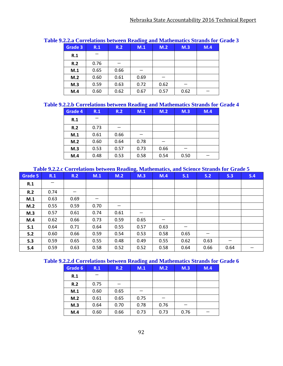| Grade 3 | R.1  | R.2  | M.1  | M.2  | M.3  | M.4 |
|---------|------|------|------|------|------|-----|
| R.1     |      |      |      |      |      |     |
| R.2     | 0.76 |      |      |      |      |     |
| M.1     | 0.65 | 0.66 |      |      |      |     |
| M.2     | 0.60 | 0.61 | 0.69 |      |      |     |
| M.3     | 0.59 | 0.63 | 0.72 | 0.62 |      |     |
| M.4     | 0.60 | 0.62 | 0.67 | 0.57 | 0.62 |     |

### **Table 9.2.2.a Correlations between Reading and Mathematics Strands for Grade 3**

### **Table 9.2.2.b Correlations between Reading and Mathematics Strands for Grade 4**

| Grade 4 | R.1  | R.2<br>M.1 |      | M.2  | M.3  | M.4 |
|---------|------|------------|------|------|------|-----|
| R.1     |      |            |      |      |      |     |
| R.2     | 0.73 |            |      |      |      |     |
| M.1     | 0.61 | 0.66       |      |      |      |     |
| M.2     | 0.60 | 0.64       | 0.78 |      |      |     |
| M.3     | 0.53 | 0.57       | 0.73 | 0.66 |      |     |
| M.4     | 0.48 | 0.53       | 0.58 | 0.54 | 0.50 |     |

### **Table 9.2.2.c Correlations between Reading, Mathematics, and Science Strands for Grade 5**

| Grade 5 | R.1  | R.2  | M.1  | M.2  | M.3  | M.4  | S.1  | S.2  | S.3  | S.4 |
|---------|------|------|------|------|------|------|------|------|------|-----|
| R.1     |      |      |      |      |      |      |      |      |      |     |
| R.2     | 0.74 |      |      |      |      |      |      |      |      |     |
| M.1     | 0.63 | 0.69 |      |      |      |      |      |      |      |     |
| M.2     | 0.55 | 0.59 | 0.70 | —    |      |      |      |      |      |     |
| M.3     | 0.57 | 0.61 | 0.74 | 0.61 | –    |      |      |      |      |     |
| M.4     | 0.62 | 0.66 | 0.73 | 0.59 | 0.65 |      |      |      |      |     |
| S.1     | 0.64 | 0.71 | 0.64 | 0.55 | 0.57 | 0.63 |      |      |      |     |
| S.2     | 0.60 | 0.66 | 0.59 | 0.54 | 0.53 | 0.58 | 0.65 |      |      |     |
| S.3     | 0.59 | 0.65 | 0.55 | 0.48 | 0.49 | 0.55 | 0.62 | 0.63 | –    |     |
| S.4     | 0.59 | 0.63 | 0.58 | 0.52 | 0.52 | 0.58 | 0.64 | 0.66 | 0.64 |     |

#### **Table 9.2.2.d Correlations between Reading and Mathematics Strands for Grade 6**

| Grade 6 | R.1  | R.2  | ີ<br>M.1 | M.2  | M.3  | M.4 |
|---------|------|------|----------|------|------|-----|
| R.1     |      |      |          |      |      |     |
| R.2     | 0.75 |      |          |      |      |     |
| M.1     | 0.60 | 0.65 |          |      |      |     |
| M.2     | 0.61 | 0.65 | 0.75     |      |      |     |
| M.3     | 0.64 | 0.70 | 0.78     | 0.76 |      |     |
| M.4     | 0.60 | 0.66 | 0.73     | 0.73 | 0.76 |     |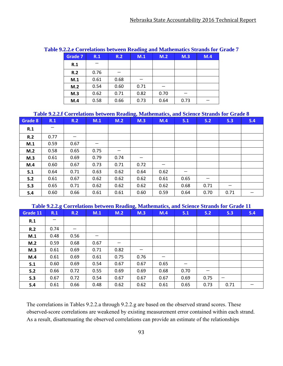|                |      |      |      | <u>zimine correlations securem requiring and huminimums suranus for G</u> |      |     |
|----------------|------|------|------|---------------------------------------------------------------------------|------|-----|
| <b>Grade 7</b> | R.1  | R.2  | M.1  | M.2                                                                       | M.3  | M.4 |
| R.1            |      |      |      |                                                                           |      |     |
| R.2            | 0.76 |      |      |                                                                           |      |     |
| M.1            | 0.61 | 0.68 |      |                                                                           |      |     |
| M.2            | 0.54 | 0.60 | 0.71 |                                                                           |      |     |
| M.3            | 0.62 | 0.71 | 0.82 | 0.70                                                                      |      |     |
| M.4            | 0.58 | 0.66 | 0.73 | 0.64                                                                      | 0.73 |     |

#### **Table 9.2.2.e Correlations between Reading and Mathematics Strands for Grade 7**

#### **Table 9.2.2.f Correlations between Reading, Mathematics, and Science Strands for Grade 8**

| Grade 8 | R.1  | R.2  | M.1  | M.2  | $\mathbf{C}$<br>M.3 | M.4  | S.1  | S.2                             | S.3  | S.4 |
|---------|------|------|------|------|---------------------|------|------|---------------------------------|------|-----|
| R.1     | —    |      |      |      |                     |      |      |                                 |      |     |
| R.2     | 0.77 |      |      |      |                     |      |      |                                 |      |     |
| M.1     | 0.59 | 0.67 |      |      |                     |      |      |                                 |      |     |
| M.2     | 0.58 | 0.65 | 0.75 |      |                     |      |      |                                 |      |     |
| M.3     | 0.61 | 0.69 | 0.79 | 0.74 | —                   |      |      |                                 |      |     |
| M.4     | 0.60 | 0.67 | 0.73 | 0.71 | 0.72                |      |      |                                 |      |     |
| S.1     | 0.64 | 0.71 | 0.63 | 0.62 | 0.64                | 0.62 |      |                                 |      |     |
| S.2     | 0.61 | 0.67 | 0.62 | 0.62 | 0.62                | 0.61 | 0.65 | $\hspace{0.1mm}-\hspace{0.1mm}$ |      |     |
| S.3     | 0.65 | 0.71 | 0.62 | 0.62 | 0.62                | 0.62 | 0.68 | 0.71                            | –    |     |
| S.4     | 0.60 | 0.66 | 0.61 | 0.61 | 0.60                | 0.59 | 0.64 | 0.70                            | 0.71 |     |

#### **Table 9.2.2.g Correlations between Reading, Mathematics, and Science Strands for Grade 11**

| Grade 11 | $\sim$<br>R.1 | R.2  | M.1  | M.2  | $\mathbf{C}$<br>M.3 | <br>M.4 | S.1  | S.2  | S.3  | S.4 |
|----------|---------------|------|------|------|---------------------|---------|------|------|------|-----|
| R.1      |               |      |      |      |                     |         |      |      |      |     |
| R.2      | 0.74          |      |      |      |                     |         |      |      |      |     |
| M.1      | 0.48          | 0.56 |      |      |                     |         |      |      |      |     |
| M.2      | 0.59          | 0.68 | 0.67 |      |                     |         |      |      |      |     |
| M.3      | 0.61          | 0.69 | 0.71 | 0.82 |                     |         |      |      |      |     |
| M.4      | 0.61          | 0.69 | 0.61 | 0.75 | 0.76                |         |      |      |      |     |
| S.1      | 0.60          | 0.69 | 0.54 | 0.67 | 0.67                | 0.65    |      |      |      |     |
| S.2      | 0.66          | 0.72 | 0.55 | 0.69 | 0.69                | 0.68    | 0.70 |      |      |     |
| S.3      | 0.67          | 0.72 | 0.54 | 0.67 | 0.67                | 0.67    | 0.69 | 0.75 |      |     |
| S.4      | 0.61          | 0.66 | 0.48 | 0.62 | 0.62                | 0.61    | 0.65 | 0.73 | 0.71 |     |

The correlations in Tables 9.2.2.a through 9.2.2.g are based on the observed strand scores. These observed-score correlations are weakened by existing measurement error contained within each strand. As a result, disattenuating the observed correlations can provide an estimate of the relationships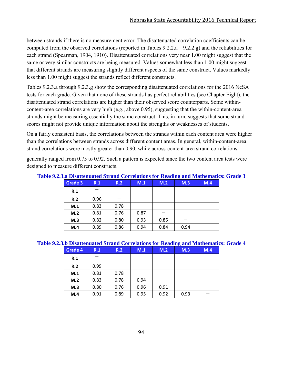between strands if there is no measurement error. The disattenuated correlation coefficients can be computed from the observed correlations (reported in Tables  $9.2.2.a - 9.2.2.g$ ) and the reliabilities for each strand (Spearman, 1904, 1910). Disattenuated correlations very near 1.00 might suggest that the same or very similar constructs are being measured. Values somewhat less than 1.00 might suggest that different strands are measuring slightly different aspects of the same construct. Values markedly less than 1.00 might suggest the strands reflect different constructs.

Tables 9.2.3.a through 9.2.3.g show the corresponding disattenuated correlations for the 2016 NeSA tests for each grade. Given that none of these strands has perfect reliabilities (see Chapter Eight), the disattenuated strand correlations are higher than their observed score counterparts. Some withincontent-area correlations are very high (e.g., above 0.95), suggesting that the within-content-area strands might be measuring essentially the same construct. This, in turn, suggests that some strand scores might not provide unique information about the strengths or weaknesses of students.

On a fairly consistent basis, the correlations between the strands within each content area were higher than the correlations between strands across different content areas. In general, within-content-area strand correlations were mostly greater than 0.90, while across-content-area strand correlations

generally ranged from 0.75 to 0.92. Such a pattern is expected since the two content area tests were designed to measure different constructs.

|         |      |      |      |      | -    |     |
|---------|------|------|------|------|------|-----|
| Grade 3 | R.1  | R.2  | M.1  | M.2  | M.3  | M.4 |
| R.1     |      |      |      |      |      |     |
| R.2     | 0.96 |      |      |      |      |     |
| M.1     | 0.83 | 0.78 |      |      |      |     |
| M.2     | 0.81 | 0.76 | 0.87 |      |      |     |
| M.3     | 0.82 | 0.80 | 0.93 | 0.85 |      |     |
| M.4     | 0.89 | 0.86 | 0.94 | 0.84 | 0.94 |     |

**Table 9.2.3.a Disattenuated Strand Correlations for Reading and Mathematics: Grade 3**

### **Table 9.2.3.b Disattenuated Strand Correlations for Reading and Mathematics: Grade 4**

| Grade 4 | R.1  | R.2  | M.1  | M.2  | $\tilde{\phantom{a}}$<br>M.3 | M.4 |
|---------|------|------|------|------|------------------------------|-----|
| R.1     |      |      |      |      |                              |     |
| R.2     | 0.99 |      |      |      |                              |     |
| M.1     | 0.81 | 0.78 |      |      |                              |     |
| M.2     | 0.83 | 0.78 | 0.94 |      |                              |     |
| M.3     | 0.80 | 0.76 | 0.96 | 0.91 |                              |     |
| M.4     | 0.91 | 0.89 | 0.95 | 0.92 | 0.93                         |     |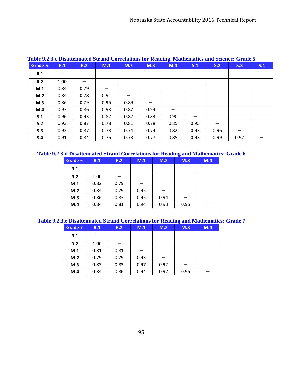| Grade 5 | R.1  | R.2  | M.1  | M.2  | M.3  | M.4  | S.1  | S.2  | S.3  | S.4 |
|---------|------|------|------|------|------|------|------|------|------|-----|
| R.1     |      |      |      |      |      |      |      |      |      |     |
| R.2     | 1.00 |      |      |      |      |      |      |      |      |     |
| M.1     | 0.84 | 0.79 |      |      |      |      |      |      |      |     |
| M.2     | 0.84 | 0.78 | 0.91 |      |      |      |      |      |      |     |
| M.3     | 0.86 | 0.79 | 0.95 | 0.89 |      |      |      |      |      |     |
| M.4     | 0.93 | 0.86 | 0.93 | 0.87 | 0.94 |      |      |      |      |     |
| S.1     | 0.96 | 0.93 | 0.82 | 0.82 | 0.83 | 0.90 |      |      |      |     |
| S.2     | 0.93 | 0.87 | 0.78 | 0.81 | 0.78 | 0.85 | 0.95 |      |      |     |
| S.3     | 0.92 | 0.87 | 0.73 | 0.74 | 0.74 | 0.82 | 0.93 | 0.96 |      |     |
| S.4     | 0.91 | 0.84 | 0.76 | 0.78 | 0.77 | 0.85 | 0.93 | 0.99 | 0.97 |     |

## **Table 9.2.3.c Disattenuated Strand Correlations for Reading, Mathematics and Science: Grade 5**

### **Table 9.2.3.d Disattenuated Strand Correlations for Reading and Mathematics: Grade 6**

| Grade 6 | R.1  | R.2  | M.1  | M.2  | M.3  | M.4 |
|---------|------|------|------|------|------|-----|
| R.1     |      |      |      |      |      |     |
| R.2     | 1.00 |      |      |      |      |     |
| M.1     | 0.82 | 0.79 |      |      |      |     |
| M.2     | 0.84 | 0.79 | 0.95 |      |      |     |
| M.3     | 0.86 | 0.83 | 0.95 | 0.94 |      |     |
| M.4     | 0.84 | 0.81 | 0.94 | 0.93 | 0.95 |     |

**Table 9.2.3.e Disattenuated Strand Correlations for Reading and Mathematics: Grade 7**

| <b>Grade 7</b> | R.1  | R.2  | M.1  | M.2  | $\tilde{\phantom{a}}$<br>M.3 | M.4 |
|----------------|------|------|------|------|------------------------------|-----|
| R.1            |      |      |      |      |                              |     |
| R.2            | 1.00 |      |      |      |                              |     |
| M.1            | 0.81 | 0.81 |      |      |                              |     |
| M.2            | 0.79 | 0.79 | 0.93 |      |                              |     |
| M.3            | 0.83 | 0.83 | 0.97 | 0.92 |                              |     |
| M.4            | 0.84 | 0.86 | 0.94 | 0.92 | 0.95                         |     |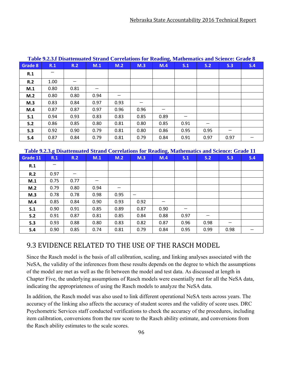| Grade 8 | R.1  | R.2  | M.1  | M.2  | M.3  | M.4  | S.1  | S.2  | Table 9.2.3.1 Disattenuated Strand Correlations for Reading, Mathematics and Science: Grade 8<br>S.3 | S.4 |
|---------|------|------|------|------|------|------|------|------|------------------------------------------------------------------------------------------------------|-----|
| R.1     |      |      |      |      |      |      |      |      |                                                                                                      |     |
| R.2     | 1.00 |      |      |      |      |      |      |      |                                                                                                      |     |
| M.1     | 0.80 | 0.81 |      |      |      |      |      |      |                                                                                                      |     |
| M.2     | 0.80 | 0.80 | 0.94 |      |      |      |      |      |                                                                                                      |     |
| M.3     | 0.83 | 0.84 | 0.97 | 0.93 |      |      |      |      |                                                                                                      |     |
| M.4     | 0.87 | 0.87 | 0.97 | 0.96 | 0.96 |      |      |      |                                                                                                      |     |
| S.1     | 0.94 | 0.93 | 0.83 | 0.83 | 0.85 | 0.89 |      |      |                                                                                                      |     |
| S.2     | 0.86 | 0.85 | 0.80 | 0.81 | 0.80 | 0.85 | 0.91 |      |                                                                                                      |     |
| S.3     | 0.92 | 0.90 | 0.79 | 0.81 | 0.80 | 0.86 | 0.95 | 0.95 |                                                                                                      |     |
| S.4     | 0.87 | 0.84 | 0.79 | 0.81 | 0.79 | 0.84 | 0.91 | 0.97 | 0.97                                                                                                 |     |

## **Table 9.2.3.f Disattenuated Strand Correlations for Reading, Mathematics and Science: Grade 8**

**Table 9.2.3.g Disattenuated Strand Correlations for Reading, Mathematics and Science: Grade 11**

| Grade 11 | R.1  | R.2  | M.1  | M.2  | M.3                      | M.4  | S.1  | S.2  | S.3  | S.4 |
|----------|------|------|------|------|--------------------------|------|------|------|------|-----|
| R.1      |      |      |      |      |                          |      |      |      |      |     |
| R.2      | 0.97 |      |      |      |                          |      |      |      |      |     |
| M.1      | 0.75 | 0.77 |      |      |                          |      |      |      |      |     |
| M.2      | 0.79 | 0.80 | 0.94 | —    |                          |      |      |      |      |     |
| M.3      | 0.78 | 0.78 | 0.98 | 0.95 | $\overline{\phantom{m}}$ |      |      |      |      |     |
| M.4      | 0.85 | 0.84 | 0.90 | 0.93 | 0.92                     | –    |      |      |      |     |
| S.1      | 0.90 | 0.91 | 0.85 | 0.89 | 0.87                     | 0.90 |      |      |      |     |
| S.2      | 0.91 | 0.87 | 0.81 | 0.85 | 0.84                     | 0.88 | 0.97 | –    |      |     |
| S.3      | 0.93 | 0.88 | 0.80 | 0.83 | 0.82                     | 0.87 | 0.96 | 0.98 | –    |     |
| S.4      | 0.90 | 0.85 | 0.74 | 0.81 | 0.79                     | 0.84 | 0.95 | 0.99 | 0.98 |     |

## 9.3 EVIDENCE RELATED TO THE USE OF THE RASCH MODEL

Since the Rasch model is the basis of all calibration, scaling, and linking analyses associated with the NeSA, the validity of the inferences from these results depends on the degree to which the assumptions of the model are met as well as the fit between the model and test data. As discussed at length in Chapter Five, the underlying assumptions of Rasch models were essentially met for all the NeSA data, indicating the appropriateness of using the Rasch models to analyze the NeSA data.

In addition, the Rasch model was also used to link different operational NeSA tests across years. The accuracy of the linking also affects the accuracy of student scores and the validity of score uses. DRC Psychometric Services staff conducted verifications to check the accuracy of the procedures, including item calibration, conversions from the raw score to the Rasch ability estimate, and conversions from the Rasch ability estimates to the scale scores.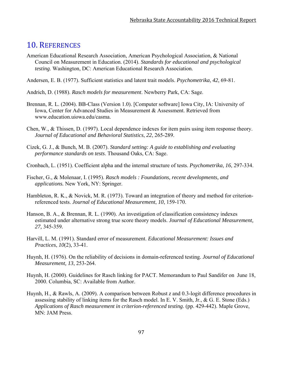## 10. REFERENCES

- American Educational Research Association, American Psychological Association, & National Council on Measurement in Education. (2014). *Standards for educational and psychological testing*. Washington, DC: American Educational Research Association.
- Andersen, E. B. (1977). Sufficient statistics and latent trait models. *Psychometrika*, *42*, 69-81.
- Andrich, D. (1988). *Rasch models for measurement*. Newberry Park, CA: Sage.
- Brennan, R. L. (2004). BB-Class (Version 1.0). [Computer software] Iowa City, IA: University of Iowa, Center for Advanced Studies in Measurement & Assessment. Retrieved from www.education.uiowa.edu/casma.
- Chen, W., & Thissen, D. (1997). Local dependence indexes for item pairs using item response theory. *Journal of Educational and Behavioral Statistics*, *22*, 265-289.
- Cizek, G. J., & Bunch, M. B. (2007). *Standard setting: A guide to establishing and evaluating performance standards on tests*. Thousand Oaks, CA: Sage.
- Cronbach, L. (1951). Coefficient alpha and the internal structure of tests. *Psychometrika*, *16*, 297-334.
- Fischer, G., & Molenaar, I. (1995). *Rasch models : Foundations, recent developments, and applications.* New York, NY: Springer.
- Hambleton, R. K., & Novick, M. R. (1973). Toward an integration of theory and method for criterionreferenced tests. *Journal of Educational Measurement*, *10*, 159-170.
- Hanson, B. A., & Brennan, R. L. (1990). An investigation of classification consistency indexes estimated under alternative strong true score theory models. *Journal of Educational Measurement, 27,* 345-359*.*
- Harvill, L. M. (1991). Standard error of measurement. *Educational Measurement: Issues and Practices*, *10*(2), 33-41.
- Huynh, H. (1976). On the reliability of decisions in domain-referenced testing. *Journal of Educational Measurement, 13*, 253-264.
- Huynh, H. (2000). Guidelines for Rasch linking for PACT. Memorandum to Paul Sandifer on June 18, 2000. Columbia, SC: Available from Author.
- Huynh, H., & Rawls, A. (2009). A comparison between Robust *z* and 0.3-logit difference procedures in assessing stability of linking items for the Rasch model. In E. V. Smith, Jr., & G. E. Stone (Eds.) *Applications of Rasch measurement in criterion-referenced testing*. (pp. 429-442). Maple Grove, MN: JAM Press.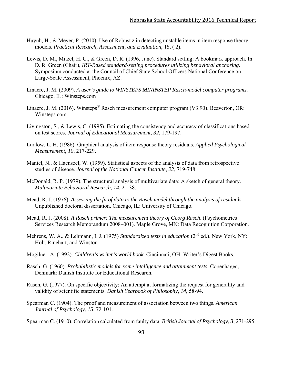- Huynh, H., & Meyer, P. (2010). Use of Robust *z* in detecting unstable items in item response theory models. *Practical Research, Assessment, and Evaluation*, 1*5*, ( 2).
- Lewis, D. M., Mitzel, H. C., & Green, D. R. (1996, June). Standard setting: A bookmark approach. In D. R. Green (Chair), *IRT-Based standard-setting procedures utilizing behavioral anchoring*. Symposium conducted at the Council of Chief State School Officers National Conference on Large-Scale Assessment, Phoenix, AZ.
- Linacre, J. M. (2009). *A user's guide to WINSTEPS MININSTEP Rasch-model computer programs*. Chicago, IL: Winsteps.com
- Linacre, J. M. (2016). Winsteps<sup>®</sup> Rasch measurement computer program (V3.90). Beaverton, OR: Winsteps.com.
- Livingston, S., & Lewis, C. (1995). Estimating the consistency and accuracy of classifications based on test scores. *Journal of Educational Measurement*, *32*, 179-197.
- Ludlow, L. H. (1986). Graphical analysis of item response theory residuals. *Applied Psychological Measurement*, *10*, 217-229.
- Mantel, N., & Haenszel, W. (1959). Statistical aspects of the analysis of data from retrospective studies of disease. *Journal of the National Cancer Institute*, *22*, 719-748.
- McDonald, R. P. (1979). The structural analysis of multivariate data: A sketch of general theory. *Multivariate Behavioral Research*, *14*, 21-38.
- Mead, R. J. (1976). *Assessing the fit of data to the Rasch model through the analysis of residuals*. Unpublished doctoral dissertation. Chicago, IL: University of Chicago.
- Mead, R. J. (2008). *A Rasch primer: The measurement theory of Georg Rasch*. (Psychometrics Services Research Memorandum 2008–001). Maple Grove, MN: Data Recognition Corporation.
- Mehrens, W. A., & Lehmann, I. J. (1975) *Standardized tests in education* (2<sup>nd</sup> ed.). New York, NY: Holt, Rinehart, and Winston.
- Mogilner, A. (1992). *Children's writer's world book*. Cincinnati, OH: Writer's Digest Books.
- Rasch, G. (1960). *Probabilistic models for some intelligence and attainment tests*. Copenhagen, Denmark: Danish Institute for Educational Research.
- Rasch, G. (1977). On specific objectivity: An attempt at formalizing the request for generality and validity of scientific statements. *Danish Yearbook of Philosophy, 14*, 58-94.
- Spearman C. (1904). The proof and measurement of association between two things. *American Journal of Psychology*, *15*, 72-101.
- Spearman C. (1910). Correlation calculated from faulty data. *British Journal of Psychology*, *3*, 271-295.